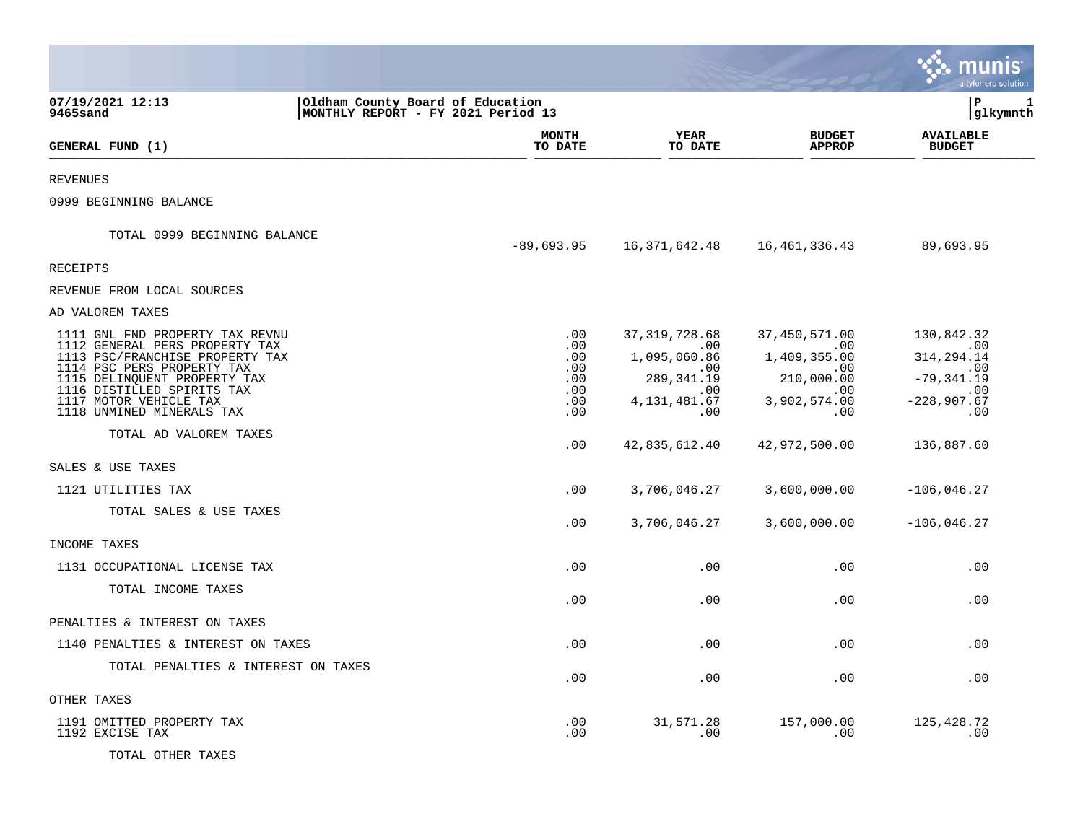|                                                                                                                                                                                                                                                                                                                                                         |                                                                        |                                                                                                                               |                                                                                                                          | nıs<br>m<br>a tyler erp solution                                                                                             |
|---------------------------------------------------------------------------------------------------------------------------------------------------------------------------------------------------------------------------------------------------------------------------------------------------------------------------------------------------------|------------------------------------------------------------------------|-------------------------------------------------------------------------------------------------------------------------------|--------------------------------------------------------------------------------------------------------------------------|------------------------------------------------------------------------------------------------------------------------------|
| 07/19/2021 12:13<br>9465sand                                                                                                                                                                                                                                                                                                                            | Oldham County Board of Education<br>MONTHLY REPORT - FY 2021 Period 13 |                                                                                                                               |                                                                                                                          | l P<br>1<br> glkymnth                                                                                                        |
|                                                                                                                                                                                                                                                                                                                                                         | MONTH                                                                  | <b>YEAR</b>                                                                                                                   | <b>BUDGET</b>                                                                                                            | <b>AVAILABLE</b>                                                                                                             |
| <b>GENERAL FUND (1)</b>                                                                                                                                                                                                                                                                                                                                 | TO DATE                                                                | TO DATE                                                                                                                       | <b>APPROP</b>                                                                                                            | <b>BUDGET</b>                                                                                                                |
| <b>REVENUES</b>                                                                                                                                                                                                                                                                                                                                         |                                                                        |                                                                                                                               |                                                                                                                          |                                                                                                                              |
| 0999 BEGINNING BALANCE                                                                                                                                                                                                                                                                                                                                  |                                                                        |                                                                                                                               |                                                                                                                          |                                                                                                                              |
| TOTAL 0999 BEGINNING BALANCE                                                                                                                                                                                                                                                                                                                            | $-89,693.95$                                                           | 16,371,642.48                                                                                                                 | 16, 461, 336.43                                                                                                          | 89,693.95                                                                                                                    |
| RECEIPTS                                                                                                                                                                                                                                                                                                                                                |                                                                        |                                                                                                                               |                                                                                                                          |                                                                                                                              |
| REVENUE FROM LOCAL SOURCES                                                                                                                                                                                                                                                                                                                              |                                                                        |                                                                                                                               |                                                                                                                          |                                                                                                                              |
| AD VALOREM TAXES                                                                                                                                                                                                                                                                                                                                        |                                                                        |                                                                                                                               |                                                                                                                          |                                                                                                                              |
| 1111 GNL FND PROPERTY TAX REVNU<br>1112 GENERAL PERS PROPERTY TAX<br>1113 PSC/FRANCHISE PROPERTY TAX<br>1114 PSC PERS PROPERTY TAX<br>1115 DELINQUENT PROPERTY TAX<br>1116 DISTILLED SPIRITS TAX<br>1117 MOTOR VEHICLE TAX<br>1118 UNMINED MINERALS TAX<br>TOTAL AD VALOREM TAXES<br>SALES & USE TAXES<br>1121 UTILITIES TAX<br>TOTAL SALES & USE TAXES | .00<br>.00<br>.00<br>.00<br>.00<br>.00<br>.00<br>.00<br>.00<br>.00     | 37, 319, 728.68<br>.00<br>1,095,060.86<br>.00<br>289, 341.19<br>.00<br>4, 131, 481.67<br>.00<br>42,835,612.40<br>3,706,046.27 | 37,450,571.00<br>.00<br>1,409,355.00<br>.00<br>210,000.00<br>.00<br>3,902,574.00<br>.00<br>42,972,500.00<br>3,600,000.00 | 130,842.32<br>$\,$ .00<br>314, 294. 14<br>.00<br>$-79, 341.19$<br>.00<br>$-228,907.67$<br>.00<br>136,887.60<br>$-106,046.27$ |
|                                                                                                                                                                                                                                                                                                                                                         | .00                                                                    | 3,706,046.27                                                                                                                  | 3,600,000.00                                                                                                             | $-106,046.27$                                                                                                                |
| INCOME TAXES                                                                                                                                                                                                                                                                                                                                            |                                                                        |                                                                                                                               |                                                                                                                          |                                                                                                                              |
| 1131 OCCUPATIONAL LICENSE TAX                                                                                                                                                                                                                                                                                                                           | .00                                                                    | .00                                                                                                                           | .00                                                                                                                      | .00                                                                                                                          |
| TOTAL INCOME TAXES                                                                                                                                                                                                                                                                                                                                      | .00                                                                    | .00                                                                                                                           | .00                                                                                                                      | .00                                                                                                                          |
| PENALTIES & INTEREST ON TAXES                                                                                                                                                                                                                                                                                                                           |                                                                        |                                                                                                                               |                                                                                                                          |                                                                                                                              |
| 1140 PENALTIES & INTEREST ON TAXES                                                                                                                                                                                                                                                                                                                      | .00                                                                    | .00                                                                                                                           | .00                                                                                                                      | .00                                                                                                                          |
| TOTAL PENALTIES & INTEREST ON TAXES                                                                                                                                                                                                                                                                                                                     | .00                                                                    | .00                                                                                                                           | .00                                                                                                                      | .00                                                                                                                          |
| OTHER TAXES                                                                                                                                                                                                                                                                                                                                             |                                                                        |                                                                                                                               |                                                                                                                          |                                                                                                                              |
| 1191 OMITTED PROPERTY TAX<br>1192 EXCISE TAX<br>TOTAL OTHER TAXES                                                                                                                                                                                                                                                                                       | .00<br>.00                                                             | 31,571.28<br>.00                                                                                                              | 157,000.00<br>.00                                                                                                        | 125, 428. 72<br>.00                                                                                                          |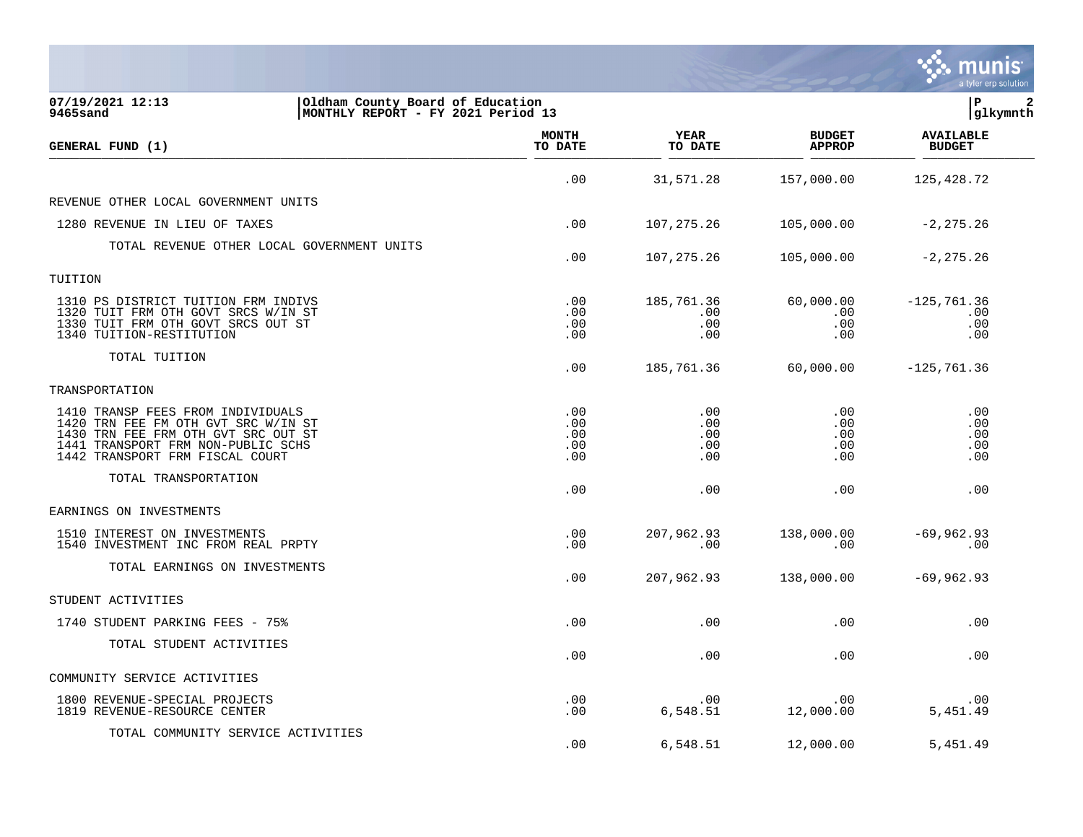|                                                                                                                                                                                          |                                 |                                 |                                 | a tyler erp solution                |
|------------------------------------------------------------------------------------------------------------------------------------------------------------------------------------------|---------------------------------|---------------------------------|---------------------------------|-------------------------------------|
| 07/19/2021 12:13<br>Oldham County Board of Education<br>9465sand<br>MONTHLY REPORT - FY 2021 Period 13                                                                                   |                                 |                                 |                                 | lР<br> glkymnth                     |
| GENERAL FUND (1)                                                                                                                                                                         | <b>MONTH</b><br>TO DATE         | <b>YEAR</b><br>TO DATE          | <b>BUDGET</b><br><b>APPROP</b>  | <b>AVAILABLE</b><br><b>BUDGET</b>   |
|                                                                                                                                                                                          | .00                             | 31,571.28                       | 157,000.00                      | 125, 428.72                         |
| REVENUE OTHER LOCAL GOVERNMENT UNITS                                                                                                                                                     |                                 |                                 |                                 |                                     |
| 1280 REVENUE IN LIEU OF TAXES                                                                                                                                                            | .00                             | 107, 275.26                     | 105,000.00                      | $-2, 275.26$                        |
| TOTAL REVENUE OTHER LOCAL GOVERNMENT UNITS                                                                                                                                               | .00                             | 107, 275.26                     | 105,000.00                      | $-2, 275.26$                        |
| TUITION                                                                                                                                                                                  |                                 |                                 |                                 |                                     |
| 1310 PS DISTRICT TUITION FRM INDIVS<br>1320 TUIT FRM OTH GOVT SRCS W/IN ST<br>1330 TUIT FRM OTH GOVT SRCS OUT ST<br>1340 TUITION-RESTITUTION                                             | .00<br>.00<br>.00<br>.00        | 185,761.36<br>.00<br>.00<br>.00 | 60,000.00<br>.00<br>.00<br>.00  | $-125, 761.36$<br>.00<br>.00<br>.00 |
| TOTAL TUITION                                                                                                                                                                            | .00                             | 185,761.36                      | 60,000.00                       | $-125, 761.36$                      |
| TRANSPORTATION                                                                                                                                                                           |                                 |                                 |                                 |                                     |
| 1410 TRANSP FEES FROM INDIVIDUALS<br>1420 TRN FEE FM OTH GVT SRC W/IN ST<br>1430 TRN FEE FRM OTH GVT SRC OUT ST<br>1441 TRANSPORT FRM NON-PUBLIC SCHS<br>1442 TRANSPORT FRM FISCAL COURT | .00<br>.00<br>.00<br>.00<br>.00 | .00<br>.00<br>.00<br>.00<br>.00 | .00<br>.00<br>.00<br>.00<br>.00 | .00<br>.00<br>.00<br>.00<br>.00     |
| TOTAL TRANSPORTATION                                                                                                                                                                     | .00                             | .00                             | .00                             | .00                                 |
| EARNINGS ON INVESTMENTS                                                                                                                                                                  |                                 |                                 |                                 |                                     |
| 1510 INTEREST ON INVESTMENTS<br>1540 INVESTMENT INC FROM REAL PRPTY                                                                                                                      | .00<br>.00                      | 207,962.93<br>.00               | 138,000.00<br>.00               | $-69,962.93$<br>.00                 |
| TOTAL EARNINGS ON INVESTMENTS                                                                                                                                                            | .00                             | 207,962.93                      | 138,000.00                      | $-69,962.93$                        |
| STUDENT ACTIVITIES                                                                                                                                                                       |                                 |                                 |                                 |                                     |
| 1740 STUDENT PARKING FEES - 75%                                                                                                                                                          | .00                             | .00                             | .00                             | .00                                 |
| TOTAL STUDENT ACTIVITIES                                                                                                                                                                 | .00                             | .00                             | .00                             | .00                                 |
| COMMUNITY SERVICE ACTIVITIES                                                                                                                                                             |                                 |                                 |                                 |                                     |
| 1800 REVENUE-SPECIAL PROJECTS<br>1819 REVENUE-RESOURCE CENTER                                                                                                                            | .00<br>.00                      | .00<br>6,548.51                 | .00<br>12,000.00                | .00<br>5,451.49                     |
| TOTAL COMMUNITY SERVICE ACTIVITIES                                                                                                                                                       | .00                             | 6,548.51                        | 12,000.00                       | 5,451.49                            |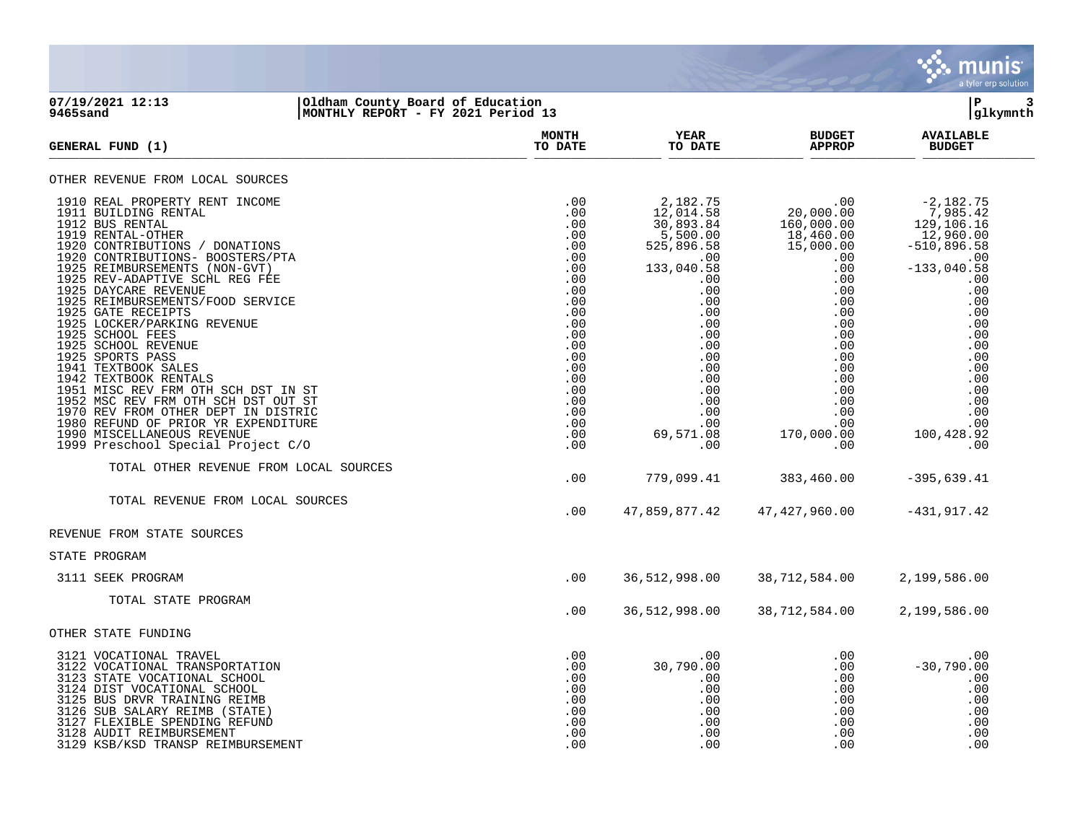

## **07/19/2021 12:13 |Oldham County Board of Education |P 3 9465sand |MONTHLY REPORT - FY 2021 Period 13 |glkymnth**

| <b>GENERAL FUND (1)</b>                                                                                                                                                                                                                                                                                                                                                                                                                                                                                                                                                                                                                                                                                 | <b>MONTH</b><br>TO DATE                                                                                                                                       | YEAR<br>TO DATE                                                                                                                                                                                           | <b>BUDGET</b><br><b>APPROP</b>                                                                                                                                                                                                | <b>AVAILABLE</b><br><b>BUDGET</b>                                                                                                                                                                                  |
|---------------------------------------------------------------------------------------------------------------------------------------------------------------------------------------------------------------------------------------------------------------------------------------------------------------------------------------------------------------------------------------------------------------------------------------------------------------------------------------------------------------------------------------------------------------------------------------------------------------------------------------------------------------------------------------------------------|---------------------------------------------------------------------------------------------------------------------------------------------------------------|-----------------------------------------------------------------------------------------------------------------------------------------------------------------------------------------------------------|-------------------------------------------------------------------------------------------------------------------------------------------------------------------------------------------------------------------------------|--------------------------------------------------------------------------------------------------------------------------------------------------------------------------------------------------------------------|
| OTHER REVENUE FROM LOCAL SOURCES                                                                                                                                                                                                                                                                                                                                                                                                                                                                                                                                                                                                                                                                        |                                                                                                                                                               |                                                                                                                                                                                                           |                                                                                                                                                                                                                               |                                                                                                                                                                                                                    |
| 1910 REAL PROPERTY RENT INCOME<br>1911 BUILDING RENTAL<br>1912 BUS RENTAL<br>1919 RENTAL-OTHER<br>1920 CONTRIBUTIONS / DONATIONS<br>1920 CONTRIBUTIONS- BOOSTERS/PTA<br>1925 REIMBURSEMENTS (NON-GVT)<br>1925 REV-ADAPTIVE SCHL REG FEE<br>1925 DAYCARE REVENUE<br>1925 REIMBURSEMENTS/FOOD SERVICE<br>1925 GATE RECEIPTS<br>1925 LOCKER/PARKING REVENUE<br>1925 SCHOOL FEES<br>1925 SCHOOL REVENUE<br>1925 SPORTS PASS<br>1941 TEXTBOOK SALES<br>1942 TEXTBOOK RENTALS<br>1951 MISC REV FRM OTH SCH DST IN ST<br>1952 MSC REV FRM OTH SCH DST OUT ST<br>1970 REV FROM OTHER DEPT IN DISTRIC<br>1980 REFUND OF PRIOR YR EXPENDITURE<br>1990 MISCELLANEOUS REVENUE<br>1999 Preschool Special Project C/O | .00<br>.00<br>.00<br>.00<br>.00<br>.00<br>.00<br>.00<br>.00<br>.00<br>.00<br>.00<br>.00<br>.00<br>.00<br>.00<br>.00<br>.00<br>.00<br>.00<br>.00<br>.00<br>.00 | 2,182.75<br>12,014.58<br>30,893.84<br>$5,500.00$<br>525,896.58<br>.00<br>133,040.58<br>.00<br>.00<br>.00<br>.00<br>.00<br>.00<br>.00<br>.00<br>.00<br>.00<br>.00<br>.00<br>.00<br>.00<br>69,571.08<br>.00 | $.00 \,$<br>20,000.00<br>160,000.00<br>$18,460.00$<br>$15,000.00$<br>$\frac{00}{2}$<br>.00<br>.00<br>.00<br>$.00 \ \,$<br>$.00 \,$<br>.00<br>.00<br>.00<br>.00<br>.00<br>.00<br>.00<br>.00<br>.00<br>.00<br>170,000.00<br>.00 | $-2,182.75$<br>7,985.42<br>129,106.16<br>12,960.00<br>$-510,896.58$<br>.00<br>$-133,040.58$<br>.00<br>.00<br>.00<br>.00<br>.00<br>.00<br>.00<br>.00<br>.00<br>.00<br>.00<br>.00<br>.00<br>.00<br>100,428.92<br>.00 |
| TOTAL OTHER REVENUE FROM LOCAL SOURCES                                                                                                                                                                                                                                                                                                                                                                                                                                                                                                                                                                                                                                                                  |                                                                                                                                                               |                                                                                                                                                                                                           |                                                                                                                                                                                                                               |                                                                                                                                                                                                                    |
| TOTAL REVENUE FROM LOCAL SOURCES                                                                                                                                                                                                                                                                                                                                                                                                                                                                                                                                                                                                                                                                        | .00<br>.00                                                                                                                                                    | 779,099.41<br>47,859,877.42                                                                                                                                                                               | 383,460.00<br>47, 427, 960.00                                                                                                                                                                                                 | $-395,639.41$<br>$-431,917.42$                                                                                                                                                                                     |
| REVENUE FROM STATE SOURCES                                                                                                                                                                                                                                                                                                                                                                                                                                                                                                                                                                                                                                                                              |                                                                                                                                                               |                                                                                                                                                                                                           |                                                                                                                                                                                                                               |                                                                                                                                                                                                                    |
| STATE PROGRAM                                                                                                                                                                                                                                                                                                                                                                                                                                                                                                                                                                                                                                                                                           |                                                                                                                                                               |                                                                                                                                                                                                           |                                                                                                                                                                                                                               |                                                                                                                                                                                                                    |
| 3111 SEEK PROGRAM                                                                                                                                                                                                                                                                                                                                                                                                                                                                                                                                                                                                                                                                                       | .00                                                                                                                                                           | 36,512,998.00                                                                                                                                                                                             | 38,712,584.00                                                                                                                                                                                                                 | 2,199,586.00                                                                                                                                                                                                       |
| TOTAL STATE PROGRAM                                                                                                                                                                                                                                                                                                                                                                                                                                                                                                                                                                                                                                                                                     | .00                                                                                                                                                           | 36,512,998.00                                                                                                                                                                                             | 38,712,584.00                                                                                                                                                                                                                 | 2,199,586.00                                                                                                                                                                                                       |
| OTHER STATE FUNDING                                                                                                                                                                                                                                                                                                                                                                                                                                                                                                                                                                                                                                                                                     |                                                                                                                                                               |                                                                                                                                                                                                           |                                                                                                                                                                                                                               |                                                                                                                                                                                                                    |
| 3121 VOCATIONAL TRAVEL<br>3122 VOCATIONAL TRANSPORTATION<br>3123 STATE VOCATIONAL SCHOOL<br>3124 DIST VOCATIONAL SCHOOL<br>3125 BUS DRVR TRAINING REIMB<br>3126 SUB SALARY REIMB (STATE)<br>3127 FLEXIBLE SPENDING REFUND<br>3128 AUDIT REIMBURSEMENT<br>3129 KSB/KSD TRANSP REIMBURSEMENT                                                                                                                                                                                                                                                                                                                                                                                                              | .00<br>.00<br>.00<br>.00<br>.00<br>.00<br>.00<br>.00<br>.00                                                                                                   | $.00 \,$<br>30,790.00<br>.00<br>.00<br>.00<br>.00<br>.00<br>.00<br>.00                                                                                                                                    | .00<br>.00<br>.00<br>.00<br>.00<br>.00<br>$.00 \,$<br>.00<br>.00                                                                                                                                                              | .00<br>$-30,790.00$<br>.00<br>.00<br>.00<br>.00<br>.00<br>.00<br>.00                                                                                                                                               |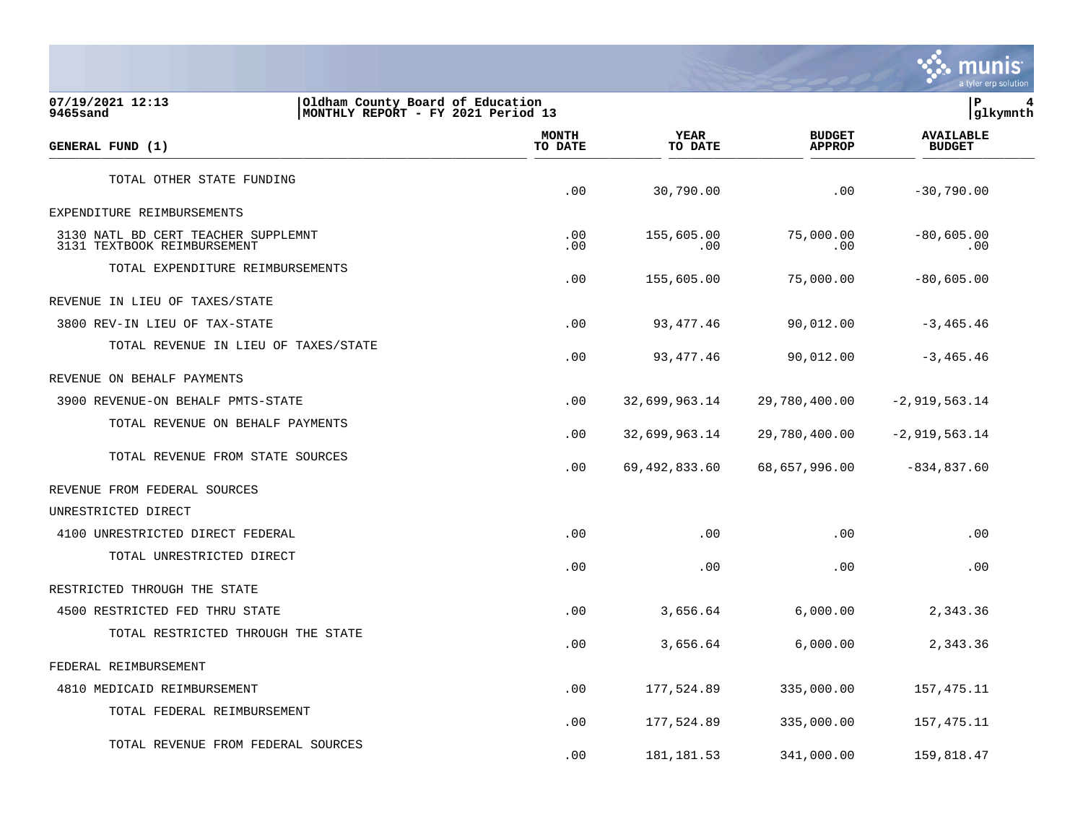

| 07/19/2021 12:13<br>Oldham County Board of Education<br>MONTHLY REPORT - FY 2021 Period 13<br>9465sand |                                      |                  |                        |                                | lР<br> glkymnth                   |
|--------------------------------------------------------------------------------------------------------|--------------------------------------|------------------|------------------------|--------------------------------|-----------------------------------|
| GENERAL FUND (1)                                                                                       |                                      | MONTH<br>TO DATE | <b>YEAR</b><br>TO DATE | <b>BUDGET</b><br><b>APPROP</b> | <b>AVAILABLE</b><br><b>BUDGET</b> |
| TOTAL OTHER STATE FUNDING                                                                              |                                      | .00              | 30,790.00              | .00                            | $-30,790.00$                      |
| EXPENDITURE REIMBURSEMENTS                                                                             |                                      |                  |                        |                                |                                   |
| 3130 NATL BD CERT TEACHER SUPPLEMNT<br>3131 TEXTBOOK REIMBURSEMENT                                     |                                      | .00<br>.00       | 155,605.00<br>.00      | 75,000.00<br>.00               | $-80,605.00$<br>.00               |
| TOTAL EXPENDITURE REIMBURSEMENTS                                                                       |                                      | .00              | 155,605.00             | 75,000.00                      | $-80,605.00$                      |
| REVENUE IN LIEU OF TAXES/STATE                                                                         |                                      |                  |                        |                                |                                   |
| 3800 REV-IN LIEU OF TAX-STATE                                                                          |                                      | .00              | 93,477.46              | 90,012.00                      | $-3,465.46$                       |
|                                                                                                        | TOTAL REVENUE IN LIEU OF TAXES/STATE | .00              | 93,477.46              | 90,012.00                      | $-3,465.46$                       |
| REVENUE ON BEHALF PAYMENTS                                                                             |                                      |                  |                        |                                |                                   |
| 3900 REVENUE-ON BEHALF PMTS-STATE                                                                      |                                      | .00              | 32,699,963.14          | 29,780,400.00                  | $-2,919,563.14$                   |
| TOTAL REVENUE ON BEHALF PAYMENTS                                                                       |                                      | .00              | 32,699,963.14          | 29,780,400.00                  | $-2,919,563.14$                   |
| TOTAL REVENUE FROM STATE SOURCES                                                                       |                                      | .00              | 69,492,833.60          | 68,657,996.00                  | $-834, 837.60$                    |
| REVENUE FROM FEDERAL SOURCES                                                                           |                                      |                  |                        |                                |                                   |
| UNRESTRICTED DIRECT                                                                                    |                                      |                  |                        |                                |                                   |
| 4100 UNRESTRICTED DIRECT FEDERAL                                                                       |                                      | .00              | .00                    | .00                            | .00                               |
| TOTAL UNRESTRICTED DIRECT                                                                              |                                      | .00              | .00                    | .00                            | .00                               |
| RESTRICTED THROUGH THE STATE                                                                           |                                      |                  |                        |                                |                                   |
| 4500 RESTRICTED FED THRU STATE                                                                         |                                      | .00              | 3,656.64               | 6,000.00                       | 2,343.36                          |
| TOTAL RESTRICTED THROUGH THE STATE                                                                     |                                      | .00              | 3,656.64               | 6,000.00                       | 2,343.36                          |
| FEDERAL REIMBURSEMENT                                                                                  |                                      |                  |                        |                                |                                   |
| 4810 MEDICAID REIMBURSEMENT                                                                            |                                      | .00              | 177,524.89             | 335,000.00                     | 157,475.11                        |
| TOTAL FEDERAL REIMBURSEMENT                                                                            |                                      | .00              | 177,524.89             | 335,000.00                     | 157,475.11                        |
| TOTAL REVENUE FROM FEDERAL SOURCES                                                                     |                                      | .00              | 181, 181.53            | 341,000.00                     | 159,818.47                        |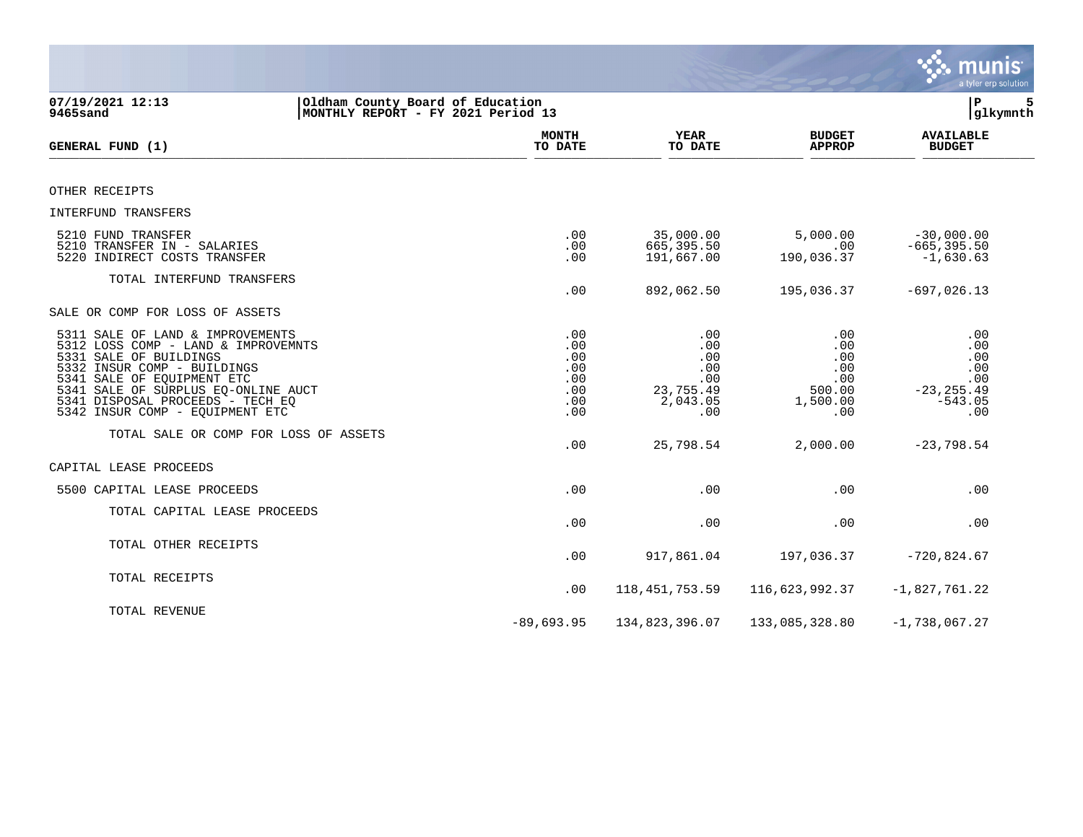|                                                                                                                                                                                                                                                                              |                                                      |                                                                 |                                                              | munis<br>a tyler erp solution                                        |
|------------------------------------------------------------------------------------------------------------------------------------------------------------------------------------------------------------------------------------------------------------------------------|------------------------------------------------------|-----------------------------------------------------------------|--------------------------------------------------------------|----------------------------------------------------------------------|
| 07/19/2021 12:13<br>Oldham County Board of Education<br>9465sand<br>MONTHLY REPORT - FY 2021 Period 13                                                                                                                                                                       |                                                      |                                                                 |                                                              | 5<br>ΙP<br>glkymnth                                                  |
| GENERAL FUND (1)                                                                                                                                                                                                                                                             | <b>MONTH</b><br>TO DATE                              | YEAR<br>TO DATE                                                 | <b>BUDGET</b><br><b>APPROP</b>                               | <b>AVAILABLE</b><br><b>BUDGET</b>                                    |
| OTHER RECEIPTS                                                                                                                                                                                                                                                               |                                                      |                                                                 |                                                              |                                                                      |
| INTERFUND TRANSFERS                                                                                                                                                                                                                                                          |                                                      |                                                                 |                                                              |                                                                      |
| 5210 FUND TRANSFER<br>5210 TRANSFER IN - SALARIES<br>5220 INDIRECT COSTS TRANSFER                                                                                                                                                                                            | .00<br>.00<br>.00                                    | 35,000.00<br>665,395.50<br>191,667.00                           | 5,000.00<br>.00<br>190,036.37                                | $-30,000.00$<br>$-665, 395.50$<br>$-1,630.63$                        |
| TOTAL INTERFUND TRANSFERS                                                                                                                                                                                                                                                    | .00                                                  | 892,062.50                                                      | 195,036.37                                                   | $-697,026.13$                                                        |
| SALE OR COMP FOR LOSS OF ASSETS                                                                                                                                                                                                                                              |                                                      |                                                                 |                                                              |                                                                      |
| 5311 SALE OF LAND & IMPROVEMENTS<br>5312 LOSS COMP - LAND & IMPROVEMNTS<br>5331 SALE OF BUILDINGS<br>5332 INSUR COMP - BUILDINGS<br>5341 SALE OF EQUIPMENT ETC<br>5341 SALE OF SURPLUS EQ-ONLINE AUCT<br>5341 DISPOSAL PROCEEDS - TECH EQ<br>5342 INSUR COMP - EQUIPMENT ETC | .00<br>.00<br>.00<br>.00<br>.00<br>.00<br>.00<br>.00 | .00<br>.00<br>.00<br>.00<br>.00<br>23,755.49<br>2,043.05<br>.00 | .00<br>.00<br>.00<br>.00<br>.00<br>500.00<br>1,500.00<br>.00 | .00<br>.00<br>.00<br>.00<br>.00<br>$-23, 255.49$<br>$-543.05$<br>.00 |
| TOTAL SALE OR COMP FOR LOSS OF ASSETS                                                                                                                                                                                                                                        | .00                                                  | 25,798.54                                                       | 2,000.00                                                     | $-23,798.54$                                                         |
| CAPITAL LEASE PROCEEDS                                                                                                                                                                                                                                                       |                                                      |                                                                 |                                                              |                                                                      |
| 5500 CAPITAL LEASE PROCEEDS                                                                                                                                                                                                                                                  | .00                                                  | .00                                                             | .00                                                          | .00                                                                  |
| TOTAL CAPITAL LEASE PROCEEDS                                                                                                                                                                                                                                                 | .00                                                  | .00                                                             | .00                                                          | .00                                                                  |
| TOTAL OTHER RECEIPTS                                                                                                                                                                                                                                                         | .00                                                  | 917,861.04                                                      | 197,036.37                                                   | $-720,824.67$                                                        |
| TOTAL RECEIPTS                                                                                                                                                                                                                                                               | .00                                                  | 118, 451, 753.59                                                | 116,623,992.37                                               | $-1,827,761.22$                                                      |
| TOTAL REVENUE                                                                                                                                                                                                                                                                | $-89,693.95$                                         | 134,823,396.07                                                  | 133,085,328.80                                               | $-1,738,067.27$                                                      |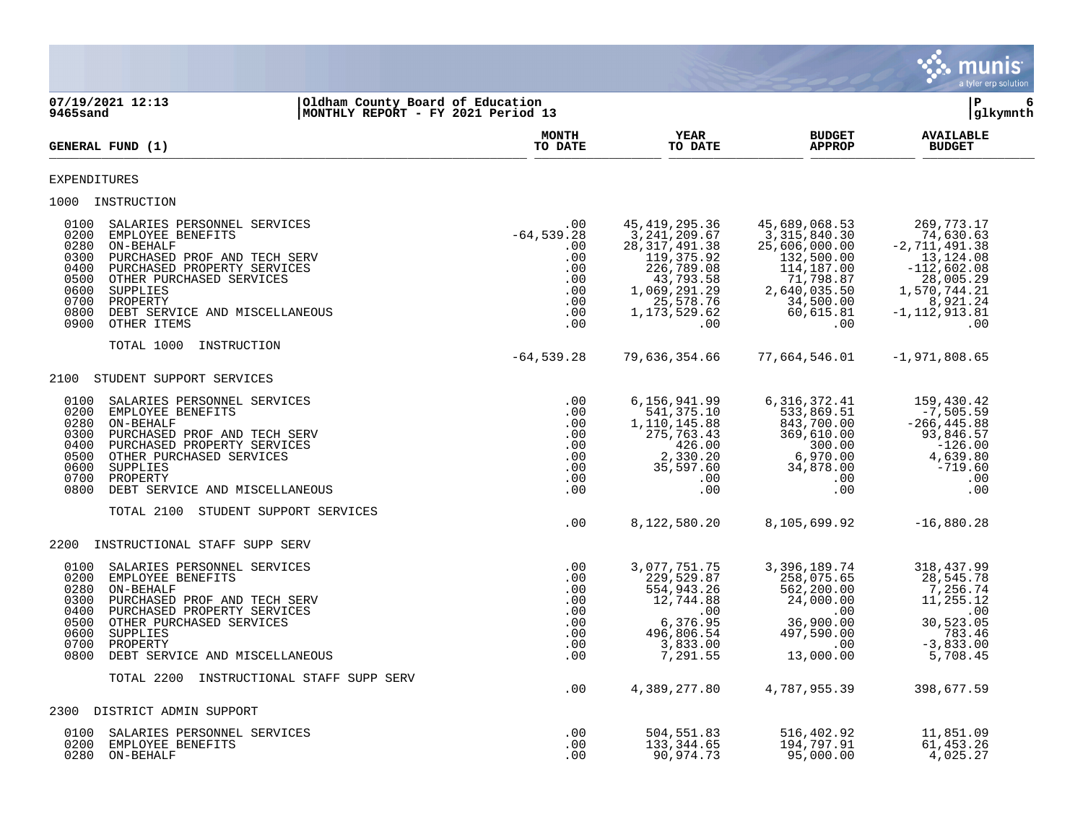|                                                                                                                                                                                                                                                                                                                   |                                                                              |                                                                                                                                                   |                                                                                                                                            | munis <sup>®</sup><br>a tyler erp solution                                                                                                    |
|-------------------------------------------------------------------------------------------------------------------------------------------------------------------------------------------------------------------------------------------------------------------------------------------------------------------|------------------------------------------------------------------------------|---------------------------------------------------------------------------------------------------------------------------------------------------|--------------------------------------------------------------------------------------------------------------------------------------------|-----------------------------------------------------------------------------------------------------------------------------------------------|
| 07/19/2021 12:13<br>Oldham County Board of Education<br>MONTHLY REPORT - FY 2021 Period 13<br>9465sand                                                                                                                                                                                                            |                                                                              |                                                                                                                                                   |                                                                                                                                            | P<br>6<br>glkymnth                                                                                                                            |
| GENERAL FUND (1)                                                                                                                                                                                                                                                                                                  | <b>MONTH</b><br>TO DATE                                                      | YEAR<br>TO DATE                                                                                                                                   | <b>BUDGET</b><br><b>APPROP</b>                                                                                                             | <b>AVAILABLE</b><br><b>BUDGET</b>                                                                                                             |
| EXPENDITURES                                                                                                                                                                                                                                                                                                      |                                                                              |                                                                                                                                                   |                                                                                                                                            |                                                                                                                                               |
| 1000 INSTRUCTION                                                                                                                                                                                                                                                                                                  |                                                                              |                                                                                                                                                   |                                                                                                                                            |                                                                                                                                               |
| SALARIES PERSONNEL SERVICES<br>0100<br>0200<br>EMPLOYEE BENEFITS<br>0280<br>ON-BEHALF<br>0300<br>PURCHASED PROF AND TECH SERV<br>0400<br>PURCHASED PROPERTY SERVICES<br>0500<br>OTHER PURCHASED SERVICES<br>0600<br>SUPPLIES<br>0700<br>PROPERTY<br>0800<br>DEBT SERVICE AND MISCELLANEOUS<br>0900<br>OTHER ITEMS | .00<br>$-64, 539.28$<br>.00<br>.00<br>.00<br>.00<br>.00<br>.00<br>.00<br>.00 | 45, 419, 295.36<br>3,241,209.67<br>28, 317, 491.38<br>119,375.92<br>226,789.08<br>43,793.58<br>1,069,291.29<br>25,578.76<br>1, 173, 529.62<br>.00 | 45,689,068.53<br>3, 315, 840.30<br>25,606,000.00<br>132,500.00<br>114,187.00<br>71,798.87<br>2,640,035.50<br>34,500.00<br>60,615.81<br>.00 | 269,773.17<br>74,630.63<br>$-2,711,491.38$<br>13,124.08<br>$-112,602.08$<br>28,005.29<br>1,570,744.21<br>8,921.24<br>$-1, 112, 913.81$<br>.00 |
| TOTAL 1000<br>INSTRUCTION                                                                                                                                                                                                                                                                                         | $-64, 539.28$                                                                | 79,636,354.66                                                                                                                                     | 77,664,546.01                                                                                                                              | $-1,971,808.65$                                                                                                                               |
| 2100<br>STUDENT SUPPORT SERVICES                                                                                                                                                                                                                                                                                  |                                                                              |                                                                                                                                                   |                                                                                                                                            |                                                                                                                                               |
| SALARIES PERSONNEL SERVICES<br>0100<br>0200<br>EMPLOYEE BENEFITS<br>0280<br>ON-BEHALF<br>0300<br>PURCHASED PROF AND TECH SERV<br>0400<br>PURCHASED PROPERTY SERVICES<br>0500<br>OTHER PURCHASED SERVICES<br>0600<br>SUPPLIES<br>0700<br>PROPERTY<br>0800<br>DEBT SERVICE AND MISCELLANEOUS                        | .00<br>.00<br>.00<br>.00<br>.00<br>.00<br>.00<br>.00<br>.00                  | 6,156,941.99<br>541,375.10<br>1,110,145.88<br>275, 763.43<br>426.00<br>2,330.20<br>35,597.60<br>.00<br>.00                                        | 6, 316, 372.41<br>533,869.51<br>843,700.00<br>369,610.00<br>300.00<br>6,970.00<br>34,878.00<br>$.00 \,$<br>.00                             | 159,430.42<br>$-7,505.59$<br>$-266, 445.88$<br>93,846.57<br>$-126.00$<br>4,639.80<br>-719.60<br>.00<br>.00                                    |
| TOTAL 2100<br>STUDENT SUPPORT SERVICES                                                                                                                                                                                                                                                                            | .00                                                                          | 8,122,580.20                                                                                                                                      | 8,105,699.92                                                                                                                               | $-16,880.28$                                                                                                                                  |
| INSTRUCTIONAL STAFF SUPP SERV<br>2200                                                                                                                                                                                                                                                                             |                                                                              |                                                                                                                                                   |                                                                                                                                            |                                                                                                                                               |
| 0100<br>SALARIES PERSONNEL SERVICES<br>0200<br>EMPLOYEE BENEFITS<br>0280<br>ON-BEHALF<br>0300<br>PURCHASED PROF AND TECH SERV<br>0400<br>PURCHASED PROPERTY SERVICES<br>0500<br>OTHER PURCHASED SERVICES<br>0600<br>SUPPLIES<br>0700<br>PROPERTY<br>0800 DEBT SERVICE AND MISCELLANEOUS                           | .00<br>.00<br>.00<br>.00<br>.00<br>.00<br>.00<br>.00<br>.00                  | 3,077,751.75<br>229,529.87<br>554,943.26<br>12,744.88<br>.00<br>6,376.95<br>496,806.54<br>3,833.00<br>7,291.55                                    | 3,396,189.74<br>258,075.65<br>562,200.00<br>24,000.00<br>.00<br>36,900.00<br>497,590.00<br>.00<br>13,000.00                                | 318, 437.99<br>28,545.78<br>7,256.74<br>11,255.12<br>.00<br>30,523.05<br>783.46<br>$-3,833.00$<br>5,708.45                                    |
| TOTAL 2200 INSTRUCTIONAL STAFF SUPP SERV                                                                                                                                                                                                                                                                          | .00                                                                          | 4,389,277.80                                                                                                                                      | 4,787,955.39                                                                                                                               |                                                                                                                                               |
| 2300 DISTRICT ADMIN SUPPORT                                                                                                                                                                                                                                                                                       |                                                                              |                                                                                                                                                   |                                                                                                                                            | 398,677.59                                                                                                                                    |
| 0100<br>SALARIES PERSONNEL SERVICES<br>0200 EMPLOYEE BENEFITS<br>0280 ON-BEHALF                                                                                                                                                                                                                                   | .00<br>.00<br>.00                                                            | 504,551.83<br>133, 344.65<br>90,974.73                                                                                                            | 516,402.92<br>194,797.91<br>95,000.00                                                                                                      | 11,851.09<br>61, 453.26<br>4,025.27                                                                                                           |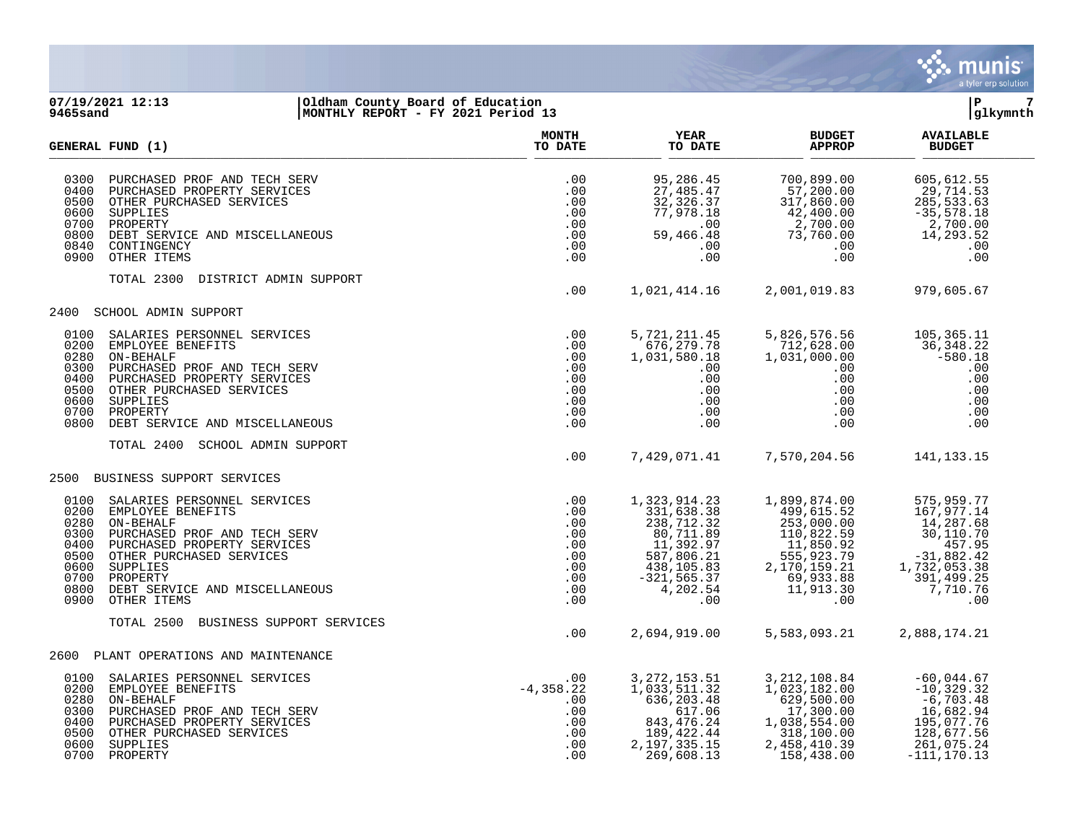

## **07/19/2021 12:13 |Oldham County Board of Education |P 7 9465sand |MONTHLY REPORT - FY 2021 Period 13 |glkymnth**

|                                                                              | GENERAL FUND (1)                                                                                                                                                                                                                  | <b>MONTH</b><br>TO DATE                                            | <b>YEAR</b><br>TO DATE                                                                                                                          | <b>BUDGET</b><br><b>APPROP</b>                                                                                                                         | <b>AVAILABLE</b><br><b>BUDGET</b>                                                                                             |  |
|------------------------------------------------------------------------------|-----------------------------------------------------------------------------------------------------------------------------------------------------------------------------------------------------------------------------------|--------------------------------------------------------------------|-------------------------------------------------------------------------------------------------------------------------------------------------|--------------------------------------------------------------------------------------------------------------------------------------------------------|-------------------------------------------------------------------------------------------------------------------------------|--|
| 0300<br>0400<br>0500<br>0600<br>0700<br>0800<br>0840<br>0900                 | PURCHASED PROF AND TECH SERV<br>PURCHASED PROPERTY SERVICES<br>OTHER PURCHASED SERVICES<br>SUPPLIES<br>PROPERTY<br>DEBT SERVICE AND MISCELLANEOUS<br>CONTINGENCY<br>OTHER ITEMS                                                   | .00<br>.00<br>.00<br>.00<br>.00<br>.00<br>.00<br>.00               | 95,286.45<br>27,485.47<br>32, 326.37<br>77,978.18<br>.00<br>59,466.48<br>$.00 \,$<br>.00                                                        | 700,899.00<br>57,200.00<br>317,860.00<br>$\frac{42,400.00}{2,700.00}$<br>73,760.00<br>.00<br>.00<br>.00                                                | 605,612.55<br>29,714.53<br>285,533.63<br>$-35,578.18$<br>2,700.00<br>14,293.52<br>.00<br>.00                                  |  |
|                                                                              | TOTAL 2300<br>DISTRICT ADMIN SUPPORT                                                                                                                                                                                              | .00                                                                | 1,021,414.16                                                                                                                                    | 2,001,019.83                                                                                                                                           | 979,605.67                                                                                                                    |  |
| 2400                                                                         | SCHOOL ADMIN SUPPORT                                                                                                                                                                                                              |                                                                    |                                                                                                                                                 |                                                                                                                                                        |                                                                                                                               |  |
| 0100<br>0200<br>0280<br>0300<br>0400<br>0500<br>0600<br>0700<br>0800         | SALARIES PERSONNEL SERVICES<br>EMPLOYEE BENEFITS<br>ON-BEHALF<br>PURCHASED PROF AND TECH SERV<br>PURCHASED PROPERTY SERVICES<br>OTHER PURCHASED SERVICES<br>SUPPLIES<br>PROPERTY<br>DEBT SERVICE AND MISCELLANEOUS                | .00<br>.00<br>.00<br>.00<br>.00<br>.00<br>.00<br>.00<br>.00        | 5,721,211.45<br>676, 279.78<br>1,031,580.18<br>.00<br>.00<br>.00<br>$\begin{array}{c} 0.00 \ 0.00 \end{array}$<br>.00<br>.00                    | 5,826,576.56<br>712,628.00<br>1,031,000.00<br>.00<br>.00<br>.00<br>.00<br>.00<br>.00                                                                   | 105,365.11<br>36,348.22<br>$-580.18$<br>.00<br>.00<br>.00<br>.00<br>.00<br>.00                                                |  |
|                                                                              | TOTAL 2400<br>SCHOOL ADMIN SUPPORT                                                                                                                                                                                                | .00                                                                | 7,429,071.41                                                                                                                                    | 7,570,204.56                                                                                                                                           | 141,133.15                                                                                                                    |  |
| 2500                                                                         | BUSINESS SUPPORT SERVICES                                                                                                                                                                                                         |                                                                    |                                                                                                                                                 |                                                                                                                                                        |                                                                                                                               |  |
| 0100<br>0200<br>0280<br>0300<br>0400<br>0500<br>0600<br>0700<br>0800<br>0900 | SALARIES PERSONNEL SERVICES<br>EMPLOYEE BENEFITS<br>ON-BEHALF<br>PURCHASED PROF AND TECH SERV<br>PURCHASED PROPERTY SERVICES<br>OTHER PURCHASED SERVICES<br>SUPPLIES<br>PROPERTY<br>DEBT SERVICE AND MISCELLANEOUS<br>OTHER ITEMS | .00<br>.00<br>.00<br>.00<br>.00<br>.00<br>.00<br>.00<br>.00<br>.00 | 1,323,914.23<br>$7,331,638.38$<br>$238,712.32$<br>$80,711.89$<br>$11,392.97$<br>$587,806.21$<br>438,105.83<br>$-321, 565.37$<br>4,202.54<br>.00 | 1,899,874.00<br>499,615.52<br>253,000.00<br>$110, 822.59$<br>$11, 850.92$<br>$555, 923.79$<br>$2, 170, 159.21$<br>$1$<br>69,933.88<br>11,913.30<br>.00 | 575,959.77<br>167,977.14<br>14,287.68<br>30,110.70<br>457.95<br>$-31,882.42$<br>1,732,053.38<br>391,499.25<br>7,710.76<br>.00 |  |
|                                                                              | BUSINESS SUPPORT SERVICES<br>TOTAL 2500                                                                                                                                                                                           | .00                                                                | 2,694,919.00                                                                                                                                    | 5,583,093.21                                                                                                                                           | 2,888,174.21                                                                                                                  |  |
| 2600                                                                         | PLANT OPERATIONS AND MAINTENANCE                                                                                                                                                                                                  |                                                                    |                                                                                                                                                 |                                                                                                                                                        |                                                                                                                               |  |
| 0100<br>0200<br>0280<br>0300<br>0400<br>0500                                 | SALARIES PERSONNEL SERVICES<br>EMPLOYEE BENEFITS<br>ON-BEHALF<br>PURCHASED PROF AND TECH SERV<br>PURCHASED PROPERTY SERVICES<br>OTHER PURCHASED SERVICES<br>0600 SUPPLIES<br>0700 PROPERTY                                        | .00<br>$-4, 358.22$<br>.00<br>.00<br>.00<br>.00<br>.00<br>.00      | 3, 272, 153.51<br>1,033,511.32<br>636,203.48<br>617.06<br>843, 476.24<br>189,422.44<br>2, 197, 335. 15<br>269,608.13                            | 3, 212, 108.84<br>1,023,182.00<br>629,500.00<br>17,300.00<br>1,038,554.00<br>318,100.00<br>2,458,410.39<br>158,438.00                                  | $-60,044.67$<br>$-10, 329.32$<br>$-6,703.48$<br>16,682.94<br>195,077.76<br>128,677.56<br>261,075.24<br>$-111, 170.13$         |  |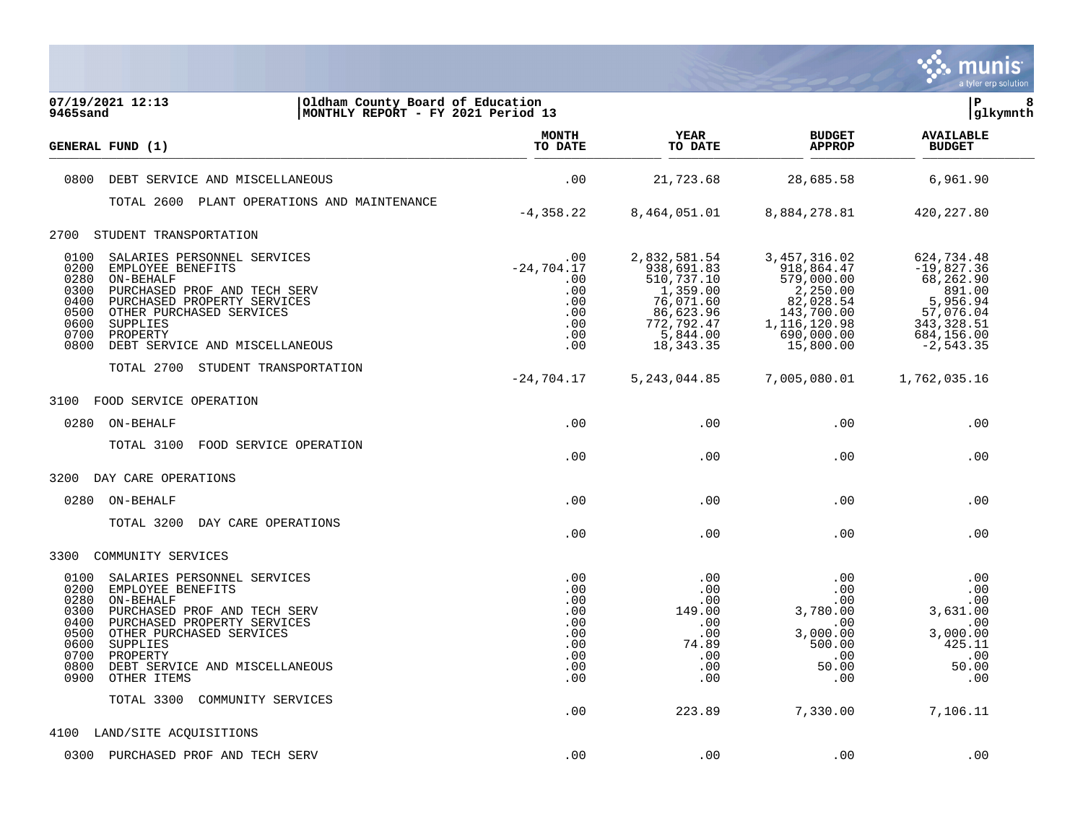

| 07/19/2021 12:13<br>Oldham County Board of Education<br>MONTHLY REPORT - FY 2021 Period 13<br>9465sand                                                                                                                                                                                                            |                                                                                     |                                                                                                                         |                                                                                                                                | lР<br> glkymnth                                                                                                         | 8 |
|-------------------------------------------------------------------------------------------------------------------------------------------------------------------------------------------------------------------------------------------------------------------------------------------------------------------|-------------------------------------------------------------------------------------|-------------------------------------------------------------------------------------------------------------------------|--------------------------------------------------------------------------------------------------------------------------------|-------------------------------------------------------------------------------------------------------------------------|---|
| GENERAL FUND (1)                                                                                                                                                                                                                                                                                                  | <b>MONTH</b><br>TO DATE                                                             | YEAR<br>TO DATE                                                                                                         | <b>BUDGET</b><br><b>APPROP</b>                                                                                                 | <b>AVAILABLE</b><br><b>BUDGET</b>                                                                                       |   |
| 0800<br>DEBT SERVICE AND MISCELLANEOUS                                                                                                                                                                                                                                                                            | .00                                                                                 | 21,723.68                                                                                                               | 28,685.58                                                                                                                      | 6,961.90                                                                                                                |   |
| TOTAL 2600 PLANT OPERATIONS AND MAINTENANCE                                                                                                                                                                                                                                                                       |                                                                                     |                                                                                                                         |                                                                                                                                |                                                                                                                         |   |
|                                                                                                                                                                                                                                                                                                                   | $-4, 358.22$                                                                        | 8,464,051.01                                                                                                            | 8,884,278.81                                                                                                                   | 420,227.80                                                                                                              |   |
| 2700<br>STUDENT TRANSPORTATION                                                                                                                                                                                                                                                                                    |                                                                                     |                                                                                                                         |                                                                                                                                |                                                                                                                         |   |
| 0100<br>SALARIES PERSONNEL SERVICES<br>0200<br>EMPLOYEE BENEFITS<br>0280<br>ON-BEHALF<br>0300<br>PURCHASED PROF AND TECH SERV<br>0400<br>PURCHASED PROPERTY SERVICES<br>0500<br>OTHER PURCHASED SERVICES<br>0600<br>SUPPLIES<br>0700<br>PROPERTY<br>0800<br>DEBT SERVICE AND MISCELLANEOUS                        | $.00 \,$<br>$-24,704.17$<br>$.00 \,$<br>.00<br>.00<br>.00<br>.00<br>$.00 \,$<br>.00 | 2,832,581.54<br>938,691.83<br>510,737.10<br>1,359.00<br>76,071.60<br>86,623.96<br>772,792.47<br>5,844.00<br>18, 343. 35 | 3, 457, 316.02<br>918,864.47<br>579,000.00<br>2,250.00<br>82,028.54<br>143,700.00<br>1, 116, 120.98<br>690,000.00<br>15,800.00 | 624,734.48<br>$-19,827.36$<br>68,262.90<br>891.00<br>5,956.94<br>57,076.04<br>343, 328.51<br>684,156.00<br>$-2, 543.35$ |   |
| TOTAL 2700 STUDENT TRANSPORTATION                                                                                                                                                                                                                                                                                 | $-24,704.17$                                                                        | 5, 243, 044.85                                                                                                          | 7,005,080.01                                                                                                                   | 1,762,035.16                                                                                                            |   |
| 3100<br>FOOD SERVICE OPERATION                                                                                                                                                                                                                                                                                    |                                                                                     |                                                                                                                         |                                                                                                                                |                                                                                                                         |   |
| 0280<br>ON-BEHALF                                                                                                                                                                                                                                                                                                 | .00                                                                                 | .00                                                                                                                     | .00                                                                                                                            | .00                                                                                                                     |   |
| TOTAL 3100<br>FOOD SERVICE OPERATION                                                                                                                                                                                                                                                                              | .00                                                                                 | .00                                                                                                                     | .00                                                                                                                            | .00                                                                                                                     |   |
| 3200 DAY CARE OPERATIONS                                                                                                                                                                                                                                                                                          |                                                                                     |                                                                                                                         |                                                                                                                                |                                                                                                                         |   |
| 0280 ON-BEHALF                                                                                                                                                                                                                                                                                                    | .00                                                                                 | .00                                                                                                                     | .00                                                                                                                            | .00                                                                                                                     |   |
| TOTAL 3200<br>DAY CARE OPERATIONS                                                                                                                                                                                                                                                                                 | .00                                                                                 | .00                                                                                                                     | .00                                                                                                                            | .00                                                                                                                     |   |
| 3300<br>COMMUNITY SERVICES                                                                                                                                                                                                                                                                                        |                                                                                     |                                                                                                                         |                                                                                                                                |                                                                                                                         |   |
| 0100<br>SALARIES PERSONNEL SERVICES<br>0200<br>EMPLOYEE BENEFITS<br>0280<br>ON-BEHALF<br>0300<br>PURCHASED PROF AND TECH SERV<br>0400<br>PURCHASED PROPERTY SERVICES<br>0500<br>OTHER PURCHASED SERVICES<br>0600<br>SUPPLIES<br>0700<br>PROPERTY<br>0800<br>DEBT SERVICE AND MISCELLANEOUS<br>0900<br>OTHER ITEMS | .00<br>.00<br>.00<br>.00<br>.00<br>.00<br>.00<br>.00<br>.00<br>.00                  | .00<br>.00<br>.00<br>149.00<br>.00<br>.00<br>74.89<br>.00<br>.00<br>.00                                                 | .00<br>.00<br>.00<br>3,780.00<br>.00<br>3,000.00<br>500.00<br>.00<br>50.00<br>.00                                              | .00<br>.00<br>.00<br>3,631.00<br>.00<br>3,000.00<br>425.11<br>$\,$ .00<br>50.00<br>.00                                  |   |
| TOTAL 3300<br>COMMUNITY SERVICES                                                                                                                                                                                                                                                                                  | .00                                                                                 | 223.89                                                                                                                  | 7,330.00                                                                                                                       | 7,106.11                                                                                                                |   |
| 4100 LAND/SITE ACQUISITIONS                                                                                                                                                                                                                                                                                       |                                                                                     |                                                                                                                         |                                                                                                                                |                                                                                                                         |   |
| 0300 PURCHASED PROF AND TECH SERV                                                                                                                                                                                                                                                                                 | .00                                                                                 | .00                                                                                                                     | .00                                                                                                                            | .00                                                                                                                     |   |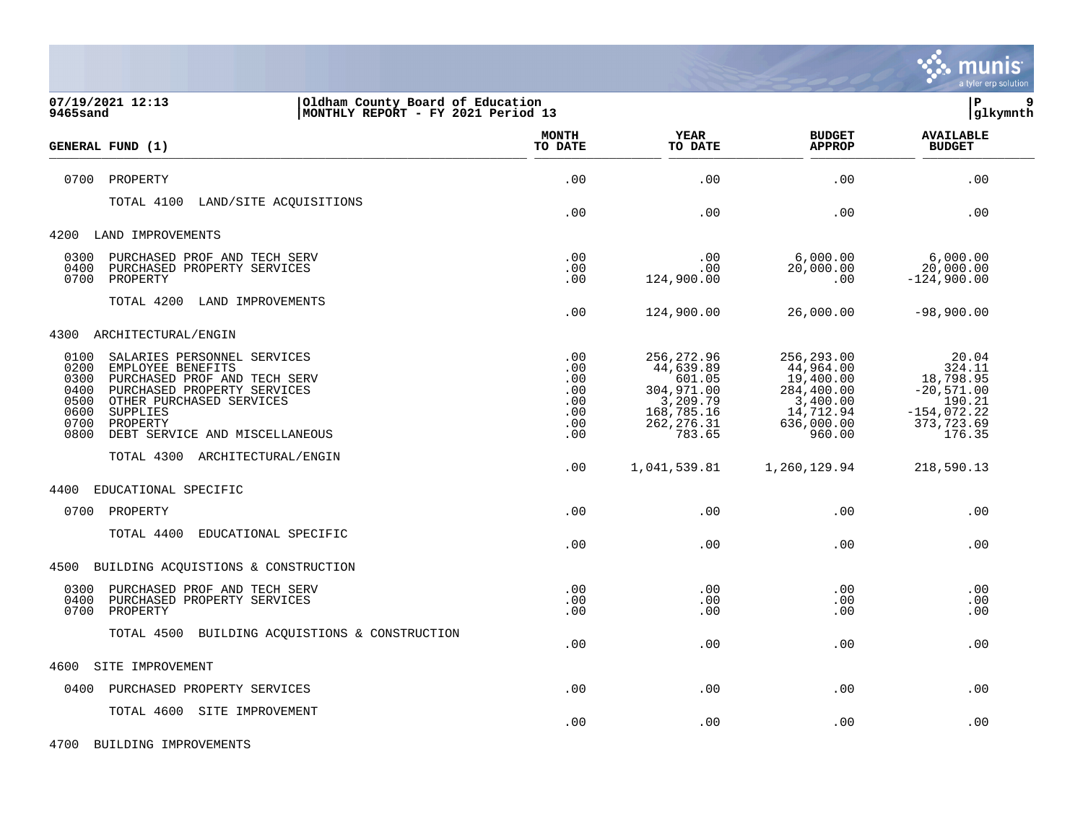

| 07/19/2021 12:13<br>Oldham County Board of Education<br>MONTHLY REPORT - FY 2021 Period 13<br>9465sand                                                                                                                                                                |                                                      |                                                                                                     |                                                                                                     | lР<br>glkymnth                                                                                  |  |
|-----------------------------------------------------------------------------------------------------------------------------------------------------------------------------------------------------------------------------------------------------------------------|------------------------------------------------------|-----------------------------------------------------------------------------------------------------|-----------------------------------------------------------------------------------------------------|-------------------------------------------------------------------------------------------------|--|
| <b>GENERAL FUND (1)</b>                                                                                                                                                                                                                                               | <b>MONTH</b><br>TO DATE                              | <b>YEAR</b><br>TO DATE                                                                              | <b>BUDGET</b><br><b>APPROP</b>                                                                      | <b>AVAILABLE</b><br><b>BUDGET</b>                                                               |  |
| PROPERTY<br>0700                                                                                                                                                                                                                                                      | .00                                                  | .00                                                                                                 | .00                                                                                                 | .00                                                                                             |  |
| TOTAL 4100 LAND/SITE ACQUISITIONS                                                                                                                                                                                                                                     | .00                                                  | .00                                                                                                 | .00                                                                                                 | .00                                                                                             |  |
| 4200<br>LAND IMPROVEMENTS                                                                                                                                                                                                                                             |                                                      |                                                                                                     |                                                                                                     |                                                                                                 |  |
| 0300<br>PURCHASED PROF AND TECH SERV<br>0400<br>PURCHASED PROPERTY SERVICES<br>0700<br>PROPERTY                                                                                                                                                                       | .00<br>.00<br>.00                                    | .00<br>$.00 \,$<br>124,900.00                                                                       | 6,000.00<br>20,000.00<br>.00                                                                        | 6,000.00<br>20,000.00<br>$-124,900.00$                                                          |  |
| TOTAL 4200<br>LAND IMPROVEMENTS                                                                                                                                                                                                                                       | .00                                                  | 124,900.00                                                                                          | 26,000.00                                                                                           | $-98,900.00$                                                                                    |  |
| 4300<br>ARCHITECTURAL/ENGIN                                                                                                                                                                                                                                           |                                                      |                                                                                                     |                                                                                                     |                                                                                                 |  |
| 0100<br>SALARIES PERSONNEL SERVICES<br>0200<br>EMPLOYEE BENEFITS<br>0300<br>PURCHASED PROF AND TECH SERV<br>0400<br>PURCHASED PROPERTY SERVICES<br>0500<br>OTHER PURCHASED SERVICES<br>0600<br>SUPPLIES<br>0700<br>PROPERTY<br>0800<br>DEBT SERVICE AND MISCELLANEOUS | .00<br>.00<br>.00<br>.00<br>.00<br>.00<br>.00<br>.00 | 256, 272.96<br>44,639.89<br>601.05<br>304,971.00<br>3,209.79<br>168,785.16<br>262, 276.31<br>783.65 | 256,293.00<br>44,964.00<br>19,400.00<br>284,400.00<br>3,400.00<br>14,712.94<br>636,000.00<br>960.00 | 20.04<br>324.11<br>18,798.95<br>$-20,571.00$<br>190.21<br>$-154,072.22$<br>373,723.69<br>176.35 |  |
| TOTAL 4300 ARCHITECTURAL/ENGIN                                                                                                                                                                                                                                        | .00                                                  | 1,041,539.81                                                                                        | 1,260,129.94                                                                                        | 218,590.13                                                                                      |  |
| 4400<br>EDUCATIONAL SPECIFIC                                                                                                                                                                                                                                          |                                                      |                                                                                                     |                                                                                                     |                                                                                                 |  |
| 0700 PROPERTY                                                                                                                                                                                                                                                         | .00                                                  | .00                                                                                                 | .00                                                                                                 | .00                                                                                             |  |
| TOTAL 4400<br>EDUCATIONAL SPECIFIC                                                                                                                                                                                                                                    | .00                                                  | .00                                                                                                 | .00                                                                                                 | .00                                                                                             |  |
| BUILDING ACQUISTIONS & CONSTRUCTION<br>4500                                                                                                                                                                                                                           |                                                      |                                                                                                     |                                                                                                     |                                                                                                 |  |
| 0300<br>PURCHASED PROF AND TECH SERV<br>0400<br>PURCHASED PROPERTY SERVICES<br>0700<br>PROPERTY                                                                                                                                                                       | .00<br>.00<br>.00                                    | .00<br>.00<br>.00                                                                                   | .00<br>.00<br>.00                                                                                   | .00<br>.00<br>.00                                                                               |  |
| TOTAL 4500 BUILDING ACQUISTIONS & CONSTRUCTION                                                                                                                                                                                                                        | .00                                                  | .00                                                                                                 | .00                                                                                                 | .00                                                                                             |  |
| SITE IMPROVEMENT<br>4600                                                                                                                                                                                                                                              |                                                      |                                                                                                     |                                                                                                     |                                                                                                 |  |
| PURCHASED PROPERTY SERVICES<br>0400                                                                                                                                                                                                                                   | .00                                                  | .00                                                                                                 | .00                                                                                                 | .00                                                                                             |  |
| TOTAL 4600 SITE IMPROVEMENT                                                                                                                                                                                                                                           | .00                                                  | .00                                                                                                 | .00                                                                                                 | .00                                                                                             |  |

4700 BUILDING IMPROVEMENTS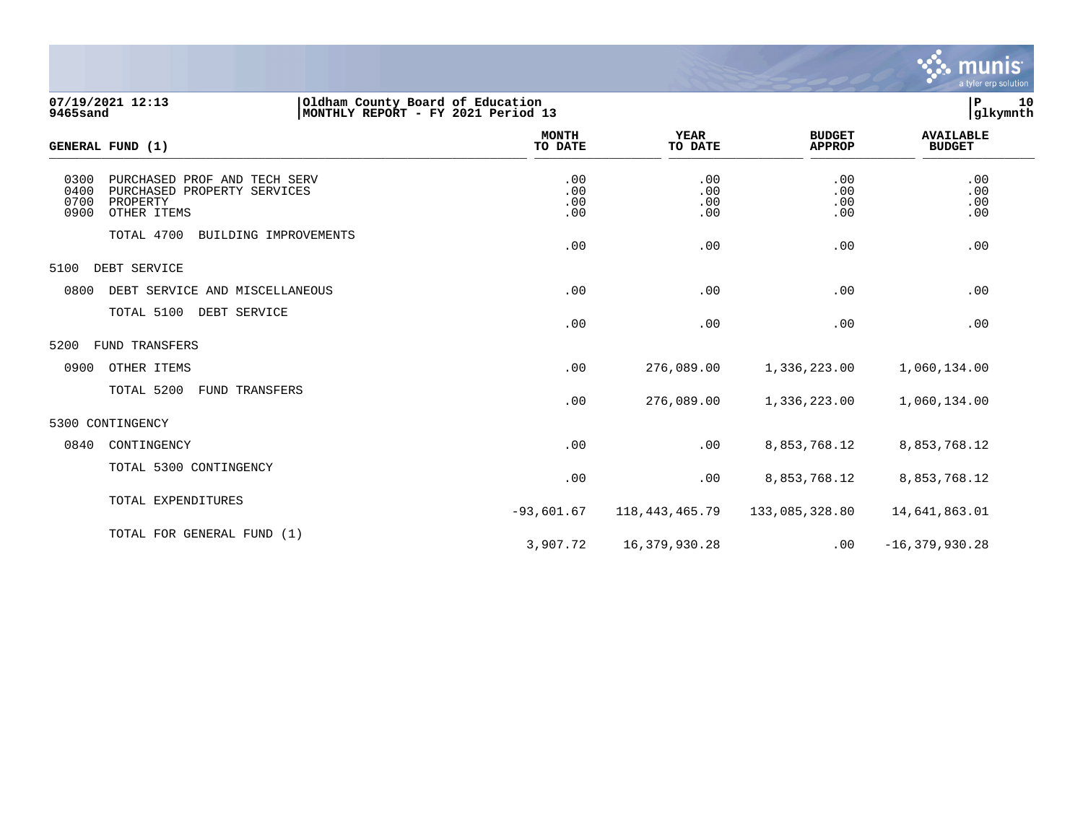

| 07/19/2021 12:13<br>Oldham County Board of Education<br>MONTHLY REPORT - FY 2021 Period 13<br><b>9465sand</b>          |                          |                          |                                | 10<br>P<br>glkymnth               |
|------------------------------------------------------------------------------------------------------------------------|--------------------------|--------------------------|--------------------------------|-----------------------------------|
| GENERAL FUND (1)                                                                                                       | <b>MONTH</b><br>TO DATE  | <b>YEAR</b><br>TO DATE   | <b>BUDGET</b><br><b>APPROP</b> | <b>AVAILABLE</b><br><b>BUDGET</b> |
| 0300<br>PURCHASED PROF AND TECH SERV<br>0400<br>PURCHASED PROPERTY SERVICES<br>0700<br>PROPERTY<br>0900<br>OTHER ITEMS | .00<br>.00<br>.00<br>.00 | .00<br>.00<br>.00<br>.00 | .00<br>.00<br>.00<br>.00       | .00<br>.00<br>.00<br>.00          |
| TOTAL 4700<br>BUILDING IMPROVEMENTS                                                                                    | .00                      | .00                      | .00                            | .00                               |
| 5100<br>DEBT SERVICE                                                                                                   |                          |                          |                                |                                   |
| 0800<br>DEBT SERVICE AND MISCELLANEOUS                                                                                 | .00                      | .00                      | .00                            | .00                               |
| TOTAL 5100<br>DEBT SERVICE                                                                                             | .00                      | .00                      | .00                            | .00                               |
| 5200<br>FUND TRANSFERS                                                                                                 |                          |                          |                                |                                   |
| 0900<br>OTHER ITEMS                                                                                                    | .00                      | 276,089.00               | 1,336,223.00                   | 1,060,134.00                      |
| TOTAL 5200<br>FUND TRANSFERS                                                                                           | .00                      | 276,089.00               | 1,336,223.00                   | 1,060,134.00                      |
| 5300 CONTINGENCY                                                                                                       |                          |                          |                                |                                   |
| 0840<br>CONTINGENCY                                                                                                    | .00                      | .00                      | 8,853,768.12                   | 8,853,768.12                      |
| TOTAL 5300 CONTINGENCY                                                                                                 | .00                      | .00                      | 8,853,768.12                   | 8,853,768.12                      |
| TOTAL EXPENDITURES                                                                                                     | $-93,601.67$             | 118, 443, 465. 79        | 133,085,328.80                 | 14,641,863.01                     |
| TOTAL FOR GENERAL FUND (1)                                                                                             |                          |                          |                                |                                   |

3,907.72 16,379,930.28 .00 -16,379,930.28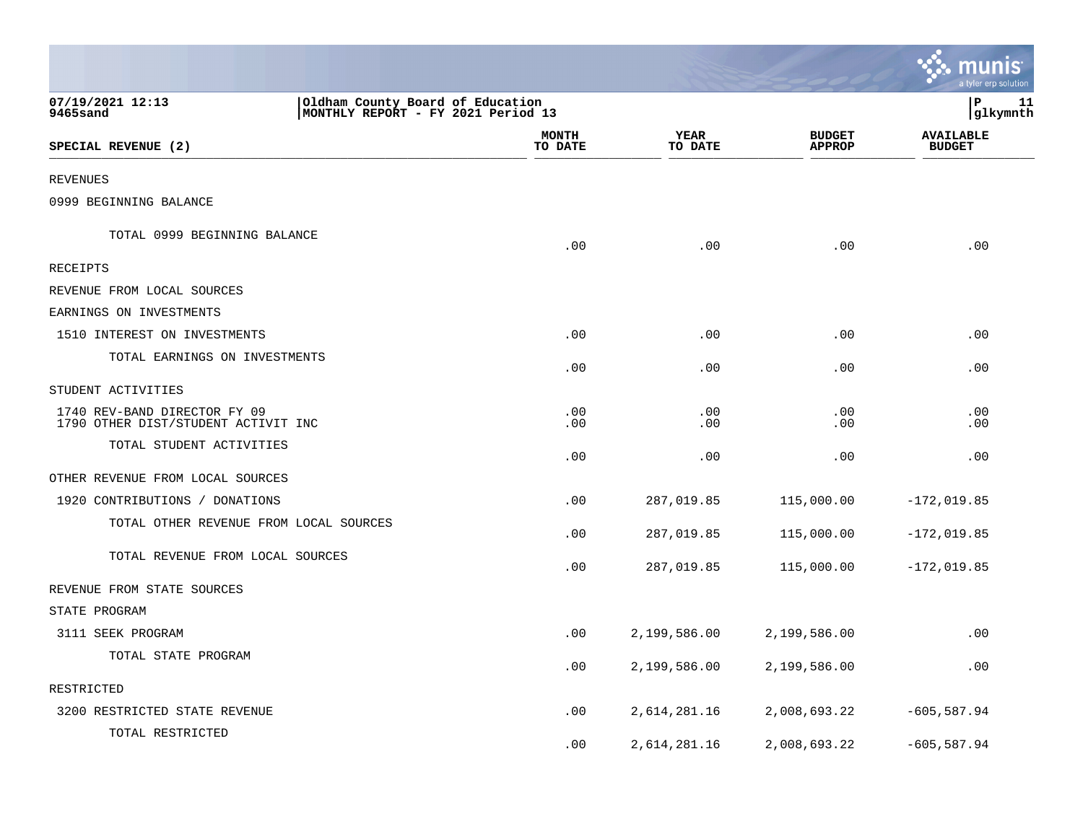|                                                                                                        |                  |                        |                                | munis<br>a tyler erp solution     |
|--------------------------------------------------------------------------------------------------------|------------------|------------------------|--------------------------------|-----------------------------------|
| 07/19/2021 12:13<br>Oldham County Board of Education<br>9465sand<br>MONTHLY REPORT - FY 2021 Period 13 |                  |                        |                                | P<br>11<br> glkymnth              |
| SPECIAL REVENUE (2)                                                                                    | MONTH<br>TO DATE | <b>YEAR</b><br>TO DATE | <b>BUDGET</b><br><b>APPROP</b> | <b>AVAILABLE</b><br><b>BUDGET</b> |
| REVENUES                                                                                               |                  |                        |                                |                                   |
| 0999 BEGINNING BALANCE                                                                                 |                  |                        |                                |                                   |
| TOTAL 0999 BEGINNING BALANCE                                                                           | .00              | .00                    | .00                            | .00                               |
| RECEIPTS                                                                                               |                  |                        |                                |                                   |
| REVENUE FROM LOCAL SOURCES                                                                             |                  |                        |                                |                                   |
| EARNINGS ON INVESTMENTS                                                                                |                  |                        |                                |                                   |
| 1510 INTEREST ON INVESTMENTS                                                                           | .00              | .00                    | .00                            | .00                               |
| TOTAL EARNINGS ON INVESTMENTS                                                                          | .00              | .00                    | .00                            | .00                               |
| STUDENT ACTIVITIES                                                                                     |                  |                        |                                |                                   |
| 1740 REV-BAND DIRECTOR FY 09<br>1790 OTHER DIST/STUDENT ACTIVIT INC                                    | .00<br>.00       | .00<br>.00             | .00<br>.00                     | .00<br>.00                        |
| TOTAL STUDENT ACTIVITIES                                                                               | .00              | .00                    | .00                            | .00                               |
| OTHER REVENUE FROM LOCAL SOURCES                                                                       |                  |                        |                                |                                   |
| 1920 CONTRIBUTIONS / DONATIONS                                                                         | .00              | 287,019.85             | 115,000.00                     | $-172,019.85$                     |
| TOTAL OTHER REVENUE FROM LOCAL SOURCES                                                                 | .00              | 287,019.85             | 115,000.00                     | $-172,019.85$                     |
| TOTAL REVENUE FROM LOCAL SOURCES                                                                       | .00              | 287,019.85             | 115,000.00                     | $-172,019.85$                     |
| REVENUE FROM STATE SOURCES                                                                             |                  |                        |                                |                                   |
| STATE PROGRAM                                                                                          |                  |                        |                                |                                   |
| 3111 SEEK PROGRAM                                                                                      | .00              | 2,199,586.00           | 2,199,586.00                   | .00                               |
| TOTAL STATE PROGRAM                                                                                    | .00              | 2,199,586.00           | 2,199,586.00                   | .00                               |
| RESTRICTED                                                                                             |                  |                        |                                |                                   |
| 3200 RESTRICTED STATE REVENUE                                                                          | .00              | 2,614,281.16           | 2,008,693.22                   | $-605, 587.94$                    |
| TOTAL RESTRICTED                                                                                       | .00              | 2,614,281.16           | 2,008,693.22                   | $-605,587.94$                     |

 $\mathcal{L}$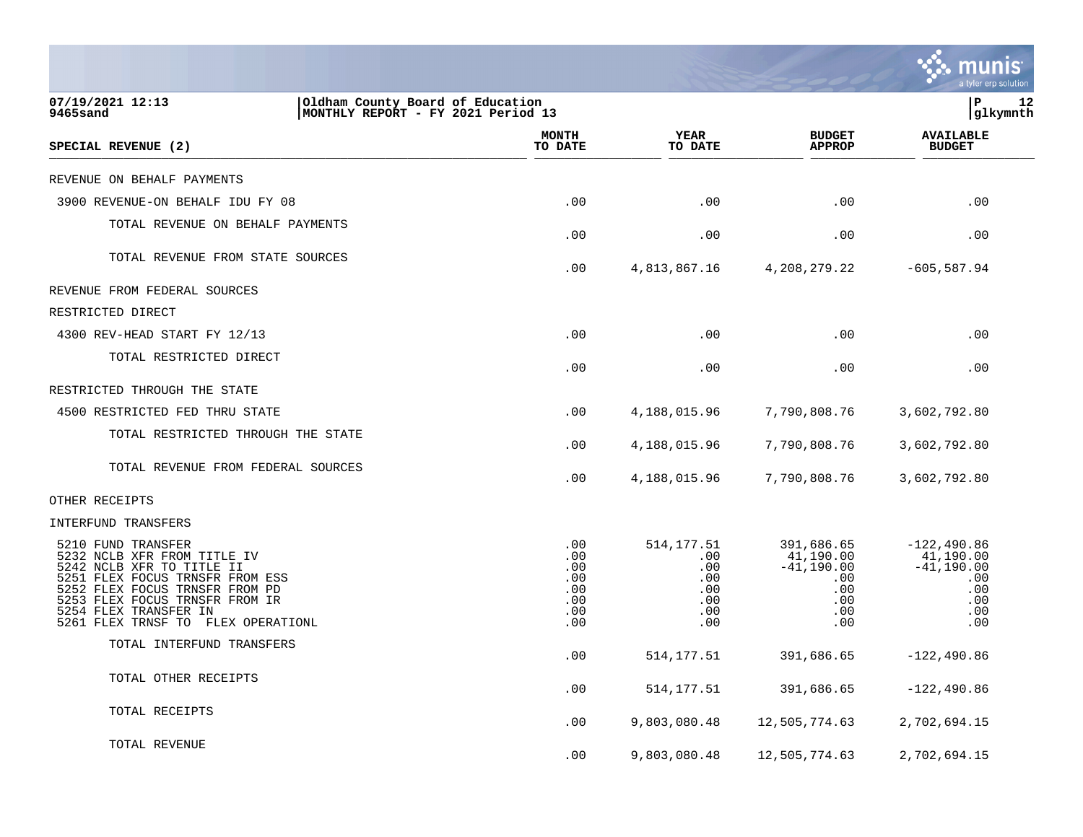|                                                                                                                                                                                                                                                      |                                                      |                                                              |                                                                                           | a tyler erp solution                                                           |
|------------------------------------------------------------------------------------------------------------------------------------------------------------------------------------------------------------------------------------------------------|------------------------------------------------------|--------------------------------------------------------------|-------------------------------------------------------------------------------------------|--------------------------------------------------------------------------------|
| 07/19/2021 12:13<br>Oldham County Board of Education<br>9465sand<br>MONTHLY REPORT - FY 2021 Period 13                                                                                                                                               |                                                      |                                                              |                                                                                           | ΙP<br>12<br>glkymnth                                                           |
| SPECIAL REVENUE (2)                                                                                                                                                                                                                                  | <b>MONTH</b><br>TO DATE                              | YEAR<br>TO DATE                                              | <b>BUDGET</b><br><b>APPROP</b>                                                            | <b>AVAILABLE</b><br><b>BUDGET</b>                                              |
| REVENUE ON BEHALF PAYMENTS                                                                                                                                                                                                                           |                                                      |                                                              |                                                                                           |                                                                                |
| 3900 REVENUE-ON BEHALF IDU FY 08                                                                                                                                                                                                                     | .00                                                  | .00                                                          | .00                                                                                       | .00                                                                            |
| TOTAL REVENUE ON BEHALF PAYMENTS                                                                                                                                                                                                                     | .00                                                  | .00                                                          | .00                                                                                       | .00                                                                            |
| TOTAL REVENUE FROM STATE SOURCES                                                                                                                                                                                                                     | .00                                                  | 4,813,867.16                                                 | 4,208,279.22                                                                              | $-605,587.94$                                                                  |
| REVENUE FROM FEDERAL SOURCES                                                                                                                                                                                                                         |                                                      |                                                              |                                                                                           |                                                                                |
| RESTRICTED DIRECT                                                                                                                                                                                                                                    |                                                      |                                                              |                                                                                           |                                                                                |
| 4300 REV-HEAD START FY 12/13                                                                                                                                                                                                                         | .00                                                  | .00                                                          | .00                                                                                       | .00                                                                            |
| TOTAL RESTRICTED DIRECT                                                                                                                                                                                                                              | .00                                                  | .00                                                          | $.00 \,$                                                                                  | .00                                                                            |
| RESTRICTED THROUGH THE STATE                                                                                                                                                                                                                         |                                                      |                                                              |                                                                                           |                                                                                |
| 4500 RESTRICTED FED THRU STATE                                                                                                                                                                                                                       | .00                                                  | 4,188,015.96                                                 | 7,790,808.76                                                                              | 3,602,792.80                                                                   |
| TOTAL RESTRICTED THROUGH THE STATE                                                                                                                                                                                                                   | .00                                                  | 4,188,015.96                                                 | 7,790,808.76                                                                              | 3,602,792.80                                                                   |
| TOTAL REVENUE FROM FEDERAL SOURCES                                                                                                                                                                                                                   | .00                                                  | 4,188,015.96                                                 | 7,790,808.76                                                                              | 3,602,792.80                                                                   |
| OTHER RECEIPTS                                                                                                                                                                                                                                       |                                                      |                                                              |                                                                                           |                                                                                |
| INTERFUND TRANSFERS                                                                                                                                                                                                                                  |                                                      |                                                              |                                                                                           |                                                                                |
| 5210 FUND TRANSFER<br>5232 NCLB XFR FROM TITLE IV<br>5242 NCLB XFR TO TITLE II<br>5251 FLEX FOCUS TRNSFR FROM ESS<br>5252 FLEX FOCUS TRNSFR FROM PD<br>5253 FLEX FOCUS TRNSFR FROM IR<br>5254 FLEX TRANSFER IN<br>5261 FLEX TRNSF TO FLEX OPERATIONL | .00<br>.00<br>.00<br>.00<br>.00<br>.00<br>.00<br>.00 | 514, 177.51<br>.00<br>.00<br>.00<br>.00<br>.00<br>.00<br>.00 | 391,686.65<br>41,190.00<br>$-41,190.00$<br>$.00 \,$<br>$.00 \,$<br>$.00 \,$<br>.00<br>.00 | $-122, 490.86$<br>41,190.00<br>$-41,190.00$<br>.00<br>.00<br>.00<br>.00<br>.00 |
| TOTAL INTERFUND TRANSFERS                                                                                                                                                                                                                            | .00                                                  | 514, 177.51                                                  | 391,686.65                                                                                | $-122, 490.86$                                                                 |
| TOTAL OTHER RECEIPTS                                                                                                                                                                                                                                 | .00                                                  | 514,177.51                                                   | 391,686.65                                                                                | $-122, 490.86$                                                                 |
| TOTAL RECEIPTS                                                                                                                                                                                                                                       | .00                                                  | 9,803,080.48                                                 | 12,505,774.63                                                                             | 2,702,694.15                                                                   |
| TOTAL REVENUE                                                                                                                                                                                                                                        | .00                                                  | 9,803,080.48                                                 | 12,505,774.63                                                                             | 2,702,694.15                                                                   |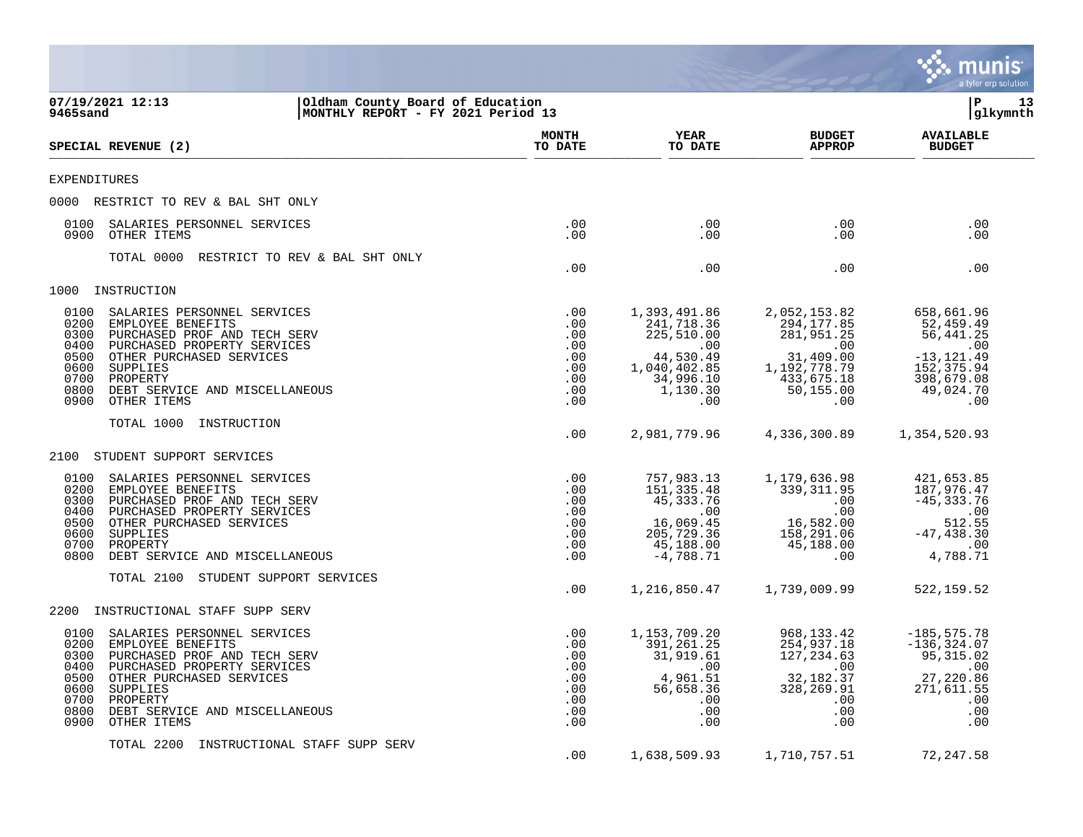|                                                                                                                                                                                                                                                                                              |                                                                  |                                                                                                              |                                                                                                                      | munis<br>a tyler erp solution                                                                                |
|----------------------------------------------------------------------------------------------------------------------------------------------------------------------------------------------------------------------------------------------------------------------------------------------|------------------------------------------------------------------|--------------------------------------------------------------------------------------------------------------|----------------------------------------------------------------------------------------------------------------------|--------------------------------------------------------------------------------------------------------------|
| 07/19/2021 12:13<br>Oldham County Board of Education<br>MONTHLY REPORT - FY 2021 Period 13<br>9465sand                                                                                                                                                                                       |                                                                  |                                                                                                              |                                                                                                                      | ΙP<br>13<br> glkymnth                                                                                        |
| SPECIAL REVENUE (2)                                                                                                                                                                                                                                                                          | <b>MONTH</b><br>TO DATE                                          | <b>YEAR</b><br>TO DATE                                                                                       | <b>BUDGET</b><br><b>APPROP</b>                                                                                       | <b>AVAILABLE</b><br><b>BUDGET</b>                                                                            |
| <b>EXPENDITURES</b>                                                                                                                                                                                                                                                                          |                                                                  |                                                                                                              |                                                                                                                      |                                                                                                              |
| 0000 RESTRICT TO REV & BAL SHT ONLY                                                                                                                                                                                                                                                          |                                                                  |                                                                                                              |                                                                                                                      |                                                                                                              |
| SALARIES PERSONNEL SERVICES<br>0100<br>0900 OTHER ITEMS                                                                                                                                                                                                                                      | .00<br>.00                                                       | .00<br>.00                                                                                                   | $.00 \ \rm$<br>$.00 \,$                                                                                              | .00<br>.00                                                                                                   |
| TOTAL 0000<br>RESTRICT TO REV & BAL SHT ONLY                                                                                                                                                                                                                                                 | .00                                                              | .00                                                                                                          | $.00 \,$                                                                                                             | .00                                                                                                          |
| INSTRUCTION<br>1000                                                                                                                                                                                                                                                                          |                                                                  |                                                                                                              |                                                                                                                      |                                                                                                              |
| 0100<br>SALARIES PERSONNEL SERVICES<br>0200<br>EMPLOYEE BENEFITS<br>0300<br>PURCHASED PROF AND TECH SERV<br>0400<br>PURCHASED PROPERTY SERVICES<br>0500<br>OTHER PURCHASED SERVICES<br>0600<br>SUPPLIES<br>0700<br>PROPERTY<br>0800<br>DEBT SERVICE AND MISCELLANEOUS<br>0900<br>OTHER ITEMS | .00<br>.00<br>.00<br>.00<br>.00<br>.00<br>.00<br>.00<br>.00      | 1,393,491.86<br>241,718.36<br>225,510.00<br>.00<br>44,530.49<br>1,040,402.85<br>34,996.10<br>1,130.30<br>.00 | 2,052,153.82<br>294, 177.85<br>281,951.25<br>.00<br>31,409.00<br>1,192,778.79<br>433,675.18<br>50,155.00<br>$.00 \,$ | 658,661.96<br>52,459.49<br>56,441.25<br>.00<br>$-13, 121.49$<br>152,375.94<br>398,679.08<br>49,024.70<br>.00 |
| TOTAL 1000<br>INSTRUCTION                                                                                                                                                                                                                                                                    | .00                                                              | 2,981,779.96                                                                                                 | 4,336,300.89                                                                                                         | 1,354,520.93                                                                                                 |
| STUDENT SUPPORT SERVICES<br>2100                                                                                                                                                                                                                                                             |                                                                  |                                                                                                              |                                                                                                                      |                                                                                                              |
| 0100<br>SALARIES PERSONNEL SERVICES<br>0200<br>EMPLOYEE BENEFITS<br>0300<br>PURCHASED PROF AND TECH SERV<br>0400<br>PURCHASED PROPERTY SERVICES<br>0500<br>OTHER PURCHASED SERVICES<br>0600<br>SUPPLIES<br>0700<br>PROPERTY<br>0800<br>DEBT SERVICE AND MISCELLANEOUS                        | .00<br>.00<br>.00<br>.00<br>.00<br>.00<br>.00<br>.00             | 757,983.13<br>151,335.48<br>45,333.76<br>.00<br>16,069.45<br>205,729.36<br>45,188.00<br>$-4,788.71$          | 1,179,636.98<br>339, 311.95<br>.00<br>.00<br>16,582.00<br>158,291.06<br>45,188.00<br>$.00 \ \rm$                     | 421,653.85<br>187,976.47<br>$-45, 333.76$<br>.00<br>512.55<br>$-47, 438.30$<br>.00<br>4,788.71               |
| STUDENT SUPPORT SERVICES<br>TOTAL 2100                                                                                                                                                                                                                                                       | $.00 \,$                                                         | 1,216,850.47                                                                                                 | 1,739,009.99                                                                                                         | 522,159.52                                                                                                   |
| INSTRUCTIONAL STAFF SUPP SERV<br>2200                                                                                                                                                                                                                                                        |                                                                  |                                                                                                              |                                                                                                                      |                                                                                                              |
| 0100<br>SALARIES PERSONNEL SERVICES<br>EMPLOYEE BENEFITS<br>0200<br>0300 PURCHASED PROF AND TECH SERV<br>0400 PURCHASED PROPERTY SERVICES<br>0500 OTHER PURCHASED SERVICES<br>0600 SUPPLIES<br>0700 PROPERTY<br>0800 DEBT SERVICE AND MISCELLANEOUS<br>0900<br>OTHER ITEMS                   | .00<br>.00<br>.00<br>.00<br>.00<br>$.00 \,$<br>.00<br>.00<br>.00 | 1,153,709.20<br>391,261.25<br>31,919.61<br>.00<br>4,961.51<br>56,658.36<br>.00<br>.00<br>.00                 | 968,133.42<br>254,937.18<br>127, 234.63<br>$.00 \,$<br>32,182.37<br>328,269.91<br>$.00 \,$<br>$.00 \,$<br>$.00 \,$   | $-185, 575.78$<br>$-136, 324.07$<br>95, 315.02<br>.00<br>27,220.86<br>271,611.55<br>.00<br>.00<br>.00        |
| TOTAL 2200 INSTRUCTIONAL STAFF SUPP SERV                                                                                                                                                                                                                                                     | .00                                                              | 1,638,509.93                                                                                                 | 1,710,757.51                                                                                                         | 72, 247.58                                                                                                   |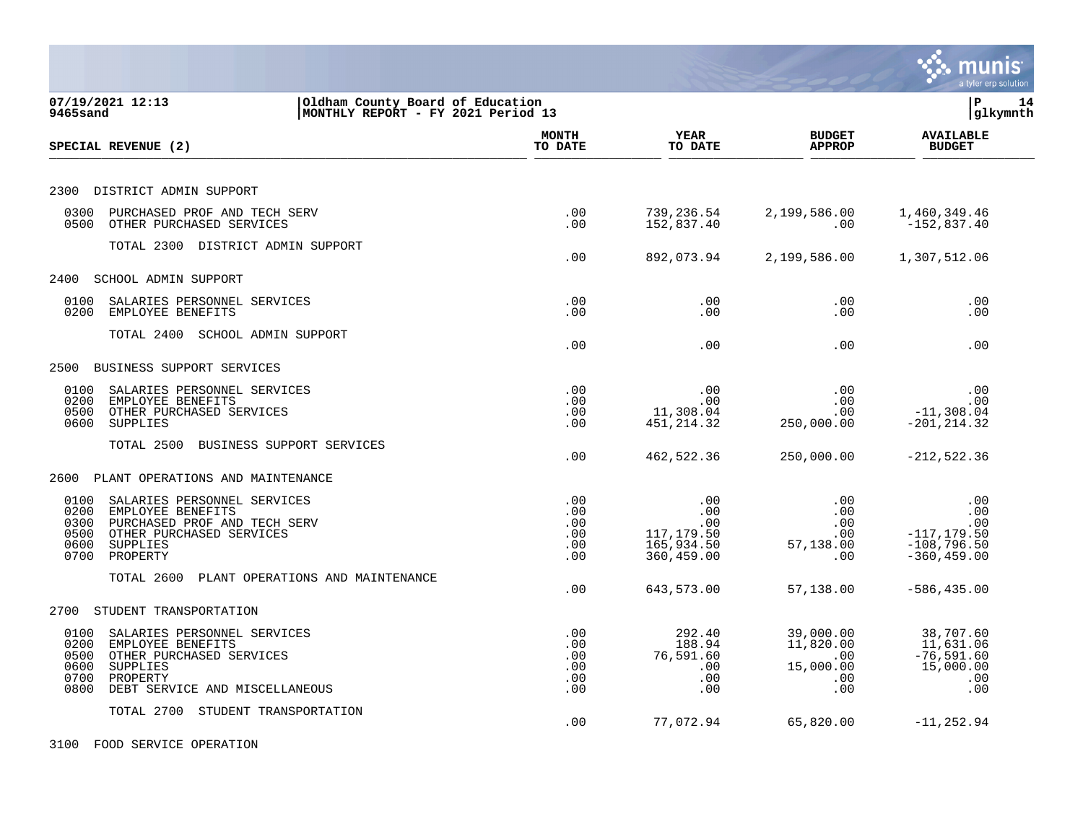|                                                                                                                                                                                        |                                        |                                                             |                                                          | munis<br>a tyler erp solution                                          |
|----------------------------------------------------------------------------------------------------------------------------------------------------------------------------------------|----------------------------------------|-------------------------------------------------------------|----------------------------------------------------------|------------------------------------------------------------------------|
| 07/19/2021 12:13<br>Oldham County Board of Education<br>9465sand<br>MONTHLY REPORT - FY 2021 Period 13                                                                                 |                                        |                                                             |                                                          | l P<br>14<br>glkymnth                                                  |
| SPECIAL REVENUE (2)                                                                                                                                                                    | MONTH<br>TO DATE                       | YEAR<br>TO DATE                                             | <b>BUDGET</b><br><b>APPROP</b>                           | <b>AVAILABLE</b><br><b>BUDGET</b>                                      |
| 2300 DISTRICT ADMIN SUPPORT                                                                                                                                                            |                                        |                                                             |                                                          |                                                                        |
| 0300<br>PURCHASED PROF AND TECH SERV<br>0500<br>OTHER PURCHASED SERVICES                                                                                                               | .00<br>.00                             | 739,236.54<br>152,837.40                                    | 2,199,586.00<br>.00                                      | 1,460,349.46<br>$-152,837.40$                                          |
| TOTAL 2300 DISTRICT ADMIN SUPPORT                                                                                                                                                      | .00                                    | 892,073.94                                                  | 2,199,586.00                                             | 1,307,512.06                                                           |
| SCHOOL ADMIN SUPPORT<br>2400                                                                                                                                                           |                                        |                                                             |                                                          |                                                                        |
| 0100<br>SALARIES PERSONNEL SERVICES<br>EMPLOYEE BENEFITS<br>0200                                                                                                                       | .00<br>.00                             | .00<br>.00                                                  | .00<br>.00                                               | .00<br>.00                                                             |
| TOTAL 2400 SCHOOL ADMIN SUPPORT                                                                                                                                                        | .00                                    | .00                                                         | .00                                                      | .00                                                                    |
| BUSINESS SUPPORT SERVICES<br>2500                                                                                                                                                      |                                        |                                                             |                                                          |                                                                        |
| 0100<br>SALARIES PERSONNEL SERVICES<br>EMPLOYEE BENEFITS<br>0200<br>OTHER PURCHASED SERVICES<br>0500<br>0600<br>SUPPLIES                                                               | .00<br>.00<br>.00<br>.00               | $.00 \,$<br>.00<br>11,308.04<br>451, 214.32                 | .00<br>.00<br>.00<br>250,000.00                          | .00<br>.00<br>$-11, 308.04$<br>$-201, 214.32$                          |
| TOTAL 2500 BUSINESS SUPPORT SERVICES                                                                                                                                                   | .00                                    | 462,522.36                                                  | 250,000.00                                               | $-212, 522.36$                                                         |
| 2600 PLANT OPERATIONS AND MAINTENANCE                                                                                                                                                  |                                        |                                                             |                                                          |                                                                        |
| 0100<br>SALARIES PERSONNEL SERVICES<br>0200<br>EMPLOYEE BENEFITS<br>PURCHASED PROF AND TECH SERV<br>0300<br>0500<br>OTHER PURCHASED SERVICES<br>0600<br>SUPPLIES<br>PROPERTY<br>0700   | .00<br>.00<br>.00<br>.00<br>.00<br>.00 | .00<br>.00<br>.00<br>117,179.50<br>165,934.50<br>360,459.00 | .00<br>.00<br>.00<br>.00<br>57,138.00<br>.00             | .00<br>.00<br>.00<br>$-117, 179.50$<br>$-108,796.50$<br>$-360, 459.00$ |
| TOTAL 2600<br>PLANT OPERATIONS AND MAINTENANCE                                                                                                                                         | .00                                    | 643,573.00                                                  | 57,138.00                                                | $-586, 435.00$                                                         |
| STUDENT TRANSPORTATION<br>2700                                                                                                                                                         |                                        |                                                             |                                                          |                                                                        |
| 0100<br>SALARIES PERSONNEL SERVICES<br>0200<br>EMPLOYEE BENEFITS<br>0500<br>OTHER PURCHASED SERVICES<br>0600<br>SUPPLIES<br>0700<br>PROPERTY<br>0800<br>DEBT SERVICE AND MISCELLANEOUS | .00<br>.00<br>.00<br>.00<br>.00<br>.00 | 292.40<br>188.94<br>76,591.60<br>.00<br>.00<br>.00          | 39,000.00<br>11,820.00<br>.00<br>15,000.00<br>.00<br>.00 | 38,707.60<br>11,631.06<br>$-76, 591.60$<br>15,000.00<br>.00<br>.00     |
| TOTAL 2700 STUDENT TRANSPORTATION                                                                                                                                                      | .00                                    | 77,072.94                                                   | 65,820.00                                                | $-11, 252.94$                                                          |
| 3100 FOOD SERVICE OPERATION                                                                                                                                                            |                                        |                                                             |                                                          |                                                                        |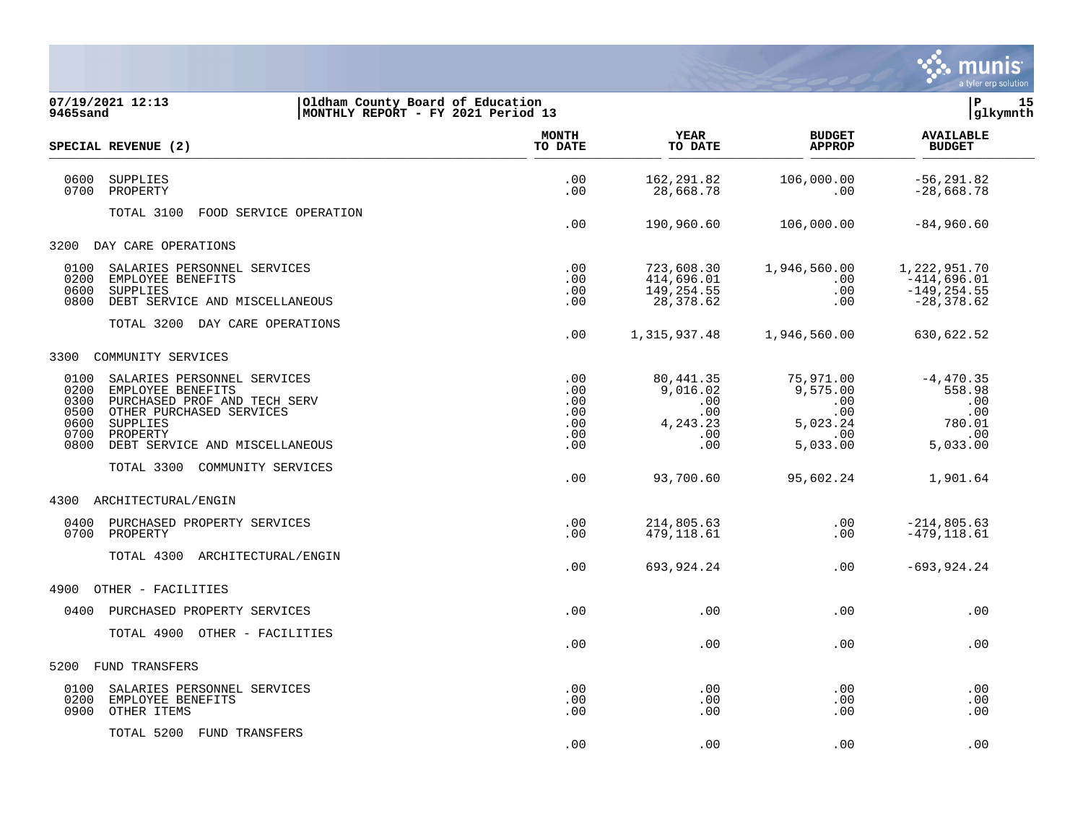

| 07/19/2021 12:13<br>9465sand                                                                                                                                                                                                   | Oldham County Board of Education<br>MONTHLY REPORT - FY 2021 Period 13 |                                                    |                                                                      |                                                                             | lР<br>15<br> glkymnth                                                                                                       |
|--------------------------------------------------------------------------------------------------------------------------------------------------------------------------------------------------------------------------------|------------------------------------------------------------------------|----------------------------------------------------|----------------------------------------------------------------------|-----------------------------------------------------------------------------|-----------------------------------------------------------------------------------------------------------------------------|
| SPECIAL REVENUE (2)                                                                                                                                                                                                            |                                                                        | <b>MONTH</b><br>TO DATE                            | YEAR<br>TO DATE                                                      | <b>BUDGET</b><br><b>APPROP</b>                                              | <b>AVAILABLE</b><br><b>BUDGET</b>                                                                                           |
| 0600<br>SUPPLIES<br>0700<br>PROPERTY                                                                                                                                                                                           |                                                                        | .00<br>.00                                         | 162,291.82<br>28,668.78                                              | 106,000.00<br>.00                                                           | $-56, 291.82$<br>$-28,668.78$                                                                                               |
| TOTAL 3100                                                                                                                                                                                                                     | FOOD SERVICE OPERATION                                                 | .00                                                | 190,960.60                                                           | 106,000.00                                                                  | $-84,960.60$                                                                                                                |
| 3200 DAY CARE OPERATIONS                                                                                                                                                                                                       |                                                                        |                                                    |                                                                      |                                                                             |                                                                                                                             |
| SALARIES PERSONNEL SERVICES<br>0100<br>0200<br>EMPLOYEE BENEFITS<br>0600<br><b>SUPPLIES</b><br>0800<br>DEBT SERVICE AND MISCELLANEOUS                                                                                          |                                                                        | .00<br>.00<br>.00<br>.00                           | 723,608.30<br>414,696.01<br>149,254.55<br>28,378.62                  | 1,946,560.00<br>$.00 \,$<br>.00<br>.00                                      | 1,222,951.70<br>-414,696.01<br>$-149, 254.55$<br>-28,378.62                                                                 |
| TOTAL 3200 DAY CARE OPERATIONS                                                                                                                                                                                                 |                                                                        | .00                                                | 1,315,937.48                                                         | 1,946,560.00                                                                | 630,622.52                                                                                                                  |
| COMMUNITY SERVICES<br>3300                                                                                                                                                                                                     |                                                                        |                                                    |                                                                      |                                                                             |                                                                                                                             |
| 0100<br>SALARIES PERSONNEL SERVICES<br>0200<br>EMPLOYEE BENEFITS<br>0300<br>PURCHASED PROF AND TECH SERV<br>0500<br>OTHER PURCHASED SERVICES<br>0600<br>SUPPLIES<br>0700<br>PROPERTY<br>0800<br>DEBT SERVICE AND MISCELLANEOUS |                                                                        | .00<br>.00<br>.00<br>.00<br>.00<br>$.00 \,$<br>.00 | 80,441.35<br>9,016.02<br>.00<br>.00<br>4, 243. 23<br>$.00 \,$<br>.00 | 75,971.00<br>9,575.00<br>.00<br>$.00\,$<br>5,023.24<br>$.00 \,$<br>5,033.00 | $-4, 470.35$<br>558.98<br>$\overline{\phantom{0}}$ .00<br>$\ldots$ 00<br>780.01<br>$\overline{\phantom{0}}$ .00<br>5,033.00 |
| TOTAL 3300 COMMUNITY SERVICES                                                                                                                                                                                                  |                                                                        | .00                                                | 93,700.60                                                            | 95,602.24                                                                   | 1,901.64                                                                                                                    |
| ARCHITECTURAL/ENGIN<br>4300                                                                                                                                                                                                    |                                                                        |                                                    |                                                                      |                                                                             |                                                                                                                             |
| 0400<br>PURCHASED PROPERTY SERVICES<br>0700<br>PROPERTY                                                                                                                                                                        |                                                                        | .00<br>.00                                         | 214,805.63<br>479,118.61                                             | .00<br>.00                                                                  | $-214,805.63$<br>$-479, 118.61$                                                                                             |
| TOTAL 4300 ARCHITECTURAL/ENGIN                                                                                                                                                                                                 |                                                                        | .00                                                | 693,924.24                                                           | .00                                                                         | $-693, 924.24$                                                                                                              |
| 4900<br>OTHER - FACILITIES                                                                                                                                                                                                     |                                                                        |                                                    |                                                                      |                                                                             |                                                                                                                             |
| 0400<br>PURCHASED PROPERTY SERVICES                                                                                                                                                                                            |                                                                        | .00                                                | .00                                                                  | .00                                                                         | .00                                                                                                                         |
| TOTAL 4900 OTHER - FACILITIES                                                                                                                                                                                                  |                                                                        | .00                                                | .00                                                                  | .00                                                                         | .00                                                                                                                         |
| FUND TRANSFERS<br>5200                                                                                                                                                                                                         |                                                                        |                                                    |                                                                      |                                                                             |                                                                                                                             |
| 0100<br>SALARIES PERSONNEL SERVICES<br>0200<br>EMPLOYEE BENEFITS<br>OTHER ITEMS<br>0900                                                                                                                                        |                                                                        | .00<br>.00<br>.00                                  | .00<br>.00<br>.00                                                    | .00<br>.00<br>.00                                                           | .00<br>.00<br>.00                                                                                                           |
| TOTAL 5200 FUND TRANSFERS                                                                                                                                                                                                      |                                                                        | .00                                                | .00                                                                  | .00                                                                         | .00                                                                                                                         |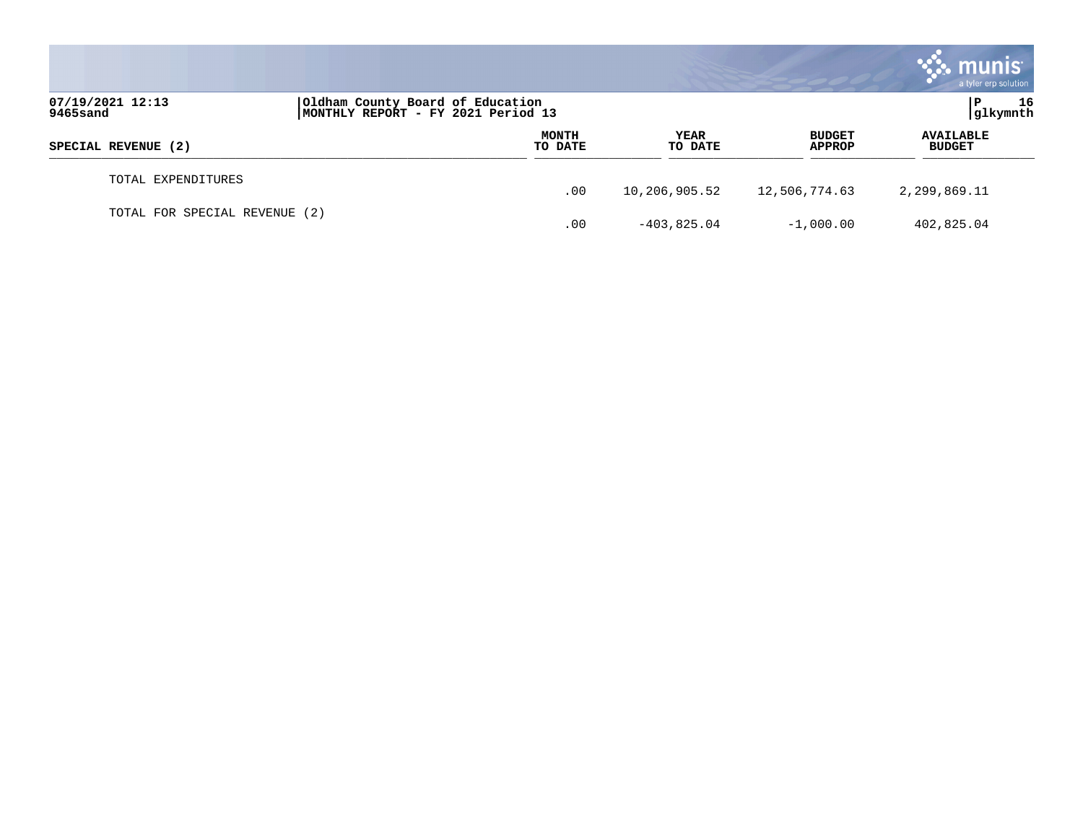|                               |                                                                        |                         |                 |                                | <b>munis</b><br>a tyler erp solution |
|-------------------------------|------------------------------------------------------------------------|-------------------------|-----------------|--------------------------------|--------------------------------------|
| 07/19/2021 12:13<br>9465sand  | Oldham County Board of Education<br>MONTHLY REPORT - FY 2021 Period 13 |                         |                 | 16<br>P<br>glkymnth            |                                      |
| SPECIAL REVENUE (2)           |                                                                        | <b>MONTH</b><br>TO DATE | YEAR<br>TO DATE | <b>BUDGET</b><br><b>APPROP</b> | <b>AVAILABLE</b><br><b>BUDGET</b>    |
| TOTAL EXPENDITURES            |                                                                        | .00                     | 10,206,905.52   | 12,506,774.63                  | 2,299,869.11                         |
| TOTAL FOR SPECIAL REVENUE (2) |                                                                        | .00                     | $-403,825.04$   | $-1,000.00$                    | 402,825.04                           |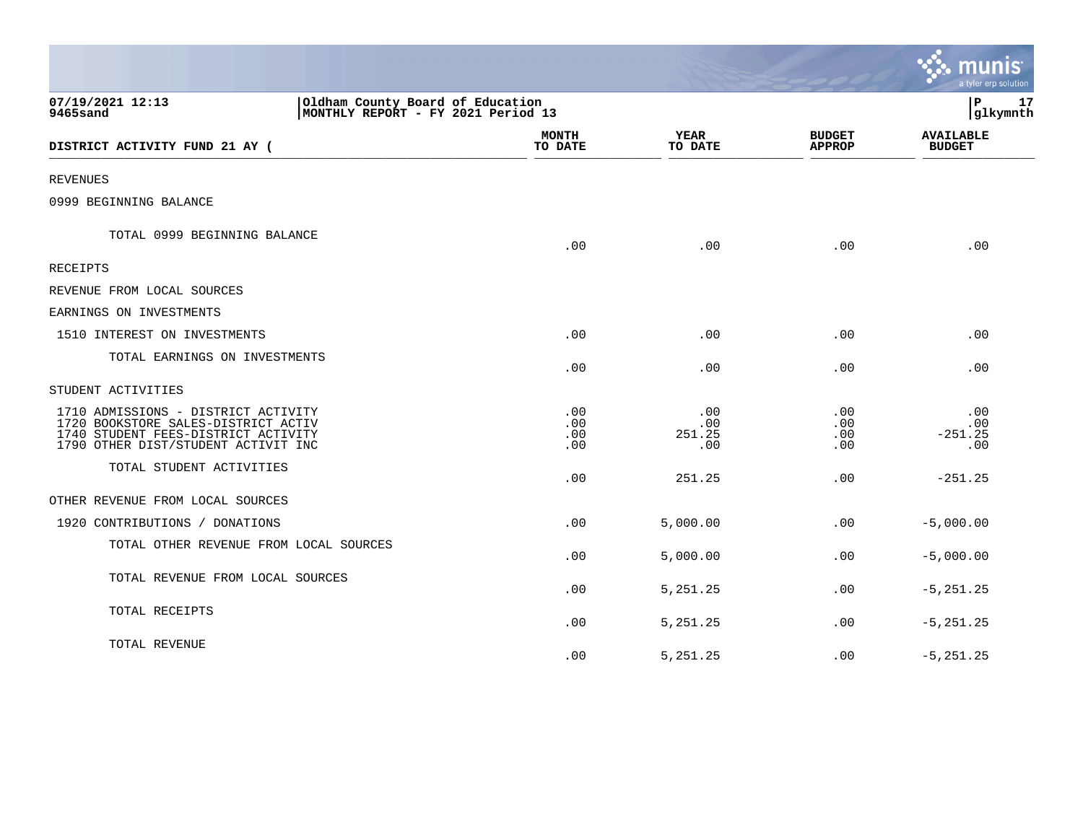|                                                                                                                                                          |                                                                        |                          |                             |                                | a tyler erp solution              |
|----------------------------------------------------------------------------------------------------------------------------------------------------------|------------------------------------------------------------------------|--------------------------|-----------------------------|--------------------------------|-----------------------------------|
| 07/19/2021 12:13<br>9465sand                                                                                                                             | Oldham County Board of Education<br>MONTHLY REPORT - FY 2021 Period 13 |                          |                             |                                | l P<br>17<br>glkymnth             |
| DISTRICT ACTIVITY FUND 21 AY (                                                                                                                           |                                                                        | <b>MONTH</b><br>TO DATE  | <b>YEAR</b><br>TO DATE      | <b>BUDGET</b><br><b>APPROP</b> | <b>AVAILABLE</b><br><b>BUDGET</b> |
| REVENUES                                                                                                                                                 |                                                                        |                          |                             |                                |                                   |
| 0999 BEGINNING BALANCE                                                                                                                                   |                                                                        |                          |                             |                                |                                   |
| TOTAL 0999 BEGINNING BALANCE                                                                                                                             |                                                                        | .00                      | .00                         | .00                            | .00                               |
| <b>RECEIPTS</b>                                                                                                                                          |                                                                        |                          |                             |                                |                                   |
| REVENUE FROM LOCAL SOURCES                                                                                                                               |                                                                        |                          |                             |                                |                                   |
| EARNINGS ON INVESTMENTS                                                                                                                                  |                                                                        |                          |                             |                                |                                   |
| 1510 INTEREST ON INVESTMENTS                                                                                                                             |                                                                        | .00                      | .00                         | .00                            | .00                               |
| TOTAL EARNINGS ON INVESTMENTS                                                                                                                            |                                                                        | .00                      | .00                         | .00                            | .00                               |
| STUDENT ACTIVITIES                                                                                                                                       |                                                                        |                          |                             |                                |                                   |
| 1710 ADMISSIONS - DISTRICT ACTIVITY<br>1720 BOOKSTORE SALES-DISTRICT ACTIV<br>1740 STUDENT FEES-DISTRICT ACTIVITY<br>1790 OTHER DIST/STUDENT ACTIVIT INC |                                                                        | .00<br>.00<br>.00<br>.00 | .00<br>.00<br>251.25<br>.00 | .00<br>.00<br>.00<br>.00       | .00<br>.00<br>$-251.25$<br>.00    |
| TOTAL STUDENT ACTIVITIES                                                                                                                                 |                                                                        | .00                      | 251.25                      | .00                            | $-251.25$                         |
| OTHER REVENUE FROM LOCAL SOURCES                                                                                                                         |                                                                        |                          |                             |                                |                                   |
| 1920 CONTRIBUTIONS / DONATIONS                                                                                                                           |                                                                        | .00                      | 5,000.00                    | .00.                           | $-5,000.00$                       |
| TOTAL OTHER REVENUE FROM LOCAL SOURCES                                                                                                                   |                                                                        | .00                      | 5,000.00                    | .00                            | $-5,000.00$                       |
| TOTAL REVENUE FROM LOCAL SOURCES                                                                                                                         |                                                                        | .00                      | 5, 251. 25                  | .00.                           | $-5, 251.25$                      |
| TOTAL RECEIPTS                                                                                                                                           |                                                                        | .00                      | 5,251.25                    | .00                            | $-5, 251.25$                      |
| TOTAL REVENUE                                                                                                                                            |                                                                        | .00                      | 5,251.25                    | .00                            | $-5, 251.25$                      |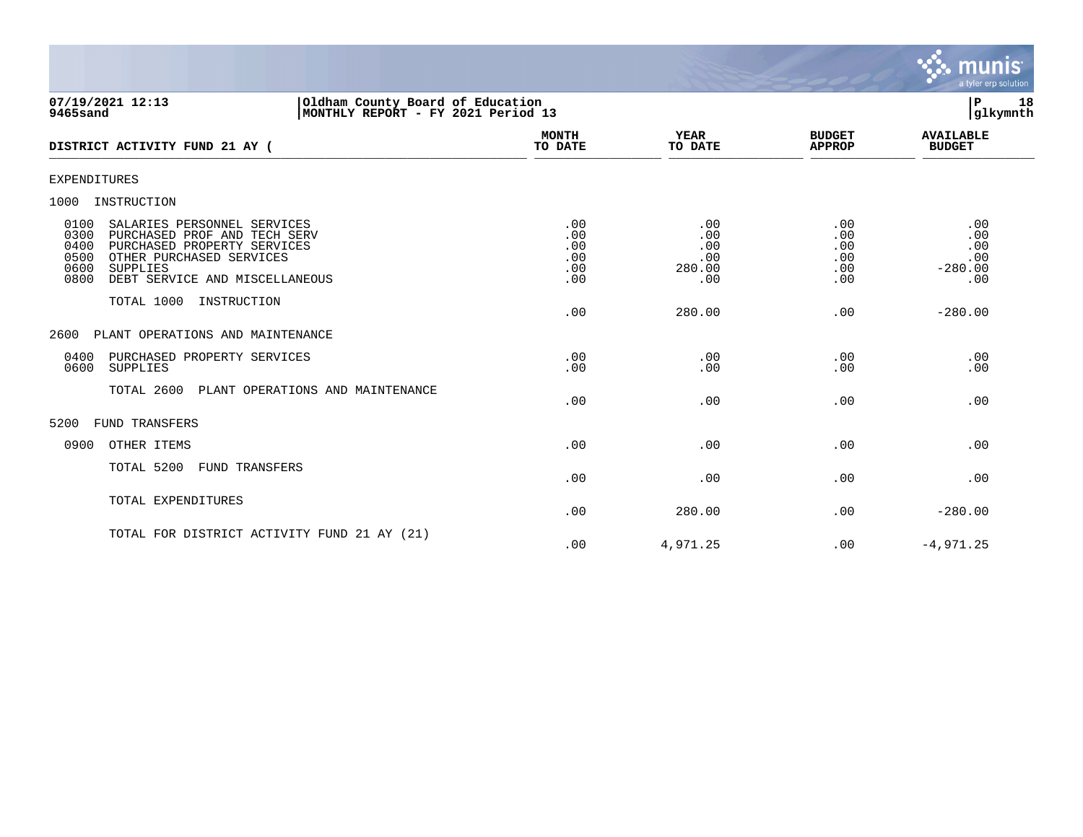

| 07/19/2021 12:13<br>9465sand                                                                                                                                                                                                | Oldham County Board of Education<br>MONTHLY REPORT - FY 2021 Period 13 |                                        | l P<br>18<br>glkymnth                     |                                        |                                              |
|-----------------------------------------------------------------------------------------------------------------------------------------------------------------------------------------------------------------------------|------------------------------------------------------------------------|----------------------------------------|-------------------------------------------|----------------------------------------|----------------------------------------------|
| DISTRICT ACTIVITY FUND 21 AY (                                                                                                                                                                                              |                                                                        | <b>MONTH</b><br>TO DATE                | <b>YEAR</b><br>TO DATE                    | <b>BUDGET</b><br><b>APPROP</b>         | <b>AVAILABLE</b><br><b>BUDGET</b>            |
| EXPENDITURES                                                                                                                                                                                                                |                                                                        |                                        |                                           |                                        |                                              |
| 1000<br>INSTRUCTION                                                                                                                                                                                                         |                                                                        |                                        |                                           |                                        |                                              |
| 0100<br>SALARIES PERSONNEL SERVICES<br>0300<br>PURCHASED PROF AND TECH SERV<br>PURCHASED PROPERTY SERVICES<br>0400<br>OTHER PURCHASED SERVICES<br>0500<br>0600<br><b>SUPPLIES</b><br>0800<br>DEBT SERVICE AND MISCELLANEOUS |                                                                        | .00<br>.00<br>.00<br>.00<br>.00<br>.00 | .00<br>.00<br>.00<br>.00<br>280.00<br>.00 | .00<br>.00<br>.00<br>.00<br>.00<br>.00 | .00<br>.00<br>.00<br>.00<br>$-280.00$<br>.00 |
| TOTAL 1000                                                                                                                                                                                                                  | INSTRUCTION                                                            | .00                                    | 280.00                                    | .00                                    | $-280.00$                                    |
| PLANT OPERATIONS AND MAINTENANCE<br>2600                                                                                                                                                                                    |                                                                        |                                        |                                           |                                        |                                              |
| 0400<br>PURCHASED PROPERTY SERVICES<br>0600<br>SUPPLIES                                                                                                                                                                     |                                                                        | .00<br>.00                             | .00<br>.00                                | .00<br>.00                             | .00<br>.00                                   |
| TOTAL 2600                                                                                                                                                                                                                  | PLANT OPERATIONS AND MAINTENANCE                                       | .00                                    | .00                                       | .00                                    | .00                                          |
| 5200<br>FUND TRANSFERS                                                                                                                                                                                                      |                                                                        |                                        |                                           |                                        |                                              |
| 0900<br>OTHER ITEMS                                                                                                                                                                                                         |                                                                        | .00                                    | .00                                       | .00                                    | .00                                          |
| TOTAL 5200                                                                                                                                                                                                                  | <b>FUND TRANSFERS</b>                                                  | .00                                    | .00                                       | .00                                    | .00                                          |
| TOTAL EXPENDITURES                                                                                                                                                                                                          |                                                                        | .00                                    | 280.00                                    | .00                                    | $-280.00$                                    |
|                                                                                                                                                                                                                             | TOTAL FOR DISTRICT ACTIVITY FUND 21 AY (21)                            | .00                                    | 4,971.25                                  | .00                                    | $-4,971.25$                                  |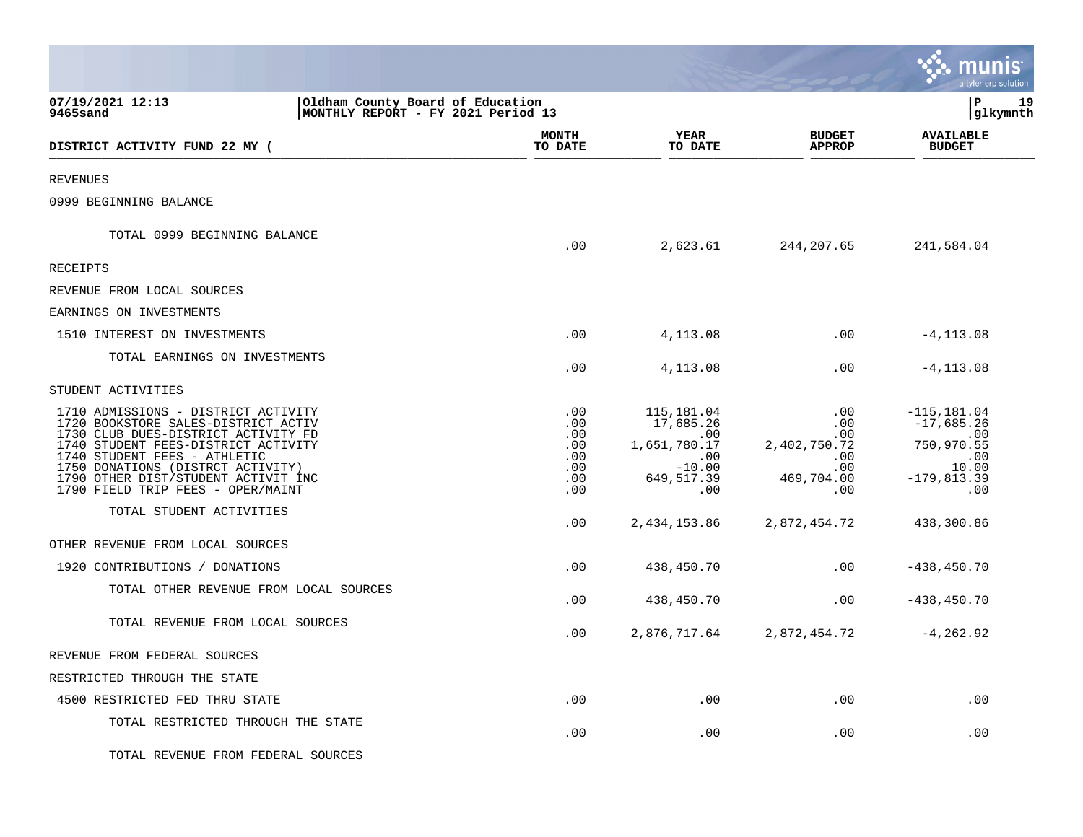|                                                                                                                                                                                                                                                                                                           |                                                                        |                                                                                        |                                                                                   | munis<br>a tyler erp solution                                                               |
|-----------------------------------------------------------------------------------------------------------------------------------------------------------------------------------------------------------------------------------------------------------------------------------------------------------|------------------------------------------------------------------------|----------------------------------------------------------------------------------------|-----------------------------------------------------------------------------------|---------------------------------------------------------------------------------------------|
| 07/19/2021 12:13<br>9465sand                                                                                                                                                                                                                                                                              | Oldham County Board of Education<br>MONTHLY REPORT - FY 2021 Period 13 |                                                                                        |                                                                                   | lР<br>19<br> glkymnth                                                                       |
| DISTRICT ACTIVITY FUND 22 MY (                                                                                                                                                                                                                                                                            | <b>MONTH</b><br>TO DATE                                                | <b>YEAR</b><br>TO DATE                                                                 | <b>BUDGET</b><br><b>APPROP</b>                                                    | <b>AVAILABLE</b><br><b>BUDGET</b>                                                           |
| <b>REVENUES</b>                                                                                                                                                                                                                                                                                           |                                                                        |                                                                                        |                                                                                   |                                                                                             |
| 0999 BEGINNING BALANCE                                                                                                                                                                                                                                                                                    |                                                                        |                                                                                        |                                                                                   |                                                                                             |
| TOTAL 0999 BEGINNING BALANCE                                                                                                                                                                                                                                                                              | .00                                                                    | 2,623.61                                                                               | 244,207.65                                                                        | 241,584.04                                                                                  |
| <b>RECEIPTS</b>                                                                                                                                                                                                                                                                                           |                                                                        |                                                                                        |                                                                                   |                                                                                             |
| REVENUE FROM LOCAL SOURCES                                                                                                                                                                                                                                                                                |                                                                        |                                                                                        |                                                                                   |                                                                                             |
| EARNINGS ON INVESTMENTS                                                                                                                                                                                                                                                                                   |                                                                        |                                                                                        |                                                                                   |                                                                                             |
| 1510 INTEREST ON INVESTMENTS                                                                                                                                                                                                                                                                              | .00                                                                    | 4,113.08                                                                               | .00                                                                               | $-4, 113.08$                                                                                |
| TOTAL EARNINGS ON INVESTMENTS                                                                                                                                                                                                                                                                             | .00                                                                    | 4,113.08                                                                               | .00                                                                               | $-4, 113.08$                                                                                |
| STUDENT ACTIVITIES                                                                                                                                                                                                                                                                                        |                                                                        |                                                                                        |                                                                                   |                                                                                             |
| 1710 ADMISSIONS - DISTRICT ACTIVITY<br>1720 BOOKSTORE SALES-DISTRICT ACTIV<br>1730 CLUB DUES-DISTRICT ACTIVITY FD<br>1740 STUDENT FEES-DISTRICT ACTIVITY<br>1740 STUDENT FEES - ATHLETIC<br>1750 DONATIONS (DISTRCT ACTIVITY)<br>1790 OTHER DIST/STUDENT ACTIVIT INC<br>1790 FIELD TRIP FEES - OPER/MAINT | .00<br>.00<br>.00<br>.00<br>.00<br>.00<br>.00<br>.00                   | 115,181.04<br>17,685.26<br>.00<br>1,651,780.17<br>.00<br>$-10.00$<br>649,517.39<br>.00 | $.00 \,$<br>.00<br>.00<br>2,402,750.72<br>.00<br>.00<br>469,704.00<br>$.00 \ \rm$ | $-115, 181.04$<br>$-17,685.26$<br>.00<br>750,970.55<br>.00<br>10.00<br>$-179,813.39$<br>.00 |
| TOTAL STUDENT ACTIVITIES                                                                                                                                                                                                                                                                                  | .00                                                                    | 2,434,153.86                                                                           | 2,872,454.72                                                                      | 438,300.86                                                                                  |
| OTHER REVENUE FROM LOCAL SOURCES                                                                                                                                                                                                                                                                          |                                                                        |                                                                                        |                                                                                   |                                                                                             |
| 1920 CONTRIBUTIONS / DONATIONS                                                                                                                                                                                                                                                                            | .00                                                                    | 438,450.70                                                                             | $.00 \ \rm$                                                                       | $-438, 450.70$                                                                              |
| TOTAL OTHER REVENUE FROM LOCAL SOURCES                                                                                                                                                                                                                                                                    | .00                                                                    | 438,450.70                                                                             | $.00 \,$                                                                          | $-438, 450.70$                                                                              |
| TOTAL REVENUE FROM LOCAL SOURCES                                                                                                                                                                                                                                                                          | .00                                                                    | 2,876,717.64                                                                           | 2,872,454.72                                                                      | $-4, 262.92$                                                                                |
| REVENUE FROM FEDERAL SOURCES                                                                                                                                                                                                                                                                              |                                                                        |                                                                                        |                                                                                   |                                                                                             |
| RESTRICTED THROUGH THE STATE                                                                                                                                                                                                                                                                              |                                                                        |                                                                                        |                                                                                   |                                                                                             |
| 4500 RESTRICTED FED THRU STATE                                                                                                                                                                                                                                                                            | .00                                                                    | .00                                                                                    | $.00 \ \rm$                                                                       | .00                                                                                         |
| TOTAL RESTRICTED THROUGH THE STATE                                                                                                                                                                                                                                                                        | .00                                                                    | .00                                                                                    | $.00 \,$                                                                          | .00                                                                                         |
| TOTAL REVENUE FROM FEDERAL SOURCES                                                                                                                                                                                                                                                                        |                                                                        |                                                                                        |                                                                                   |                                                                                             |

 $\bullet$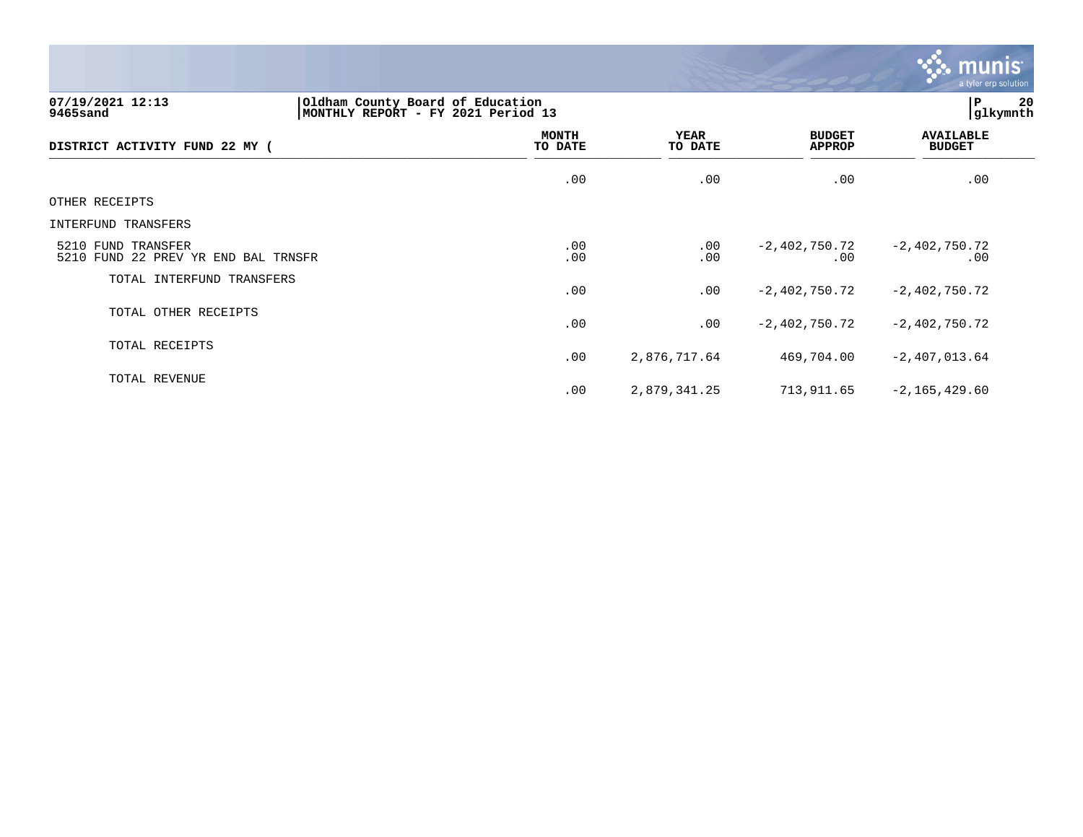

.00 2,879,341.25 713,911.65 -2,165,429.60

**07/19/2021 12:13 |Oldham County Board of Education |P 20 9465sand |MONTHLY REPORT - FY 2021 Period 13 |glkymnth MONTH AVAILABLE YEAR BUDGET** AVAILABLE **DISTRICT ACTIVITY FUND 22 MY ( TO DATE TO DATE APPROP BUDGET**  \_\_\_\_\_\_\_\_\_\_\_\_\_\_\_\_\_\_\_\_\_\_\_\_\_\_\_\_\_\_\_\_\_\_\_\_\_\_\_\_\_\_\_\_\_\_\_\_\_\_\_\_\_\_\_\_\_\_\_\_\_\_\_\_ \_\_\_\_\_\_\_\_\_\_\_\_\_\_\_\_\_ \_\_\_\_\_\_\_\_\_\_\_\_\_\_\_\_\_\_ \_\_\_\_\_\_\_\_\_\_\_\_\_\_ \_\_\_\_\_\_\_\_\_\_\_\_\_\_\_  $.00$  .  $.00$  .  $.00$  .  $.00$  .  $.00$  .  $.00$  .  $.00$  .  $.00$  .  $.00$  .  $.00$  .  $.00$  .  $.00$  .  $.00$  .  $.00$  .  $.00$  .  $.00$  .  $.00$  .  $.00$  .  $.00$  .  $.00$  .  $.00$  .  $.00$  .  $.00$  .  $.00$  .  $.00$  .  $.00$  .  $.00$  .  $.00$ OTHER RECEIPTS INTERFUND TRANSFERS 5210 FUND TRANSFER .00 .00 -2,402,750.72 -2,402,750.72 5210 FUND 22 PREV YR END BAL TRNSFR TOTAL INTERFUND TRANSFERS .00 .00 -2,402,750.72 -2,402,750.72 TOTAL OTHER RECEIPTS .00 .00 -2,402,750.72 -2,402,750.72 TOTAL RECEIPTS .00 2,876,717.64 469,704.00 -2,407,013.64 TOTAL REVENUE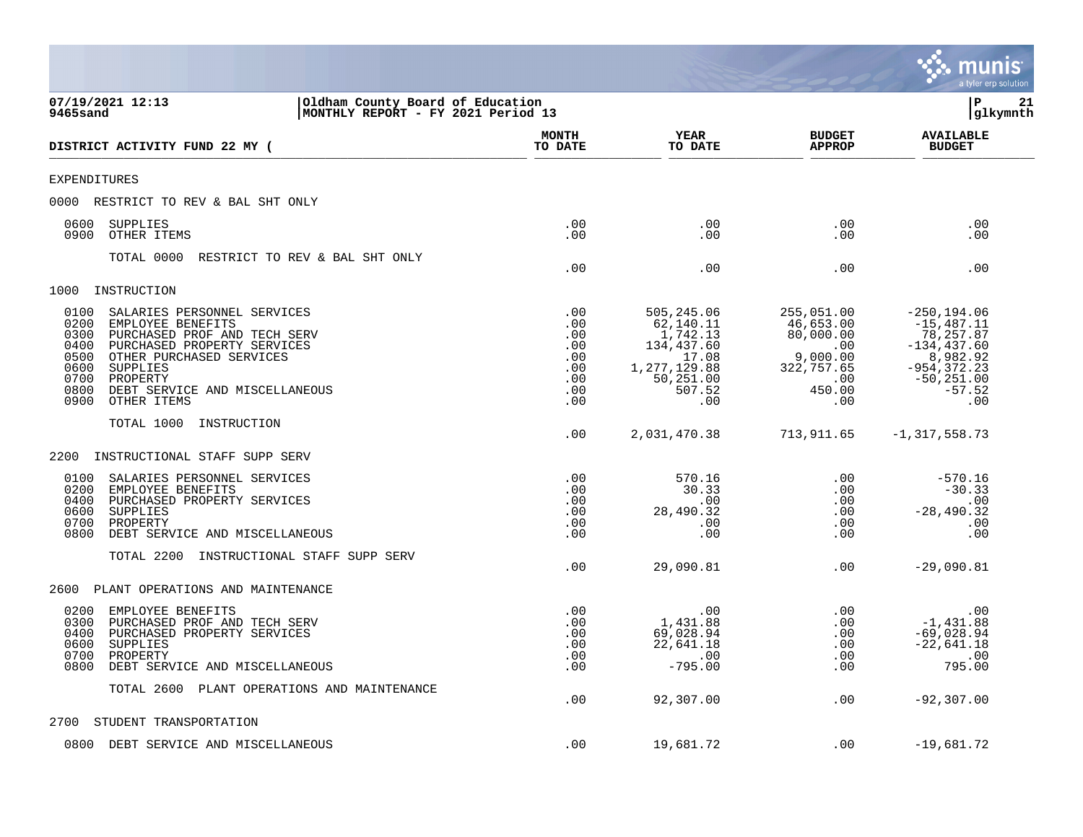|                                                                                                                                                                                                                                                                                                     |                                                                        |                                                                                                          |                                                                                                       | a tyler erp solution                                                                                                            |
|-----------------------------------------------------------------------------------------------------------------------------------------------------------------------------------------------------------------------------------------------------------------------------------------------------|------------------------------------------------------------------------|----------------------------------------------------------------------------------------------------------|-------------------------------------------------------------------------------------------------------|---------------------------------------------------------------------------------------------------------------------------------|
| 07/19/2021 12:13<br>9465sand                                                                                                                                                                                                                                                                        | Oldham County Board of Education<br>MONTHLY REPORT - FY 2021 Period 13 |                                                                                                          |                                                                                                       | lР<br>21<br> glkymnth                                                                                                           |
| DISTRICT ACTIVITY FUND 22 MY (                                                                                                                                                                                                                                                                      | MONTH<br>TO DATE                                                       | YEAR<br>TO DATE                                                                                          | <b>BUDGET</b><br><b>APPROP</b>                                                                        | <b>AVAILABLE</b><br><b>BUDGET</b>                                                                                               |
| <b>EXPENDITURES</b>                                                                                                                                                                                                                                                                                 |                                                                        |                                                                                                          |                                                                                                       |                                                                                                                                 |
| 0000<br>RESTRICT TO REV & BAL SHT ONLY                                                                                                                                                                                                                                                              |                                                                        |                                                                                                          |                                                                                                       |                                                                                                                                 |
| 0600<br><b>SUPPLIES</b><br>0900<br>OTHER ITEMS                                                                                                                                                                                                                                                      | .00<br>.00                                                             | .00<br>.00                                                                                               | .00<br>.00                                                                                            | .00<br>.00                                                                                                                      |
| TOTAL 0000<br>RESTRICT TO REV & BAL SHT ONLY                                                                                                                                                                                                                                                        | .00                                                                    | .00                                                                                                      | .00                                                                                                   | .00                                                                                                                             |
| INSTRUCTION<br>1000                                                                                                                                                                                                                                                                                 |                                                                        |                                                                                                          |                                                                                                       |                                                                                                                                 |
| 0100<br>SALARIES PERSONNEL SERVICES<br>0200<br>EMPLOYEE BENEFITS<br>0300<br>PURCHASED PROF AND TECH SERV<br>0400<br>PURCHASED PROPERTY SERVICES<br>0500<br>OTHER PURCHASED SERVICES<br>0600<br><b>SUPPLIES</b><br>0700<br>PROPERTY<br>0800<br>DEBT SERVICE AND MISCELLANEOUS<br>0900<br>OTHER ITEMS | .00<br>.00<br>.00<br>.00<br>.00<br>.00<br>.00<br>.00<br>.00            | 505,245.06<br>62,140.11<br>1,742.13<br>134,437.60<br>17.08<br>1,277,129.88<br>50,251.00<br>507.52<br>.00 | 255,051.00<br>46,653.00<br>80,000.00<br>.00<br>9,000.00<br>322,757.65<br>$.00 \ \rm$<br>450.00<br>.00 | $-250, 194.06$<br>$-15,487.11$<br>78,257.87<br>$-134, 437.60$<br>8,982.92<br>$-954, 372.23$<br>$-50, 251.00$<br>$-57.52$<br>.00 |
| TOTAL 1000<br>INSTRUCTION                                                                                                                                                                                                                                                                           | .00                                                                    | 2,031,470.38                                                                                             | 713,911.65                                                                                            | $-1, 317, 558.73$                                                                                                               |
| 2200<br>INSTRUCTIONAL STAFF SUPP SERV                                                                                                                                                                                                                                                               |                                                                        |                                                                                                          |                                                                                                       |                                                                                                                                 |
| 0100<br>SALARIES PERSONNEL SERVICES<br>0200<br>EMPLOYEE BENEFITS<br>PURCHASED PROPERTY SERVICES<br>0400<br>0600<br><b>SUPPLIES</b><br>0700<br>PROPERTY<br>0800<br>DEBT SERVICE AND MISCELLANEOUS<br>TOTAL 2200<br>INSTRUCTIONAL STAFF SUPP SERV                                                     | .00<br>.00<br>.00<br>.00<br>.00<br>.00                                 | 570.16<br>30.33<br>.00<br>28,490.32<br>.00<br>.00                                                        | .00<br>.00<br>.00<br>.00<br>.00<br>.00                                                                | $-570.16$<br>$-30.33$<br>.00<br>$-28, 490.32$<br>.00<br>.00                                                                     |
|                                                                                                                                                                                                                                                                                                     | .00                                                                    | 29,090.81                                                                                                | .00                                                                                                   | $-29,090.81$                                                                                                                    |
| 2600<br>PLANT OPERATIONS AND MAINTENANCE                                                                                                                                                                                                                                                            |                                                                        |                                                                                                          |                                                                                                       |                                                                                                                                 |
| 0200<br>EMPLOYEE BENEFITS<br>0300<br>PURCHASED PROF AND TECH SERV<br>PURCHASED PROPERTY SERVICES<br>0400<br>0600<br><b>SUPPLIES</b><br>0700<br>PROPERTY<br>0800<br>DEBT SERVICE AND MISCELLANEOUS                                                                                                   | .00<br>.00<br>.00<br>.00<br>.00<br>.00                                 | .00<br>1,431.88<br>69,028.94<br>22,641.18<br>.00<br>$-795.00$                                            | .00<br>.00<br>.00<br>.00<br>.00<br>.00                                                                | .00<br>$-1,431.88$<br>$-69,028.94$<br>$-22,641.18$<br>.00<br>795.00                                                             |
| TOTAL 2600 PLANT OPERATIONS AND MAINTENANCE                                                                                                                                                                                                                                                         | .00                                                                    | 92,307.00                                                                                                | .00                                                                                                   | $-92,307.00$                                                                                                                    |
| 2700<br>STUDENT TRANSPORTATION                                                                                                                                                                                                                                                                      |                                                                        |                                                                                                          |                                                                                                       |                                                                                                                                 |
| 0800 DEBT SERVICE AND MISCELLANEOUS                                                                                                                                                                                                                                                                 | .00                                                                    | 19,681.72                                                                                                | .00                                                                                                   | $-19,681.72$                                                                                                                    |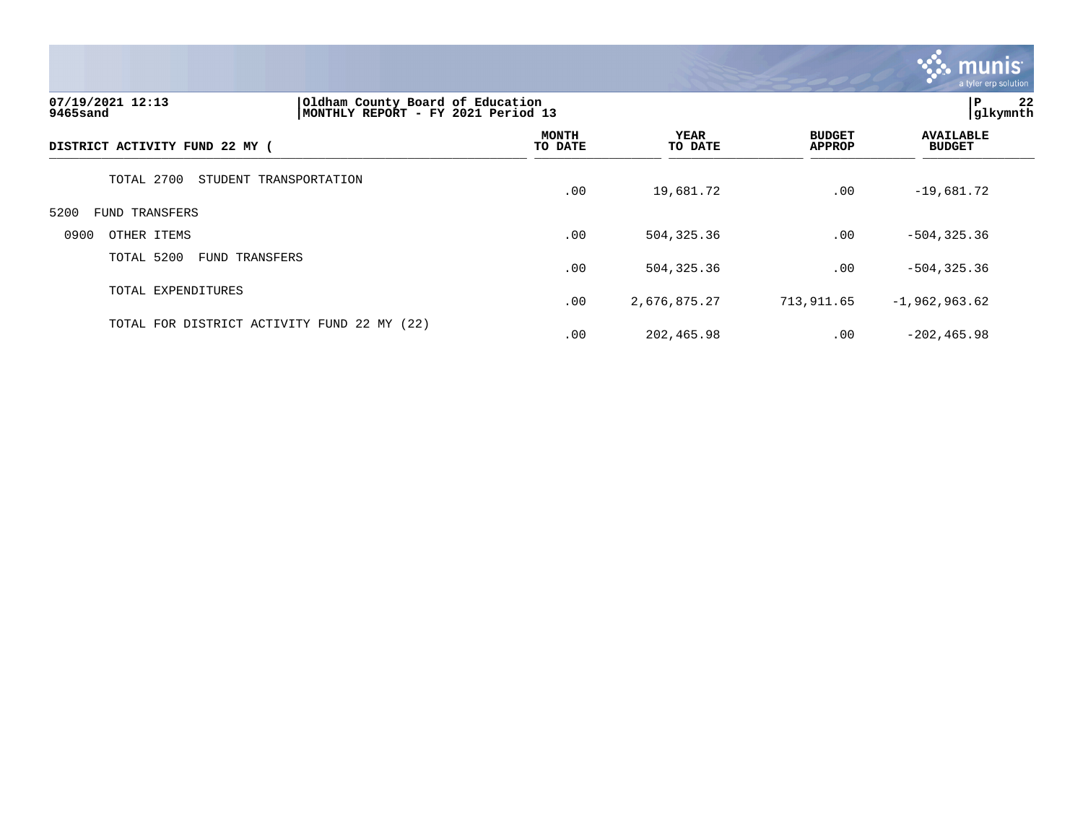

| 07/19/2021 12:13<br>9465sand                |                        | Oldham County Board of Education<br>MONTHLY REPORT - FY 2021 Period 13 |                 |                                |                                   |  |
|---------------------------------------------|------------------------|------------------------------------------------------------------------|-----------------|--------------------------------|-----------------------------------|--|
| DISTRICT ACTIVITY FUND 22 MY (              |                        | <b>MONTH</b><br>TO DATE                                                | YEAR<br>TO DATE | <b>BUDGET</b><br><b>APPROP</b> | <b>AVAILABLE</b><br><b>BUDGET</b> |  |
| TOTAL 2700                                  | STUDENT TRANSPORTATION | .00                                                                    | 19,681.72       | .00                            | $-19,681.72$                      |  |
| 5200<br>FUND TRANSFERS                      |                        |                                                                        |                 |                                |                                   |  |
| 0900<br>OTHER ITEMS                         |                        | .00                                                                    | 504,325.36      | .00                            | $-504, 325.36$                    |  |
| TOTAL 5200<br><b>FUND TRANSFERS</b>         |                        | .00                                                                    | 504,325.36      | .00                            | $-504, 325.36$                    |  |
| TOTAL EXPENDITURES                          |                        | .00                                                                    | 2,676,875.27    | 713,911.65                     | $-1,962,963.62$                   |  |
| TOTAL FOR DISTRICT ACTIVITY FUND 22 MY (22) |                        | .00                                                                    | 202,465.98      | .00                            | $-202, 465.98$                    |  |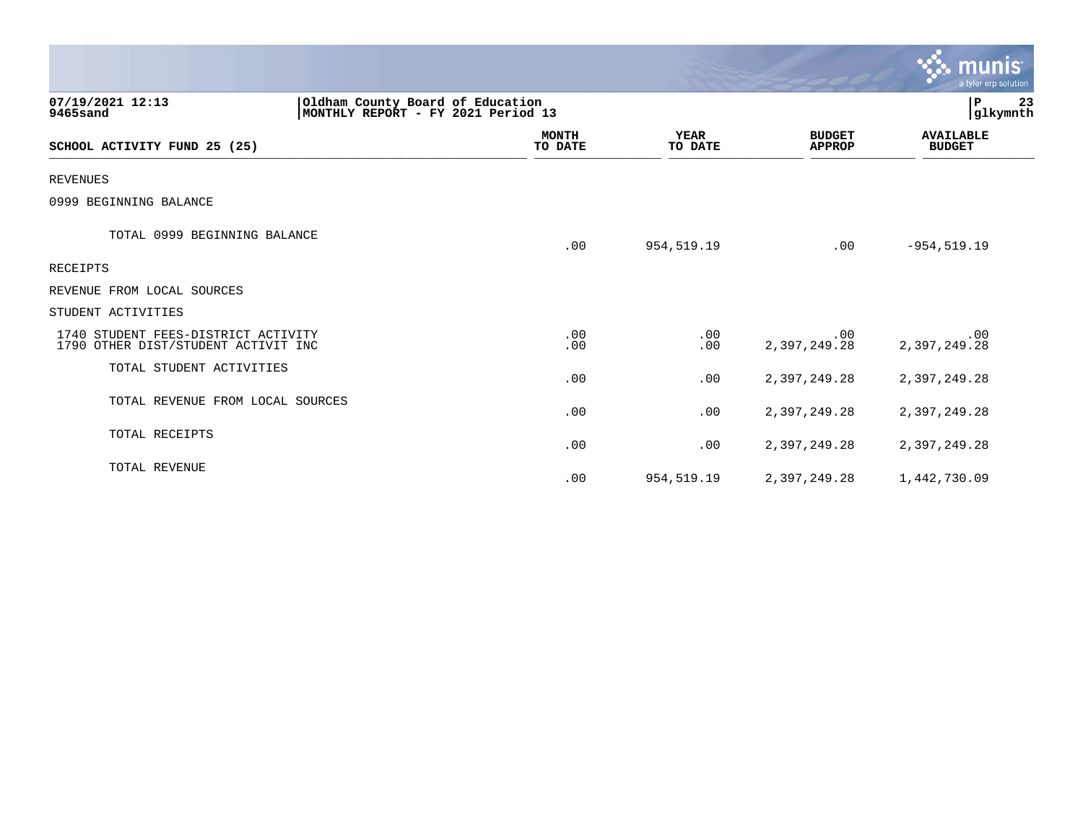|                                                                            |                                                                        |                        |                                | $\mathbf{\ddot{\cdot}}\mathbf{\ddot{\cdot}}$ munis<br>a tyler erp solution |  |
|----------------------------------------------------------------------------|------------------------------------------------------------------------|------------------------|--------------------------------|----------------------------------------------------------------------------|--|
| 07/19/2021 12:13<br>9465sand                                               | Oldham County Board of Education<br>MONTHLY REPORT - FY 2021 Period 13 |                        |                                | P.<br>23<br> glkymnth                                                      |  |
| SCHOOL ACTIVITY FUND 25 (25)                                               | <b>MONTH</b><br>TO DATE                                                | <b>YEAR</b><br>TO DATE | <b>BUDGET</b><br><b>APPROP</b> | <b>AVAILABLE</b><br><b>BUDGET</b>                                          |  |
| <b>REVENUES</b>                                                            |                                                                        |                        |                                |                                                                            |  |
| 0999 BEGINNING BALANCE                                                     |                                                                        |                        |                                |                                                                            |  |
| TOTAL 0999 BEGINNING BALANCE                                               | .00                                                                    | 954,519.19             | .00                            | $-954, 519.19$                                                             |  |
| RECEIPTS                                                                   |                                                                        |                        |                                |                                                                            |  |
| REVENUE FROM LOCAL SOURCES                                                 |                                                                        |                        |                                |                                                                            |  |
| STUDENT ACTIVITIES                                                         |                                                                        |                        |                                |                                                                            |  |
| 1740 STUDENT FEES-DISTRICT ACTIVITY<br>1790 OTHER DIST/STUDENT ACTIVIT INC | .00<br>.00                                                             | .00<br>.00             | .00.<br>2,397,249.28           | .00<br>2,397,249.28                                                        |  |
| TOTAL STUDENT ACTIVITIES                                                   | .00                                                                    | .00                    | 2,397,249.28                   | 2,397,249.28                                                               |  |
| TOTAL REVENUE FROM LOCAL SOURCES                                           | .00                                                                    | .00                    | 2,397,249.28                   | 2,397,249.28                                                               |  |
| TOTAL RECEIPTS                                                             | .00                                                                    | .00                    | 2,397,249.28                   | 2,397,249.28                                                               |  |
| TOTAL REVENUE                                                              | .00                                                                    | 954,519.19             | 2,397,249.28                   | 1,442,730.09                                                               |  |

 $\mathcal{L}$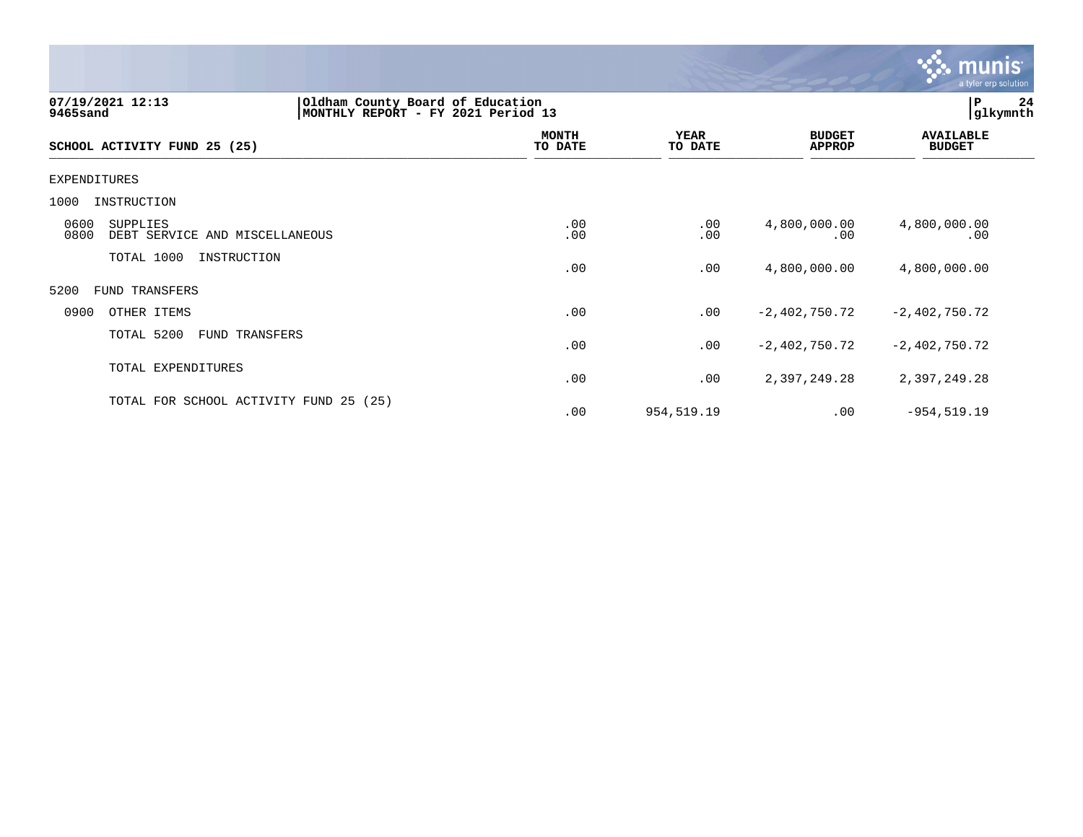

| 07/19/2021 12:13<br>9465sand                               | Oldham County Board of Education<br>MONTHLY REPORT - FY | 2021 Period 13          |                        |                                | P<br> glkymnth                    | 24 |
|------------------------------------------------------------|---------------------------------------------------------|-------------------------|------------------------|--------------------------------|-----------------------------------|----|
| SCHOOL ACTIVITY FUND 25 (25)                               |                                                         | <b>MONTH</b><br>TO DATE | <b>YEAR</b><br>TO DATE | <b>BUDGET</b><br><b>APPROP</b> | <b>AVAILABLE</b><br><b>BUDGET</b> |    |
| EXPENDITURES                                               |                                                         |                         |                        |                                |                                   |    |
| 1000<br>INSTRUCTION                                        |                                                         |                         |                        |                                |                                   |    |
| 0600<br>SUPPLIES<br>0800<br>DEBT SERVICE AND MISCELLANEOUS |                                                         | .00<br>.00              | .00<br>.00             | 4,800,000.00<br>.00            | 4,800,000.00<br>.00               |    |
| TOTAL 1000<br>INSTRUCTION                                  |                                                         | .00                     | .00                    | 4,800,000.00                   | 4,800,000.00                      |    |
| 5200<br>FUND TRANSFERS                                     |                                                         |                         |                        |                                |                                   |    |
| 0900<br>OTHER ITEMS                                        |                                                         | .00                     | .00                    | $-2,402,750.72$                | $-2,402,750.72$                   |    |
| TOTAL 5200<br>FUND TRANSFERS                               |                                                         | .00                     | .00                    | $-2,402,750.72$                | $-2,402,750.72$                   |    |
| TOTAL EXPENDITURES                                         |                                                         | .00                     | .00                    | 2,397,249.28                   | 2,397,249.28                      |    |
| TOTAL FOR SCHOOL ACTIVITY FUND 25 (25)                     |                                                         | .00                     | 954,519.19             | .00                            | $-954, 519.19$                    |    |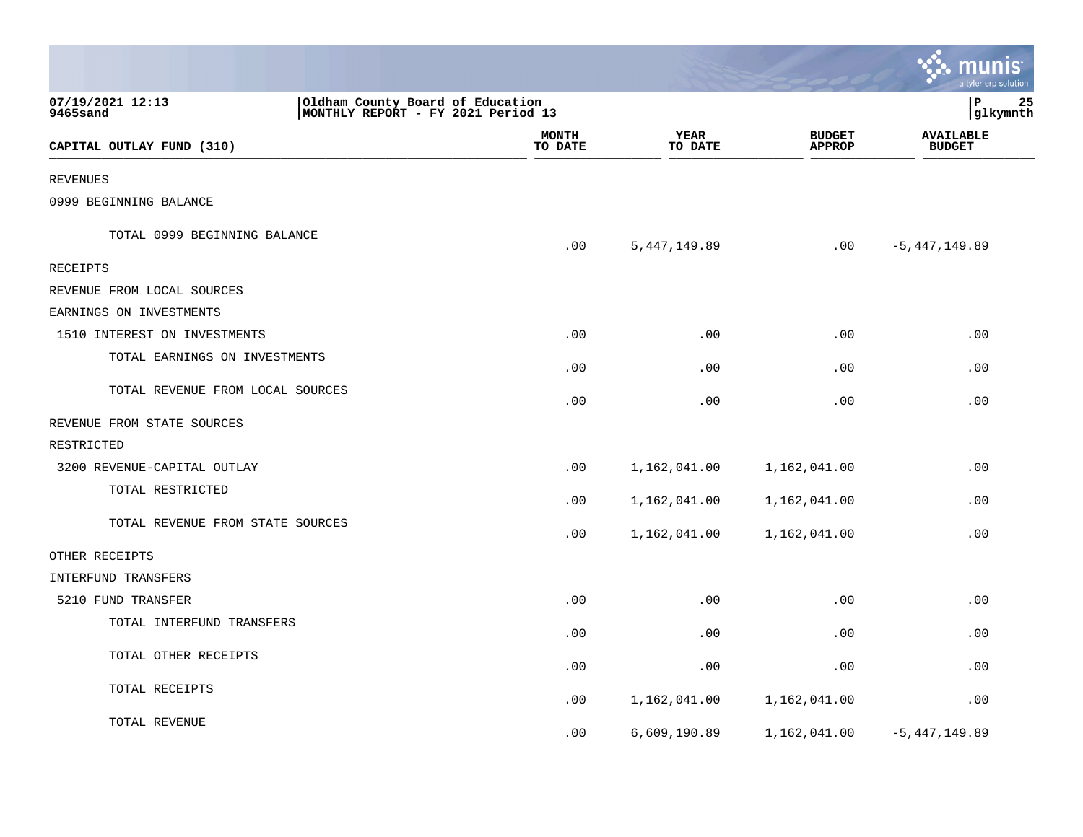|                                  |                                                                        |                         |                        |                                | munis<br>a tyler erp solution     |    |
|----------------------------------|------------------------------------------------------------------------|-------------------------|------------------------|--------------------------------|-----------------------------------|----|
| 07/19/2021 12:13<br>9465sand     | Oldham County Board of Education<br>MONTHLY REPORT - FY 2021 Period 13 |                         |                        |                                | lР<br> glkymnth                   | 25 |
| CAPITAL OUTLAY FUND (310)        |                                                                        | <b>MONTH</b><br>TO DATE | <b>YEAR</b><br>TO DATE | <b>BUDGET</b><br><b>APPROP</b> | <b>AVAILABLE</b><br><b>BUDGET</b> |    |
| REVENUES                         |                                                                        |                         |                        |                                |                                   |    |
| 0999 BEGINNING BALANCE           |                                                                        |                         |                        |                                |                                   |    |
| TOTAL 0999 BEGINNING BALANCE     |                                                                        | .00                     | 5, 447, 149.89         | .00                            | $-5,447,149.89$                   |    |
| RECEIPTS                         |                                                                        |                         |                        |                                |                                   |    |
| REVENUE FROM LOCAL SOURCES       |                                                                        |                         |                        |                                |                                   |    |
| EARNINGS ON INVESTMENTS          |                                                                        |                         |                        |                                |                                   |    |
| 1510 INTEREST ON INVESTMENTS     |                                                                        | .00                     | .00                    | .00                            | .00                               |    |
| TOTAL EARNINGS ON INVESTMENTS    |                                                                        | .00                     | .00                    | .00                            | .00                               |    |
| TOTAL REVENUE FROM LOCAL SOURCES |                                                                        | .00                     | .00                    | .00                            | .00                               |    |
| REVENUE FROM STATE SOURCES       |                                                                        |                         |                        |                                |                                   |    |
| RESTRICTED                       |                                                                        |                         |                        |                                |                                   |    |
| 3200 REVENUE-CAPITAL OUTLAY      |                                                                        | .00                     | 1,162,041.00           | 1,162,041.00                   | .00                               |    |
| TOTAL RESTRICTED                 |                                                                        | .00                     | 1,162,041.00           | 1,162,041.00                   | .00                               |    |
| TOTAL REVENUE FROM STATE SOURCES |                                                                        | .00                     | 1,162,041.00           | 1,162,041.00                   | .00                               |    |
| OTHER RECEIPTS                   |                                                                        |                         |                        |                                |                                   |    |
| INTERFUND TRANSFERS              |                                                                        |                         |                        |                                |                                   |    |
| 5210 FUND TRANSFER               |                                                                        | .00                     | .00                    | .00                            | .00                               |    |
| TOTAL INTERFUND TRANSFERS        |                                                                        | .00                     | .00                    | .00                            | .00                               |    |
| TOTAL OTHER RECEIPTS             |                                                                        | .00                     | .00                    | .00                            | .00                               |    |
| TOTAL RECEIPTS                   |                                                                        | .00                     | 1,162,041.00           | 1,162,041.00                   | .00                               |    |
| TOTAL REVENUE                    |                                                                        | .00                     | 6,609,190.89           | 1,162,041.00                   | $-5,447,149.89$                   |    |

**College**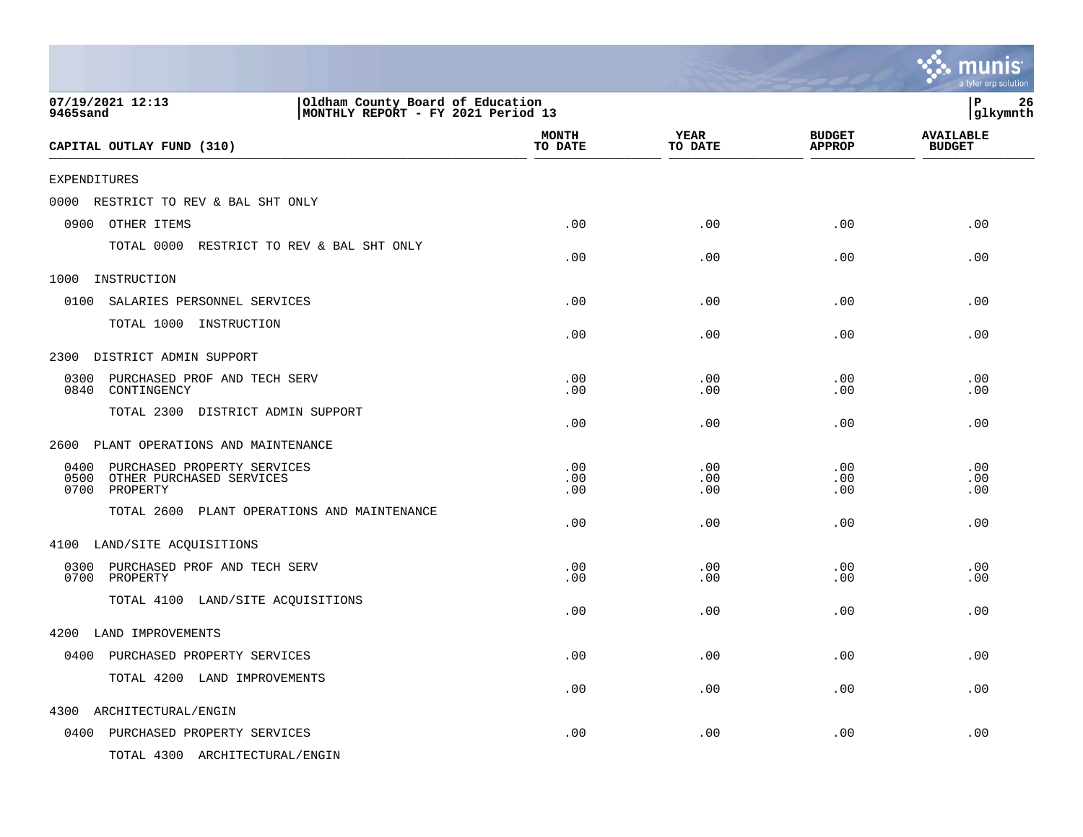|                                                                                                        |                         |                        |                                | munis<br>a tyler erp solution     |
|--------------------------------------------------------------------------------------------------------|-------------------------|------------------------|--------------------------------|-----------------------------------|
| 07/19/2021 12:13<br>Oldham County Board of Education<br>MONTHLY REPORT - FY 2021 Period 13<br>9465sand |                         |                        |                                | P<br>26<br>glkymnth               |
| CAPITAL OUTLAY FUND (310)                                                                              | <b>MONTH</b><br>TO DATE | <b>YEAR</b><br>TO DATE | <b>BUDGET</b><br><b>APPROP</b> | <b>AVAILABLE</b><br><b>BUDGET</b> |
| <b>EXPENDITURES</b>                                                                                    |                         |                        |                                |                                   |
| 0000<br>RESTRICT TO REV & BAL SHT ONLY                                                                 |                         |                        |                                |                                   |
| 0900<br>OTHER ITEMS                                                                                    | .00                     | .00                    | .00                            | .00                               |
| TOTAL 0000 RESTRICT TO REV & BAL SHT ONLY                                                              | .00                     | .00                    | .00                            | .00                               |
| 1000<br>INSTRUCTION                                                                                    |                         |                        |                                |                                   |
| 0100<br>SALARIES PERSONNEL SERVICES                                                                    | .00                     | .00                    | .00                            | .00                               |
| TOTAL 1000 INSTRUCTION                                                                                 | .00                     | .00                    | .00                            | .00                               |
| DISTRICT ADMIN SUPPORT<br>2300                                                                         |                         |                        |                                |                                   |
| 0300<br>PURCHASED PROF AND TECH SERV<br>0840<br>CONTINGENCY                                            | .00<br>.00              | .00<br>.00             | .00<br>.00                     | .00<br>.00                        |
| TOTAL 2300 DISTRICT ADMIN SUPPORT                                                                      | .00                     | .00                    | .00                            | .00                               |
| PLANT OPERATIONS AND MAINTENANCE<br>2600                                                               |                         |                        |                                |                                   |
| 0400<br>PURCHASED PROPERTY SERVICES<br>0500<br>OTHER PURCHASED SERVICES<br>0700<br>PROPERTY            | .00<br>.00<br>.00       | .00<br>.00<br>.00      | .00<br>.00<br>.00              | .00<br>.00<br>.00                 |
| TOTAL 2600 PLANT OPERATIONS AND MAINTENANCE                                                            | .00                     | .00                    | .00                            | .00                               |
| 4100 LAND/SITE ACQUISITIONS                                                                            |                         |                        |                                |                                   |
| 0300<br>PURCHASED PROF AND TECH SERV<br>0700<br>PROPERTY                                               | .00<br>.00              | .00<br>.00             | .00<br>.00                     | .00<br>.00                        |
| TOTAL 4100 LAND/SITE ACQUISITIONS                                                                      | .00                     | .00                    | .00                            | .00                               |
| 4200 LAND IMPROVEMENTS                                                                                 |                         |                        |                                |                                   |
| 0400 PURCHASED PROPERTY SERVICES                                                                       | .00                     | .00                    | .00                            | .00                               |
| TOTAL 4200 LAND IMPROVEMENTS                                                                           | .00                     | .00                    | .00                            | .00                               |
| 4300<br>ARCHITECTURAL/ENGIN                                                                            |                         |                        |                                |                                   |
| 0400 PURCHASED PROPERTY SERVICES                                                                       | .00                     | .00                    | .00                            | .00                               |
| TOTAL 4300 ARCHITECTURAL/ENGIN                                                                         |                         |                        |                                |                                   |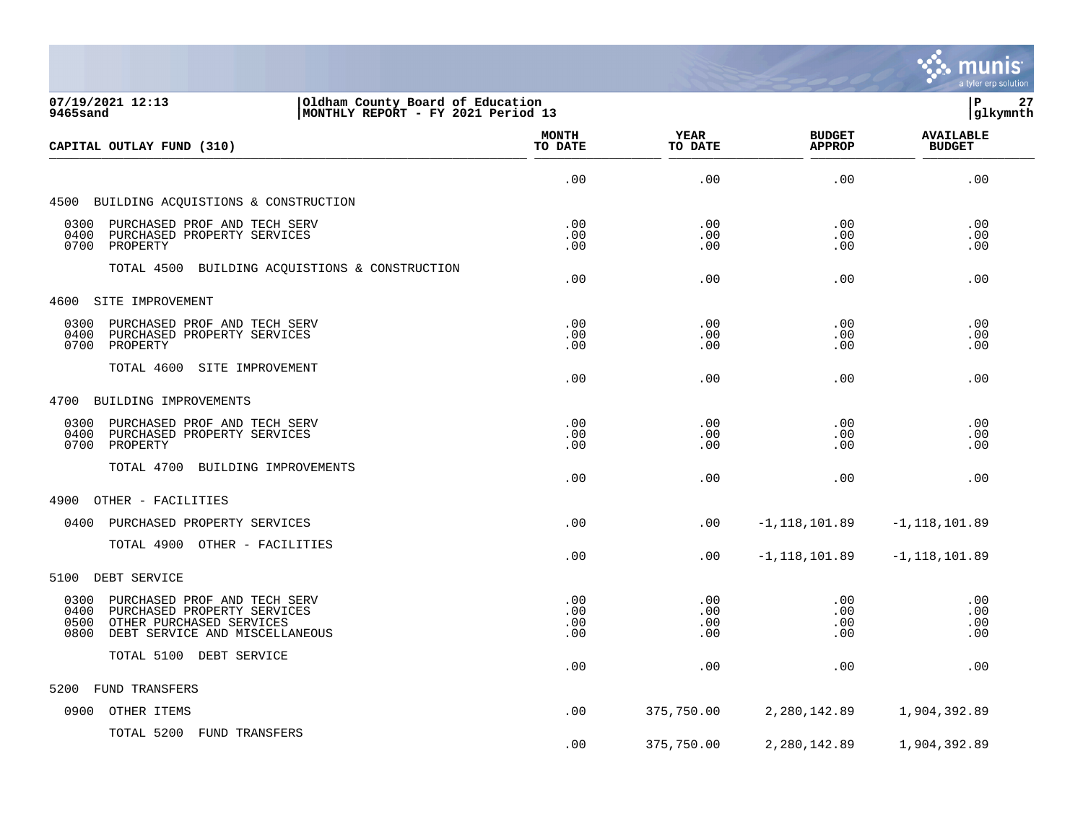

| 07/19/2021 12:13<br>Oldham County Board of Education<br>9465sand<br>MONTHLY REPORT - FY 2021 Period 13                                                    |                          |                          |                                |                                   |
|-----------------------------------------------------------------------------------------------------------------------------------------------------------|--------------------------|--------------------------|--------------------------------|-----------------------------------|
| CAPITAL OUTLAY FUND (310)                                                                                                                                 | <b>MONTH</b><br>TO DATE  | YEAR<br>TO DATE          | <b>BUDGET</b><br><b>APPROP</b> | <b>AVAILABLE</b><br><b>BUDGET</b> |
|                                                                                                                                                           | .00                      | .00                      | .00                            | .00                               |
| 4500 BUILDING ACQUISTIONS & CONSTRUCTION                                                                                                                  |                          |                          |                                |                                   |
| 0300<br>PURCHASED PROF AND TECH SERV<br>0400<br>PURCHASED PROPERTY SERVICES<br>0700<br>PROPERTY                                                           | .00<br>.00<br>.00        | .00<br>.00<br>.00        | .00<br>.00<br>.00              | .00<br>.00<br>.00                 |
| TOTAL 4500<br>BUILDING ACQUISTIONS & CONSTRUCTION                                                                                                         | .00                      | .00                      | .00                            | .00                               |
| 4600 SITE IMPROVEMENT                                                                                                                                     |                          |                          |                                |                                   |
| 0300<br>PURCHASED PROF AND TECH SERV<br>0400<br>PURCHASED PROPERTY SERVICES<br>0700<br>PROPERTY                                                           | .00<br>.00<br>.00        | .00<br>.00<br>.00        | .00<br>.00<br>.00              | .00<br>.00<br>.00                 |
| TOTAL 4600<br>SITE IMPROVEMENT                                                                                                                            | .00                      | .00                      | .00                            | .00                               |
| 4700<br>BUILDING IMPROVEMENTS                                                                                                                             |                          |                          |                                |                                   |
| 0300<br>PURCHASED PROF AND TECH SERV<br>0400<br>PURCHASED PROPERTY SERVICES<br>PROPERTY<br>0700                                                           | .00<br>.00<br>.00        | .00<br>.00<br>.00        | .00<br>.00<br>.00              | .00<br>.00<br>.00                 |
| TOTAL 4700 BUILDING IMPROVEMENTS                                                                                                                          | .00                      | .00                      | .00                            | .00                               |
| 4900<br>OTHER - FACILITIES                                                                                                                                |                          |                          |                                |                                   |
| 0400<br>PURCHASED PROPERTY SERVICES                                                                                                                       | .00                      | .00                      | $-1,118,101.89$                | $-1,118,101.89$                   |
| TOTAL 4900 OTHER - FACILITIES                                                                                                                             | .00                      | .00                      | $-1,118,101.89$                | $-1,118,101.89$                   |
| DEBT SERVICE<br>5100                                                                                                                                      |                          |                          |                                |                                   |
| 0300<br>PURCHASED PROF AND TECH SERV<br>0400<br>PURCHASED PROPERTY SERVICES<br>0500<br>OTHER PURCHASED SERVICES<br>0800<br>DEBT SERVICE AND MISCELLANEOUS | .00<br>.00<br>.00<br>.00 | .00<br>.00<br>.00<br>.00 | .00<br>.00<br>.00<br>.00       | .00<br>.00<br>.00<br>.00          |
| TOTAL 5100 DEBT SERVICE                                                                                                                                   | .00                      | .00                      | .00                            | .00                               |
| FUND TRANSFERS<br>5200                                                                                                                                    |                          |                          |                                |                                   |
| OTHER ITEMS<br>0900                                                                                                                                       | .00                      | 375,750.00               | 2,280,142.89                   | 1,904,392.89                      |
| TOTAL 5200 FUND TRANSFERS                                                                                                                                 | .00                      | 375,750.00               | 2,280,142.89                   | 1,904,392.89                      |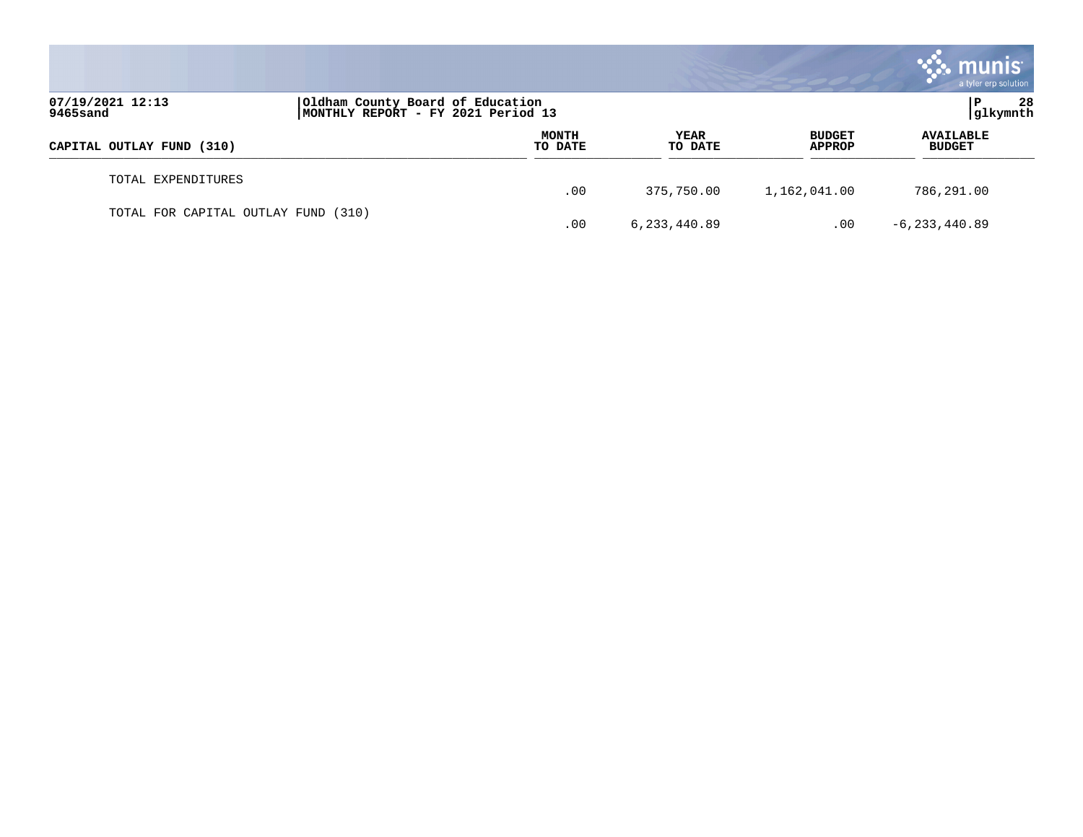|                                     |                                                                        |                  |                 |                                | <b>munis</b><br>a tyler erp solution |
|-------------------------------------|------------------------------------------------------------------------|------------------|-----------------|--------------------------------|--------------------------------------|
| 07/19/2021 12:13<br>9465sand        | Oldham County Board of Education<br>MONTHLY REPORT - FY 2021 Period 13 |                  |                 |                                | 28<br>P<br> glkymnth                 |
| CAPITAL OUTLAY FUND (310)           |                                                                        | MONTH<br>TO DATE | YEAR<br>TO DATE | <b>BUDGET</b><br><b>APPROP</b> | <b>AVAILABLE</b><br><b>BUDGET</b>    |
| TOTAL EXPENDITURES                  |                                                                        | .00              | 375,750.00      | 1,162,041.00                   | 786,291.00                           |
| TOTAL FOR CAPITAL OUTLAY FUND (310) |                                                                        | .00              | 6, 233, 440.89  | .00                            | $-6, 233, 440.89$                    |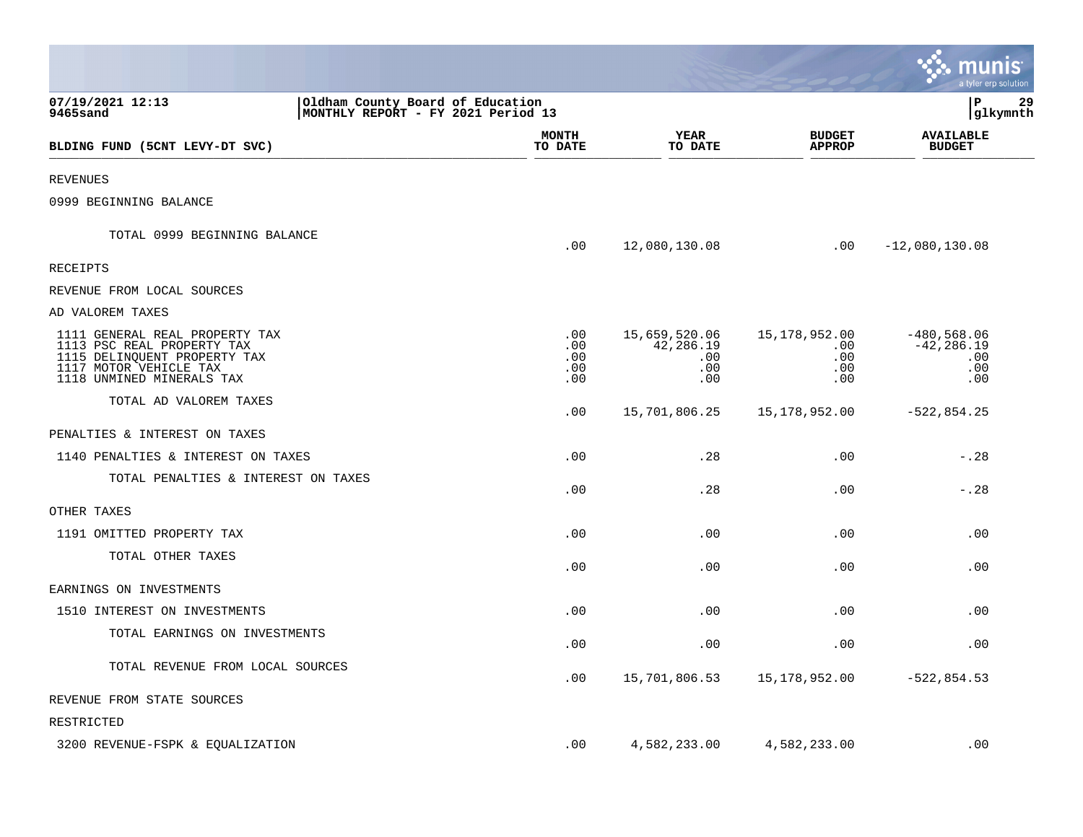|                                                                                                                                                     |                                                                        |                                 |                                                      |                                                     | munis<br>a tyler erp solution                       |
|-----------------------------------------------------------------------------------------------------------------------------------------------------|------------------------------------------------------------------------|---------------------------------|------------------------------------------------------|-----------------------------------------------------|-----------------------------------------------------|
| 07/19/2021 12:13<br>9465sand                                                                                                                        | Oldham County Board of Education<br>MONTHLY REPORT - FY 2021 Period 13 |                                 |                                                      |                                                     | lР<br>29<br> glkymnth                               |
| BLDING FUND (5CNT LEVY-DT SVC)                                                                                                                      |                                                                        | <b>MONTH</b><br>TO DATE         | <b>YEAR</b><br>TO DATE                               | <b>BUDGET</b><br><b>APPROP</b>                      | <b>AVAILABLE</b><br><b>BUDGET</b>                   |
| <b>REVENUES</b>                                                                                                                                     |                                                                        |                                 |                                                      |                                                     |                                                     |
| 0999 BEGINNING BALANCE                                                                                                                              |                                                                        |                                 |                                                      |                                                     |                                                     |
| TOTAL 0999 BEGINNING BALANCE                                                                                                                        |                                                                        | .00                             | 12,080,130.08                                        | .00                                                 | $-12,080,130.08$                                    |
| RECEIPTS                                                                                                                                            |                                                                        |                                 |                                                      |                                                     |                                                     |
| REVENUE FROM LOCAL SOURCES                                                                                                                          |                                                                        |                                 |                                                      |                                                     |                                                     |
| AD VALOREM TAXES                                                                                                                                    |                                                                        |                                 |                                                      |                                                     |                                                     |
| 1111 GENERAL REAL PROPERTY TAX<br>1113 PSC REAL PROPERTY TAX<br>1115 DELINQUENT PROPERTY TAX<br>1117 MOTOR VEHICLE TAX<br>1118 UNMINED MINERALS TAX |                                                                        | .00<br>.00<br>.00<br>.00<br>.00 | 15,659,520.06<br>42,286.19<br>$.00 \,$<br>.00<br>.00 | 15,178,952.00<br>$.00 \,$<br>.00<br>$.00 \,$<br>.00 | $-480,568.06$<br>$-42, 286.19$<br>.00<br>.00<br>.00 |
| TOTAL AD VALOREM TAXES                                                                                                                              |                                                                        | .00                             | 15,701,806.25                                        | 15,178,952.00                                       | $-522,854.25$                                       |
| PENALTIES & INTEREST ON TAXES                                                                                                                       |                                                                        |                                 |                                                      |                                                     |                                                     |
| 1140 PENALTIES & INTEREST ON TAXES                                                                                                                  |                                                                        | .00                             | .28                                                  | .00                                                 | $-0.28$                                             |
| TOTAL PENALTIES & INTEREST ON TAXES                                                                                                                 |                                                                        | .00                             | .28                                                  | .00                                                 | $-.28$                                              |
| OTHER TAXES                                                                                                                                         |                                                                        |                                 |                                                      |                                                     |                                                     |
| 1191 OMITTED PROPERTY TAX                                                                                                                           |                                                                        | .00                             | .00                                                  | .00                                                 | .00                                                 |
| TOTAL OTHER TAXES                                                                                                                                   |                                                                        | .00                             | .00                                                  | .00                                                 | .00                                                 |
| EARNINGS ON INVESTMENTS                                                                                                                             |                                                                        |                                 |                                                      |                                                     |                                                     |
| 1510 INTEREST ON INVESTMENTS                                                                                                                        |                                                                        | .00                             | .00                                                  | .00                                                 | .00                                                 |
| TOTAL EARNINGS ON INVESTMENTS                                                                                                                       |                                                                        | .00                             | .00                                                  | .00                                                 | .00                                                 |
| TOTAL REVENUE FROM LOCAL SOURCES                                                                                                                    |                                                                        | .00                             | 15,701,806.53                                        | 15,178,952.00                                       | $-522,854.53$                                       |
| REVENUE FROM STATE SOURCES                                                                                                                          |                                                                        |                                 |                                                      |                                                     |                                                     |
| RESTRICTED                                                                                                                                          |                                                                        |                                 |                                                      |                                                     |                                                     |
| 3200 REVENUE-FSPK & EQUALIZATION                                                                                                                    |                                                                        | .00                             | 4,582,233.00                                         | 4,582,233.00                                        | .00                                                 |

**College**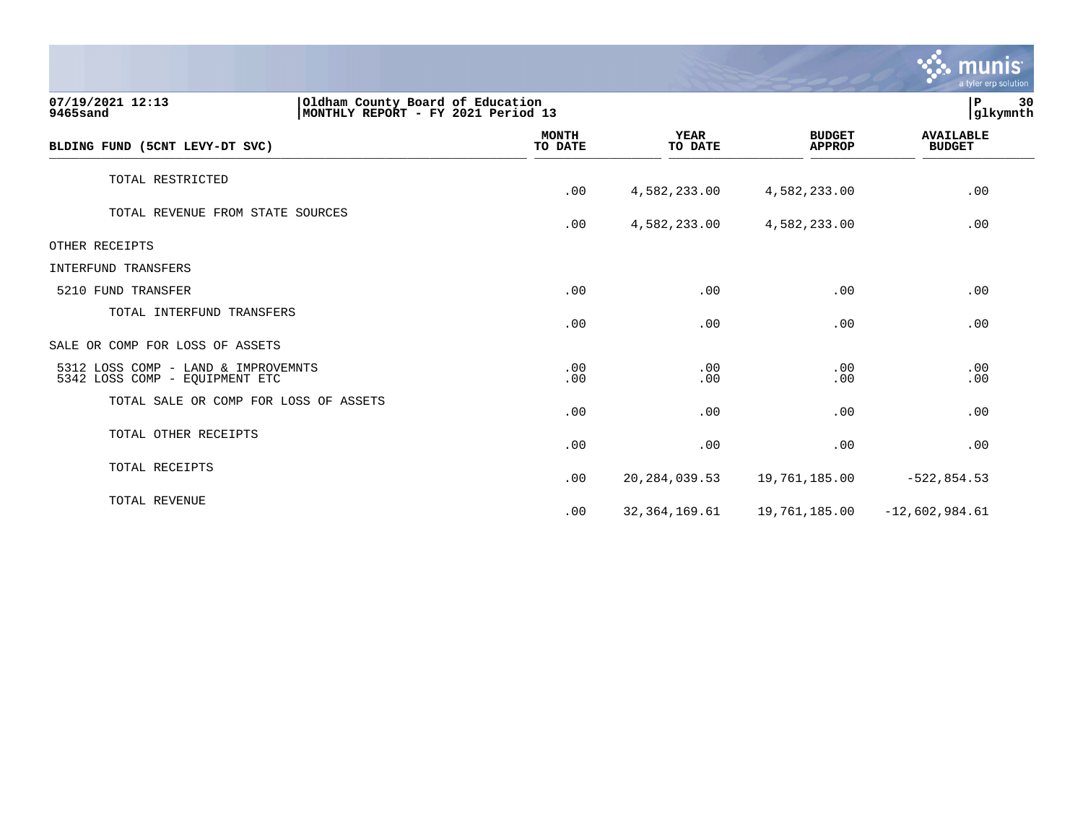|                                                                       |                                                                        |                        |                                | <u>munis</u><br>a tyler erp solution |  |  |
|-----------------------------------------------------------------------|------------------------------------------------------------------------|------------------------|--------------------------------|--------------------------------------|--|--|
| 07/19/2021 12:13<br>9465sand                                          | Oldham County Board of Education<br>MONTHLY REPORT - FY 2021 Period 13 |                        |                                |                                      |  |  |
| BLDING FUND (5CNT LEVY-DT SVC)                                        | <b>MONTH</b><br>TO DATE                                                | <b>YEAR</b><br>TO DATE | <b>BUDGET</b><br><b>APPROP</b> | <b>AVAILABLE</b><br><b>BUDGET</b>    |  |  |
| TOTAL RESTRICTED                                                      | .00                                                                    | 4,582,233.00           | 4,582,233.00                   | .00                                  |  |  |
| TOTAL REVENUE FROM STATE SOURCES                                      | .00                                                                    | 4,582,233.00           | 4,582,233.00                   | .00                                  |  |  |
| OTHER RECEIPTS                                                        |                                                                        |                        |                                |                                      |  |  |
| <b>INTERFUND TRANSFERS</b>                                            |                                                                        |                        |                                |                                      |  |  |
| 5210 FUND TRANSFER                                                    | .00                                                                    | .00                    | .00                            | .00                                  |  |  |
| TOTAL INTERFUND TRANSFERS                                             | .00                                                                    | .00                    | .00                            | .00                                  |  |  |
| SALE OR COMP FOR LOSS OF ASSETS                                       |                                                                        |                        |                                |                                      |  |  |
| 5312 LOSS COMP - LAND & IMPROVEMNTS<br>5342 LOSS COMP - EQUIPMENT ETC | .00<br>.00                                                             | .00<br>.00             | .00<br>.00                     | .00<br>.00                           |  |  |
| TOTAL SALE OR COMP FOR LOSS OF ASSETS                                 | .00                                                                    | .00                    | .00                            | .00                                  |  |  |
| TOTAL OTHER RECEIPTS                                                  | .00                                                                    | .00                    | .00                            | .00                                  |  |  |
| TOTAL RECEIPTS                                                        | .00                                                                    | 20, 284, 039.53        | 19,761,185.00                  | $-522, 854.53$                       |  |  |
| TOTAL REVENUE                                                         | .00                                                                    | 32, 364, 169.61        | 19,761,185.00                  | $-12,602,984.61$                     |  |  |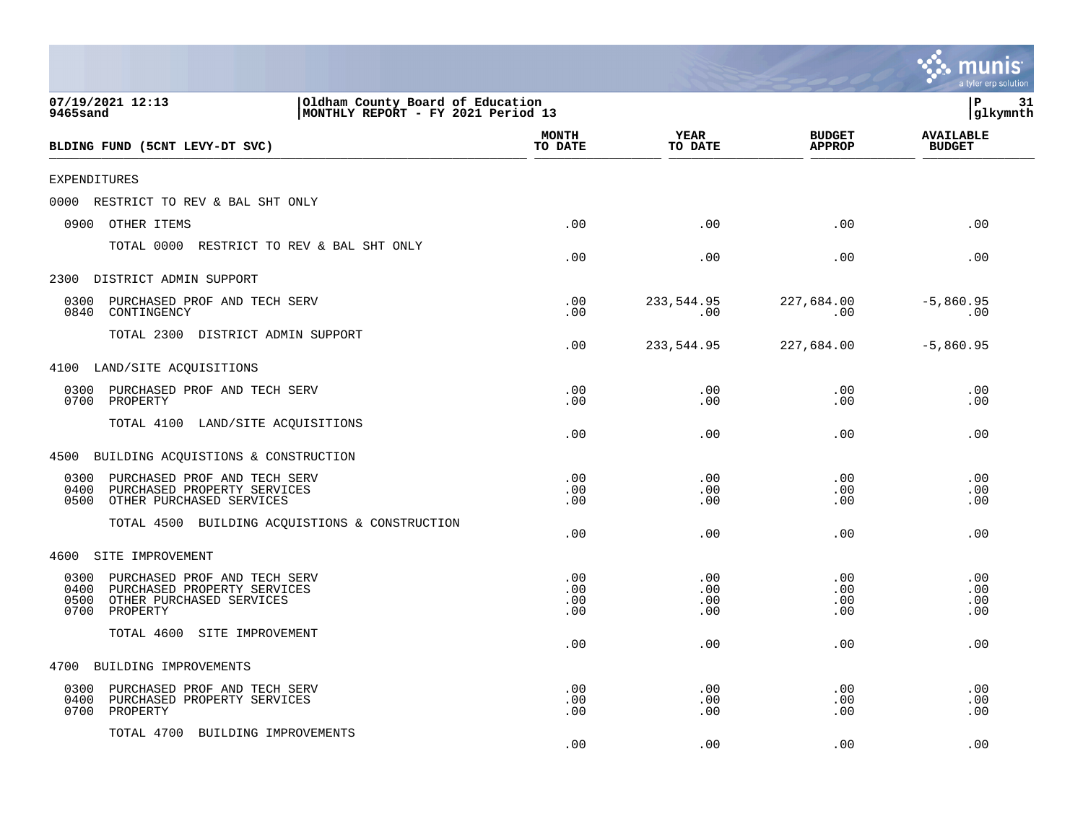|                                                                                                                                     |                                                                        |                          |                          |                                | a tyler erp solution              |
|-------------------------------------------------------------------------------------------------------------------------------------|------------------------------------------------------------------------|--------------------------|--------------------------|--------------------------------|-----------------------------------|
| 07/19/2021 12:13<br><b>9465sand</b>                                                                                                 | Oldham County Board of Education<br>MONTHLY REPORT - FY 2021 Period 13 |                          |                          |                                | ΙP<br>31<br>glkymnth              |
| BLDING FUND (5CNT LEVY-DT SVC)                                                                                                      |                                                                        | <b>MONTH</b><br>TO DATE  | <b>YEAR</b><br>TO DATE   | <b>BUDGET</b><br><b>APPROP</b> | <b>AVAILABLE</b><br><b>BUDGET</b> |
| <b>EXPENDITURES</b>                                                                                                                 |                                                                        |                          |                          |                                |                                   |
| 0000<br>RESTRICT TO REV & BAL SHT ONLY                                                                                              |                                                                        |                          |                          |                                |                                   |
| 0900<br>OTHER ITEMS                                                                                                                 |                                                                        | .00                      | .00                      | .00                            | .00                               |
| TOTAL 0000                                                                                                                          | RESTRICT TO REV & BAL SHT ONLY                                         | .00                      | .00                      | .00                            | .00                               |
| 2300<br>DISTRICT ADMIN SUPPORT                                                                                                      |                                                                        |                          |                          |                                |                                   |
| 0300<br>PURCHASED PROF AND TECH SERV<br>0840<br>CONTINGENCY                                                                         |                                                                        | .00<br>.00               | 233,544.95<br>.00        | 227,684.00<br>.00              | $-5,860.95$<br>.00                |
| TOTAL 2300 DISTRICT ADMIN SUPPORT                                                                                                   |                                                                        | .00                      | 233,544.95               | 227,684.00                     | $-5,860.95$                       |
| 4100<br>LAND/SITE ACQUISITIONS                                                                                                      |                                                                        |                          |                          |                                |                                   |
| 0300<br>PURCHASED PROF AND TECH SERV<br>0700<br>PROPERTY                                                                            |                                                                        | .00<br>.00               | .00<br>.00               | .00<br>.00                     | .00<br>.00                        |
| TOTAL 4100<br>LAND/SITE ACQUISITIONS                                                                                                |                                                                        | .00                      | .00                      | .00                            | .00                               |
| BUILDING ACQUISTIONS & CONSTRUCTION<br>4500                                                                                         |                                                                        |                          |                          |                                |                                   |
| PURCHASED PROF AND TECH SERV<br>0300<br>0400<br>PURCHASED PROPERTY SERVICES<br>0500<br>OTHER PURCHASED SERVICES                     |                                                                        | .00<br>.00<br>.00        | .00<br>.00<br>.00        | .00<br>.00<br>.00              | .00<br>.00<br>.00                 |
| TOTAL 4500 BUILDING ACQUISTIONS & CONSTRUCTION                                                                                      |                                                                        | .00                      | .00                      | .00                            | .00                               |
| SITE IMPROVEMENT<br>4600                                                                                                            |                                                                        |                          |                          |                                |                                   |
| 0300<br>PURCHASED PROF AND TECH SERV<br>0400<br>PURCHASED PROPERTY SERVICES<br>0500<br>OTHER PURCHASED SERVICES<br>0700<br>PROPERTY |                                                                        | .00<br>.00<br>.00<br>.00 | .00<br>.00<br>.00<br>.00 | .00<br>.00<br>.00<br>.00       | .00<br>.00<br>.00<br>.00          |
| TOTAL 4600<br>SITE IMPROVEMENT                                                                                                      |                                                                        | .00                      | .00                      | .00                            | .00                               |
| BUILDING IMPROVEMENTS<br>4700                                                                                                       |                                                                        |                          |                          |                                |                                   |
| PURCHASED PROF AND TECH SERV<br>0300<br>0400<br>PURCHASED PROPERTY SERVICES<br>0700<br>PROPERTY                                     |                                                                        | .00<br>.00<br>.00        | .00<br>.00<br>.00        | .00<br>.00<br>.00              | .00<br>.00<br>.00                 |
| TOTAL 4700 BUILDING IMPROVEMENTS                                                                                                    |                                                                        | .00                      | .00                      | .00                            | .00                               |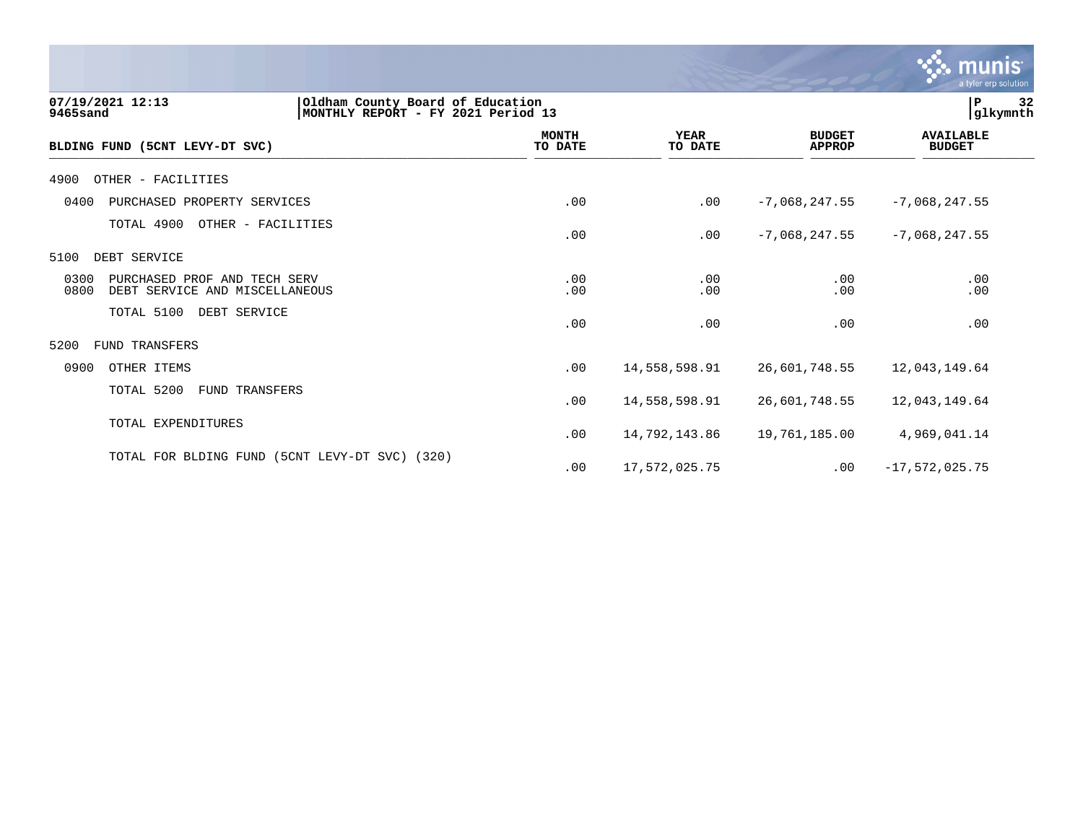|                                                                                                        |                         |                        |                                | munis<br>a tyler erp solution     |    |
|--------------------------------------------------------------------------------------------------------|-------------------------|------------------------|--------------------------------|-----------------------------------|----|
| Oldham County Board of Education<br>07/19/2021 12:13<br>MONTHLY REPORT - FY 2021 Period 13<br>9465sand |                         |                        |                                | $\, {\bf P}$<br>glkymnth          | 32 |
| BLDING FUND (5CNT LEVY-DT SVC)                                                                         | <b>MONTH</b><br>TO DATE | <b>YEAR</b><br>TO DATE | <b>BUDGET</b><br><b>APPROP</b> | <b>AVAILABLE</b><br><b>BUDGET</b> |    |
| 4900<br>OTHER - FACILITIES                                                                             |                         |                        |                                |                                   |    |
| 0400<br>PURCHASED PROPERTY SERVICES                                                                    | .00                     | .00                    | $-7,068,247.55$                | $-7,068,247.55$                   |    |
| TOTAL 4900<br>OTHER - FACILITIES                                                                       | .00                     | .00                    | $-7,068,247.55$                | $-7,068,247.55$                   |    |
| 5100<br>DEBT SERVICE                                                                                   |                         |                        |                                |                                   |    |
| 0300<br>PURCHASED PROF AND TECH SERV<br>0800<br>DEBT SERVICE AND MISCELLANEOUS                         | .00<br>.00              | .00<br>.00             | .00<br>.00                     | .00<br>.00                        |    |
| TOTAL 5100<br>DEBT SERVICE                                                                             | .00                     | .00                    | .00                            | .00                               |    |
| <b>FUND TRANSFERS</b><br>5200                                                                          |                         |                        |                                |                                   |    |
| 0900<br>OTHER ITEMS                                                                                    | .00                     | 14,558,598.91          | 26,601,748.55                  | 12,043,149.64                     |    |
| TOTAL 5200<br>FUND TRANSFERS                                                                           | .00                     | 14,558,598.91          | 26,601,748.55                  | 12,043,149.64                     |    |
| TOTAL EXPENDITURES                                                                                     | .00                     | 14,792,143.86          | 19,761,185.00                  | 4,969,041.14                      |    |
| TOTAL FOR BLDING FUND (5CNT LEVY-DT SVC) (320)                                                         | .00                     | 17,572,025.75          | .00                            | $-17,572,025.75$                  |    |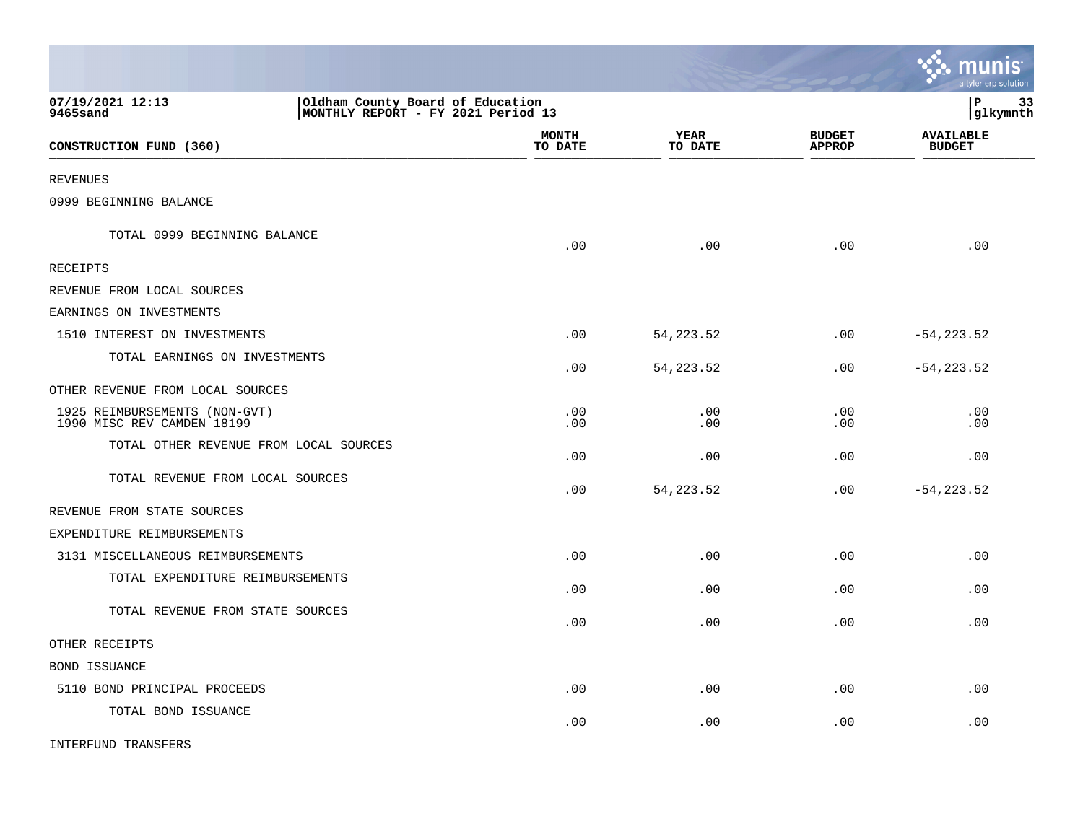|                                                             |                                                                        |                 |                                | <b>as munis</b><br>a tyler erp solution |
|-------------------------------------------------------------|------------------------------------------------------------------------|-----------------|--------------------------------|-----------------------------------------|
| 07/19/2021 12:13<br>9465sand                                | Oldham County Board of Education<br>MONTHLY REPORT - FY 2021 Period 13 |                 |                                | l P<br>33<br> glkymnth                  |
| CONSTRUCTION FUND (360)                                     | <b>MONTH</b><br>TO DATE                                                | YEAR<br>TO DATE | <b>BUDGET</b><br><b>APPROP</b> | <b>AVAILABLE</b><br><b>BUDGET</b>       |
| <b>REVENUES</b>                                             |                                                                        |                 |                                |                                         |
| 0999 BEGINNING BALANCE                                      |                                                                        |                 |                                |                                         |
| TOTAL 0999 BEGINNING BALANCE                                | .00                                                                    | .00             | .00                            | .00                                     |
| RECEIPTS                                                    |                                                                        |                 |                                |                                         |
| REVENUE FROM LOCAL SOURCES                                  |                                                                        |                 |                                |                                         |
| EARNINGS ON INVESTMENTS                                     |                                                                        |                 |                                |                                         |
| 1510 INTEREST ON INVESTMENTS                                | .00                                                                    | 54, 223. 52     | .00                            | $-54, 223.52$                           |
| TOTAL EARNINGS ON INVESTMENTS                               | .00                                                                    | 54, 223. 52     | .00                            | $-54, 223.52$                           |
| OTHER REVENUE FROM LOCAL SOURCES                            |                                                                        |                 |                                |                                         |
| 1925 REIMBURSEMENTS (NON-GVT)<br>1990 MISC REV CAMDEN 18199 | .00<br>.00                                                             | .00<br>.00      | .00<br>.00                     | .00<br>.00                              |
| TOTAL OTHER REVENUE FROM LOCAL SOURCES                      | .00                                                                    | .00             | .00                            | .00                                     |
| TOTAL REVENUE FROM LOCAL SOURCES                            | .00                                                                    | 54, 223.52      | .00                            | $-54, 223.52$                           |
| REVENUE FROM STATE SOURCES                                  |                                                                        |                 |                                |                                         |
| EXPENDITURE REIMBURSEMENTS                                  |                                                                        |                 |                                |                                         |
| 3131 MISCELLANEOUS REIMBURSEMENTS                           | .00                                                                    | .00             | .00                            | .00                                     |
| TOTAL EXPENDITURE REIMBURSEMENTS                            | .00                                                                    | .00             | .00                            | .00                                     |
| TOTAL REVENUE FROM STATE SOURCES                            | .00                                                                    | .00             | .00                            | .00                                     |
| OTHER RECEIPTS                                              |                                                                        |                 |                                |                                         |
| BOND ISSUANCE                                               |                                                                        |                 |                                |                                         |
| 5110 BOND PRINCIPAL PROCEEDS                                | .00                                                                    | .00             | .00                            | .00                                     |
| TOTAL BOND ISSUANCE                                         | .00                                                                    | .00             | .00                            | .00                                     |
| INTERFUND TRANSFERS                                         |                                                                        |                 |                                |                                         |

 $\mathcal{L}$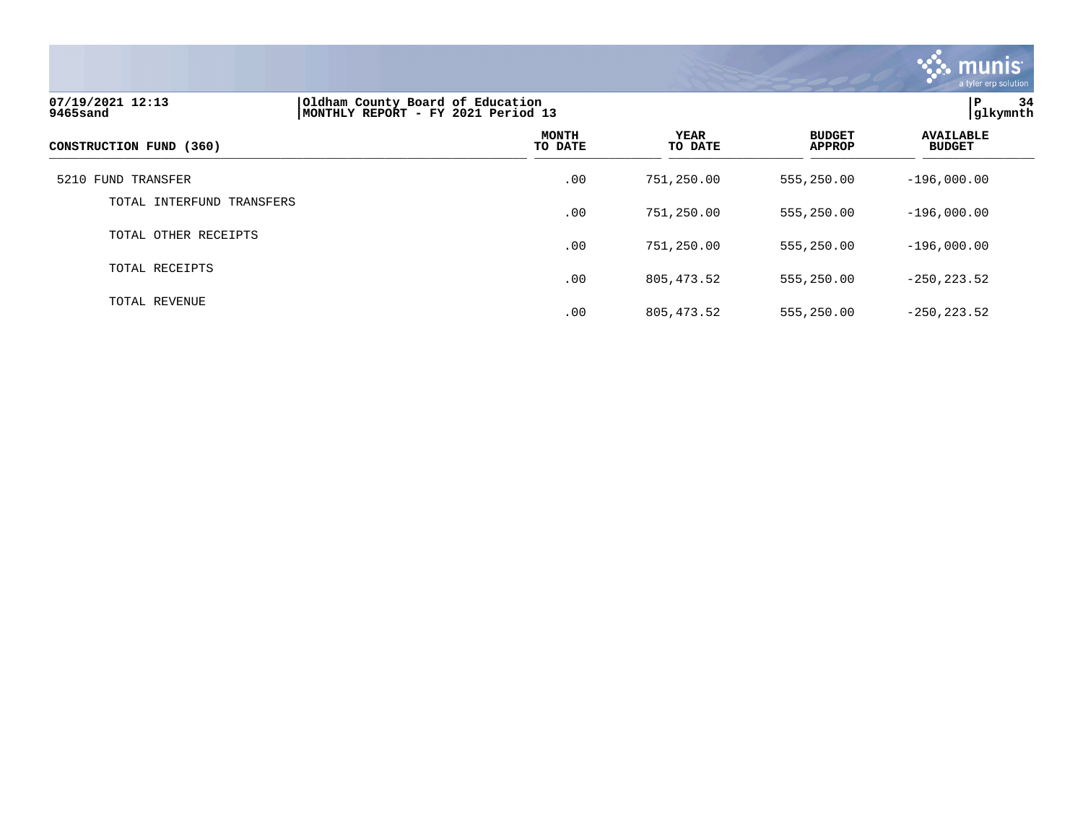

| 07/19/2021 12:13<br>9465sand | Oldham County Board of Education<br>MONTHLY REPORT - FY 2021 Period 13 | P<br>34<br> q1kymnth    |                        |                                |                                   |
|------------------------------|------------------------------------------------------------------------|-------------------------|------------------------|--------------------------------|-----------------------------------|
| CONSTRUCTION FUND (360)      |                                                                        | <b>MONTH</b><br>TO DATE | <b>YEAR</b><br>TO DATE | <b>BUDGET</b><br><b>APPROP</b> | <b>AVAILABLE</b><br><b>BUDGET</b> |
| 5210 FUND TRANSFER           |                                                                        | .00                     | 751,250.00             | 555,250.00                     | $-196.000.00$                     |
| TOTAL INTERFUND TRANSFERS    |                                                                        | .00                     | 751,250.00             | 555,250.00                     | $-196,000.00$                     |
| TOTAL OTHER RECEIPTS         |                                                                        | .00                     | 751,250.00             | 555,250.00                     | $-196,000.00$                     |
| TOTAL RECEIPTS               |                                                                        | .00                     | 805, 473.52            | 555,250.00                     | $-250, 223.52$                    |
| TOTAL REVENUE                |                                                                        | .00                     | 805, 473.52            | 555,250.00                     | $-250, 223.52$                    |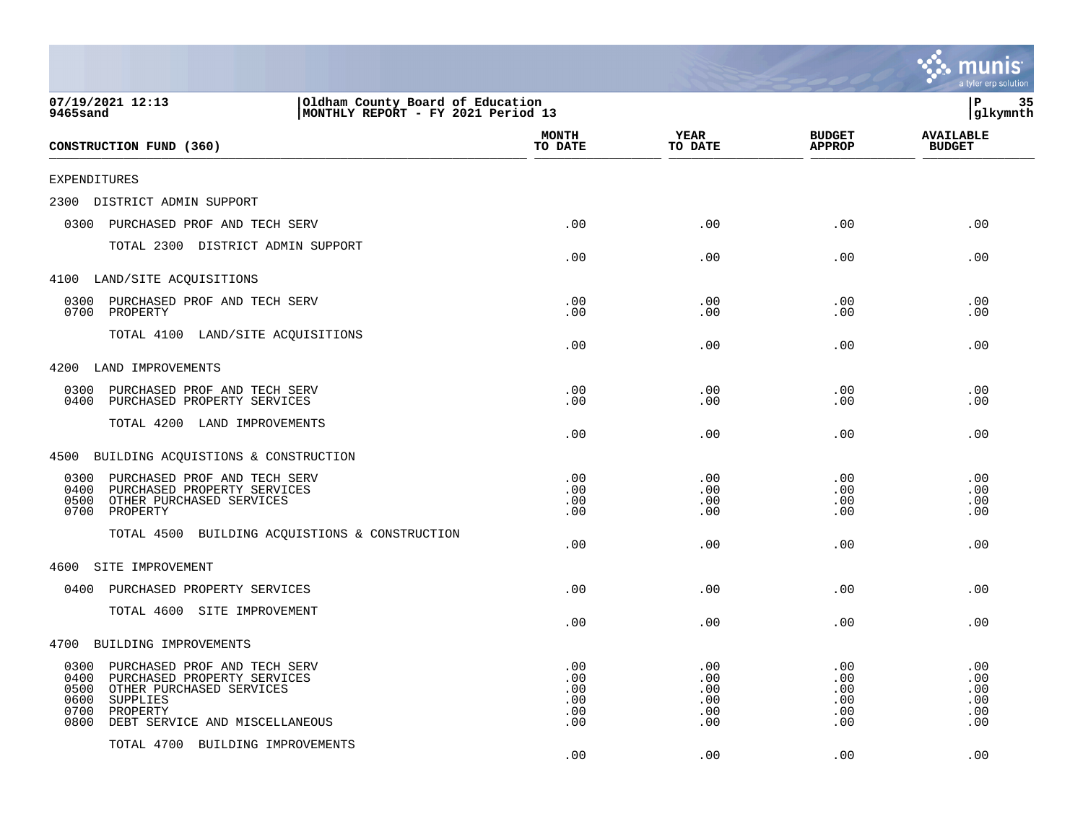|                                                                                                                                                                                                   |                                        |                                        |                                        | a tyler erp solution                   |
|---------------------------------------------------------------------------------------------------------------------------------------------------------------------------------------------------|----------------------------------------|----------------------------------------|----------------------------------------|----------------------------------------|
| 07/19/2021 12:13<br>Oldham County Board of Education<br>MONTHLY REPORT - FY 2021 Period 13<br>9465sand                                                                                            |                                        |                                        |                                        | P<br>35<br>glkymnth                    |
| CONSTRUCTION FUND (360)                                                                                                                                                                           | <b>MONTH</b><br>TO DATE                | YEAR<br>TO DATE                        | <b>BUDGET</b><br><b>APPROP</b>         | <b>AVAILABLE</b><br><b>BUDGET</b>      |
| EXPENDITURES                                                                                                                                                                                      |                                        |                                        |                                        |                                        |
| 2300 DISTRICT ADMIN SUPPORT                                                                                                                                                                       |                                        |                                        |                                        |                                        |
| 0300<br>PURCHASED PROF AND TECH SERV                                                                                                                                                              | .00                                    | .00                                    | .00                                    | .00                                    |
| TOTAL 2300 DISTRICT ADMIN SUPPORT                                                                                                                                                                 | .00                                    | .00                                    | .00                                    | .00                                    |
| 4100 LAND/SITE ACQUISITIONS                                                                                                                                                                       |                                        |                                        |                                        |                                        |
| 0300<br>PURCHASED PROF AND TECH SERV<br>0700<br>PROPERTY                                                                                                                                          | .00<br>.00                             | .00<br>.00                             | .00<br>.00                             | .00<br>.00                             |
| TOTAL 4100 LAND/SITE ACQUISITIONS                                                                                                                                                                 | .00                                    | .00                                    | .00                                    | .00                                    |
| 4200<br>LAND IMPROVEMENTS                                                                                                                                                                         |                                        |                                        |                                        |                                        |
| 0300<br>PURCHASED PROF AND TECH SERV<br>0400<br>PURCHASED PROPERTY SERVICES                                                                                                                       | .00<br>.00                             | .00<br>.00                             | .00<br>.00                             | .00<br>.00                             |
| TOTAL 4200 LAND IMPROVEMENTS                                                                                                                                                                      | .00                                    | .00                                    | .00                                    | .00                                    |
| BUILDING ACQUISTIONS & CONSTRUCTION<br>4500                                                                                                                                                       |                                        |                                        |                                        |                                        |
| 0300<br>PURCHASED PROF AND TECH SERV<br>PURCHASED PROPERTY SERVICES<br>0400<br>0500<br>OTHER PURCHASED SERVICES<br>0700<br>PROPERTY                                                               | .00<br>.00<br>.00<br>.00               | .00<br>.00<br>.00<br>.00               | .00<br>.00<br>.00<br>.00               | .00<br>.00<br>.00<br>.00               |
| TOTAL 4500 BUILDING ACQUISTIONS & CONSTRUCTION                                                                                                                                                    | .00                                    | .00                                    | .00                                    | .00                                    |
| SITE IMPROVEMENT<br>4600                                                                                                                                                                          |                                        |                                        |                                        |                                        |
| 0400<br>PURCHASED PROPERTY SERVICES                                                                                                                                                               | .00                                    | .00                                    | .00                                    | .00                                    |
| TOTAL 4600 SITE IMPROVEMENT                                                                                                                                                                       | .00                                    | .00                                    | .00                                    | .00                                    |
| 4700<br>BUILDING IMPROVEMENTS                                                                                                                                                                     |                                        |                                        |                                        |                                        |
| 0300<br>PURCHASED PROF AND TECH SERV<br>0400<br>PURCHASED PROPERTY SERVICES<br>0500<br>OTHER PURCHASED SERVICES<br>0600<br>SUPPLIES<br>0700<br>PROPERTY<br>0800<br>DEBT SERVICE AND MISCELLANEOUS | .00<br>.00<br>.00<br>.00<br>.00<br>.00 | .00<br>.00<br>.00<br>.00<br>.00<br>.00 | .00<br>.00<br>.00<br>.00<br>.00<br>.00 | .00<br>.00<br>.00<br>.00<br>.00<br>.00 |
| TOTAL 4700 BUILDING IMPROVEMENTS                                                                                                                                                                  | .00                                    | .00                                    | .00                                    | .00                                    |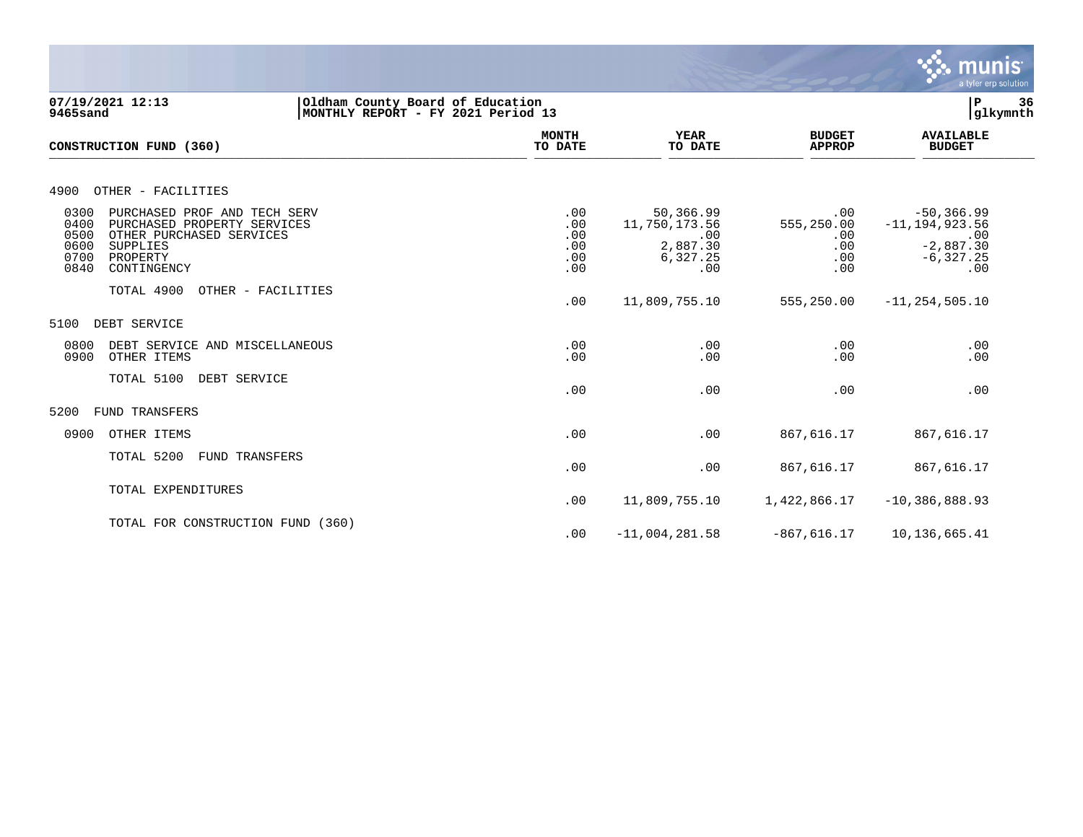

**07/19/2021 12:13 |Oldham County Board of Education |P 36 9465sand |MONTHLY REPORT - FY 2021 Period 13 |glkymnth MONTH AVAILABLE YEAR BUDGET** AVAILABLE **CONSTRUCTION FUND (360) TO DATE TO DATE APPROP BUDGET**   $\overline{10 \text{ MHz}}$  and  $\overline{10 \text{ MHz}}$  and  $\overline{10 \text{ MHz}}$  and  $\overline{10 \text{ MHz}}$  and  $\overline{10 \text{ MHz}}$  and  $\overline{10 \text{ MHz}}$  and  $\overline{10 \text{ MHz}}$  and  $\overline{10 \text{ MHz}}$  and  $\overline{10 \text{ MHz}}$  and  $\overline{10 \text{ MHz}}$  and  $\overline{10 \text{ MHz}}$  and  $\overline{10 \text{ MHz}}$  and  $\overline{$ 4900 OTHER - FACILITIES 0300 PURCHASED PROF AND TECH SERV .00 50,366.99 .00 -50,366.99 0400 PURCHASED PROPERTY SERVICES .00 11,750,173.56 555,250.00 -11,194,923.56 0500 OTHER PURCHASED SERVICES .00 .00 .00 .00 0600 SUPPLIES .00 2,887.30 .00 -2,887.30 0700 PROPERTY .00 6,327.25 .00 -6,327.25 0840 CONTINGENCY .00 .00 .00 .00 TOTAL 4900 OTHER - FACILITIES .00 11,809,755.10 555,250.00 -11,254,505.10 5100 DEBT SERVICE 0800 DEBT SERVICE AND MISCELLANEOUS .00 .00 .00 .00 0900 OTHER ITEMS TOTAL 5100 DEBT SERVICE  $.00$  .  $.00$  .  $.00$  .  $.00$  .  $.00$  .  $.00$  .  $.00$  .  $.00$  .  $.00$  .  $.00$  .  $.00$  .  $.00$  .  $.00$  .  $.00$  .  $.00$  .  $.00$  .  $.00$  .  $.00$  .  $.00$  .  $.00$  .  $.00$  .  $.00$  .  $.00$  .  $.00$  .  $.00$  .  $.00$  .  $.00$  .  $.00$ 5200 FUND TRANSFERS 0900 OTHER ITEMS .00 .00 867,616.17 867,616.17 TOTAL 5200 FUND TRANSFERS .00 .00 867,616.17 867,616.17 TOTAL EXPENDITURES .00 11,809,755.10 1,422,866.17 -10,386,888.93 TOTAL FOR CONSTRUCTION FUND (360) .00 -11,004,281.58 -867,616.17 10,136,665.41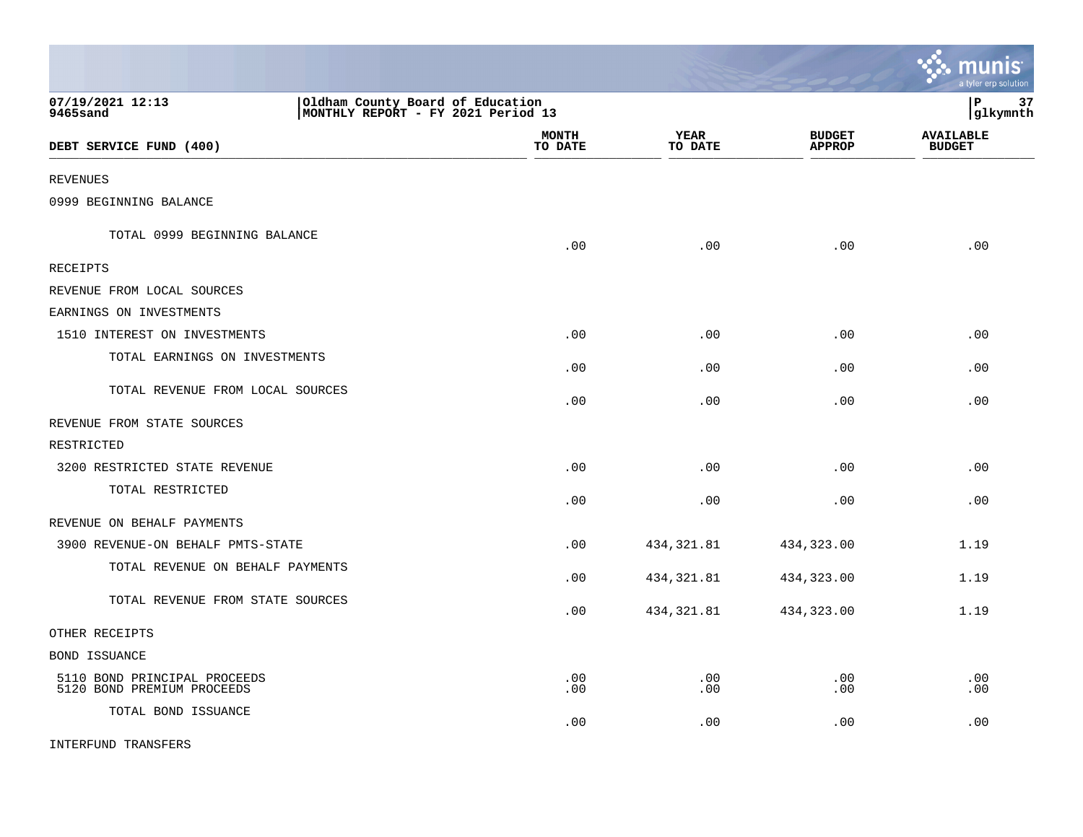|                                                            |                                                                        |            |                        |                                | <u>munis</u><br>a tyler erp solution |
|------------------------------------------------------------|------------------------------------------------------------------------|------------|------------------------|--------------------------------|--------------------------------------|
| 07/19/2021 12:13<br>9465sand                               | Oldham County Board of Education<br>MONTHLY REPORT - FY 2021 Period 13 |            |                        |                                | l P<br>37<br> glkymnth               |
| DEBT SERVICE FUND (400)                                    | <b>MONTH</b><br>TO DATE                                                |            | <b>YEAR</b><br>TO DATE | <b>BUDGET</b><br><b>APPROP</b> | <b>AVAILABLE</b><br><b>BUDGET</b>    |
| REVENUES                                                   |                                                                        |            |                        |                                |                                      |
| 0999 BEGINNING BALANCE                                     |                                                                        |            |                        |                                |                                      |
| TOTAL 0999 BEGINNING BALANCE                               |                                                                        | .00        | .00                    | .00                            | .00                                  |
| RECEIPTS                                                   |                                                                        |            |                        |                                |                                      |
| REVENUE FROM LOCAL SOURCES                                 |                                                                        |            |                        |                                |                                      |
| EARNINGS ON INVESTMENTS                                    |                                                                        |            |                        |                                |                                      |
| 1510 INTEREST ON INVESTMENTS                               |                                                                        | .00        | .00                    | .00                            | .00                                  |
| TOTAL EARNINGS ON INVESTMENTS                              |                                                                        | .00        | .00                    | .00                            | .00                                  |
| TOTAL REVENUE FROM LOCAL SOURCES                           |                                                                        | .00        | .00                    | .00                            | .00                                  |
| REVENUE FROM STATE SOURCES                                 |                                                                        |            |                        |                                |                                      |
| RESTRICTED                                                 |                                                                        |            |                        |                                |                                      |
| 3200 RESTRICTED STATE REVENUE                              |                                                                        | .00        | .00                    | .00                            | .00                                  |
| TOTAL RESTRICTED                                           |                                                                        | .00        | .00                    | .00                            | .00                                  |
| REVENUE ON BEHALF PAYMENTS                                 |                                                                        |            |                        |                                |                                      |
| 3900 REVENUE-ON BEHALF PMTS-STATE                          |                                                                        | .00        | 434,321.81             | 434,323.00                     | 1.19                                 |
| TOTAL REVENUE ON BEHALF PAYMENTS                           |                                                                        | .00        | 434, 321.81            | 434,323.00                     | 1.19                                 |
| TOTAL REVENUE FROM STATE SOURCES                           |                                                                        | .00        | 434, 321.81            | 434,323.00                     | 1.19                                 |
| OTHER RECEIPTS                                             |                                                                        |            |                        |                                |                                      |
| BOND ISSUANCE                                              |                                                                        |            |                        |                                |                                      |
| 5110 BOND PRINCIPAL PROCEEDS<br>5120 BOND PREMIUM PROCEEDS |                                                                        | .00<br>.00 | .00<br>.00             | .00<br>.00                     | .00<br>.00                           |
| TOTAL BOND ISSUANCE                                        |                                                                        | .00        | .00                    | .00                            | .00                                  |
| INTERFUND TRANSFERS                                        |                                                                        |            |                        |                                |                                      |

 $\mathcal{L}$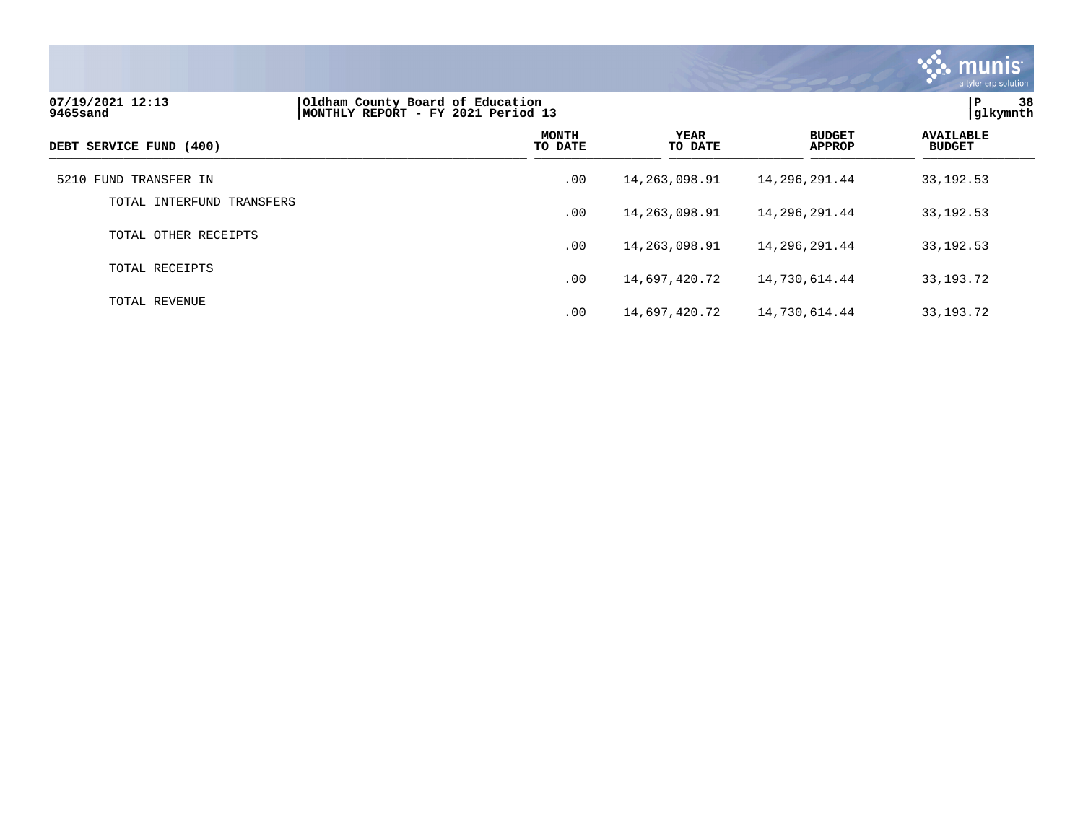

| 07/19/2021 12:13<br>9465sand | Oldham County Board of Education<br>MONTHLY REPORT - FY 2021 Period 13 | 38<br>ΙP<br>glkymnth    |                        |                                |                                   |
|------------------------------|------------------------------------------------------------------------|-------------------------|------------------------|--------------------------------|-----------------------------------|
| DEBT SERVICE FUND (400)      |                                                                        | <b>MONTH</b><br>TO DATE | <b>YEAR</b><br>TO DATE | <b>BUDGET</b><br><b>APPROP</b> | <b>AVAILABLE</b><br><b>BUDGET</b> |
| 5210 FUND TRANSFER IN        |                                                                        | .00                     | 14,263,098.91          | 14,296,291.44                  | 33, 192. 53                       |
| TOTAL INTERFUND TRANSFERS    |                                                                        | .00                     | 14,263,098.91          | 14,296,291.44                  | 33, 192. 53                       |
| TOTAL OTHER RECEIPTS         |                                                                        | .00                     | 14, 263, 098.91        | 14,296,291.44                  | 33, 192. 53                       |
| TOTAL RECEIPTS               |                                                                        | .00                     | 14,697,420.72          | 14,730,614.44                  | 33, 193. 72                       |
| TOTAL REVENUE                |                                                                        | .00                     | 14,697,420.72          | 14,730,614.44                  | 33, 193. 72                       |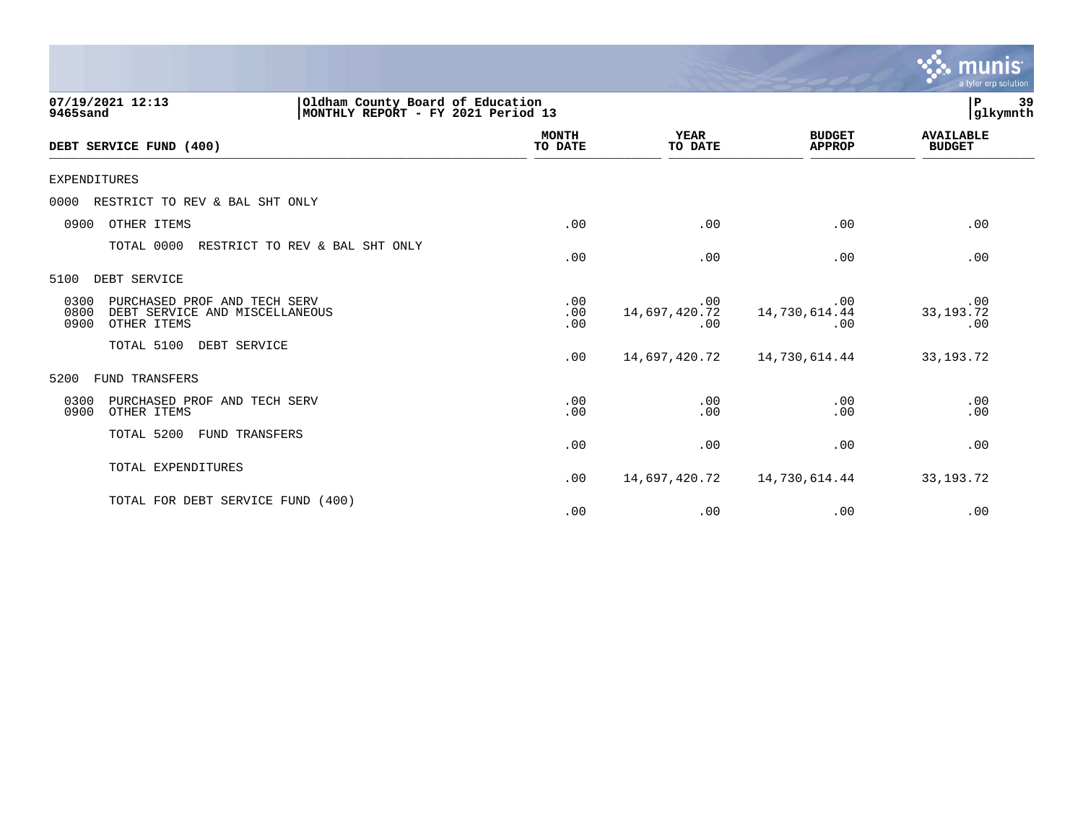|                                                                                                        |                         |                             |                                | munis<br>a tyler erp solution     |
|--------------------------------------------------------------------------------------------------------|-------------------------|-----------------------------|--------------------------------|-----------------------------------|
| 07/19/2021 12:13<br>Oldham County Board of Education<br>MONTHLY REPORT - FY 2021 Period 13<br>9465sand |                         |                             |                                | 39<br>${\bf P}$<br>glkymnth       |
| DEBT SERVICE FUND (400)                                                                                | <b>MONTH</b><br>TO DATE | <b>YEAR</b><br>TO DATE      | <b>BUDGET</b><br><b>APPROP</b> | <b>AVAILABLE</b><br><b>BUDGET</b> |
| <b>EXPENDITURES</b>                                                                                    |                         |                             |                                |                                   |
| RESTRICT TO REV & BAL SHT ONLY<br>0000                                                                 |                         |                             |                                |                                   |
| 0900<br>OTHER ITEMS                                                                                    | .00                     | .00                         | .00                            | .00                               |
| TOTAL 0000<br>RESTRICT TO REV & BAL SHT ONLY                                                           | .00                     | .00                         | .00                            | .00                               |
| DEBT SERVICE<br>5100                                                                                   |                         |                             |                                |                                   |
| PURCHASED PROF AND TECH SERV<br>0300<br>0800<br>DEBT SERVICE AND MISCELLANEOUS<br>0900<br>OTHER ITEMS  | .00<br>.00<br>.00       | .00<br>14,697,420.72<br>.00 | .00<br>14,730,614.44<br>.00    | .00<br>33, 193. 72<br>.00         |
| TOTAL 5100<br>DEBT SERVICE                                                                             | .00                     | 14,697,420.72               | 14,730,614.44                  | 33, 193. 72                       |
| 5200<br>FUND TRANSFERS                                                                                 |                         |                             |                                |                                   |
| 0300<br>PURCHASED PROF AND TECH SERV<br>0900<br>OTHER ITEMS                                            | .00<br>.00              | .00<br>.00                  | .00<br>.00                     | .00<br>.00                        |
| TOTAL 5200<br>FUND TRANSFERS                                                                           | .00                     | .00                         | .00                            | .00                               |
| TOTAL EXPENDITURES                                                                                     | .00                     | 14,697,420.72               | 14,730,614.44                  | 33, 193. 72                       |
| TOTAL FOR DEBT SERVICE FUND (400)                                                                      | .00                     | .00                         | .00                            | .00                               |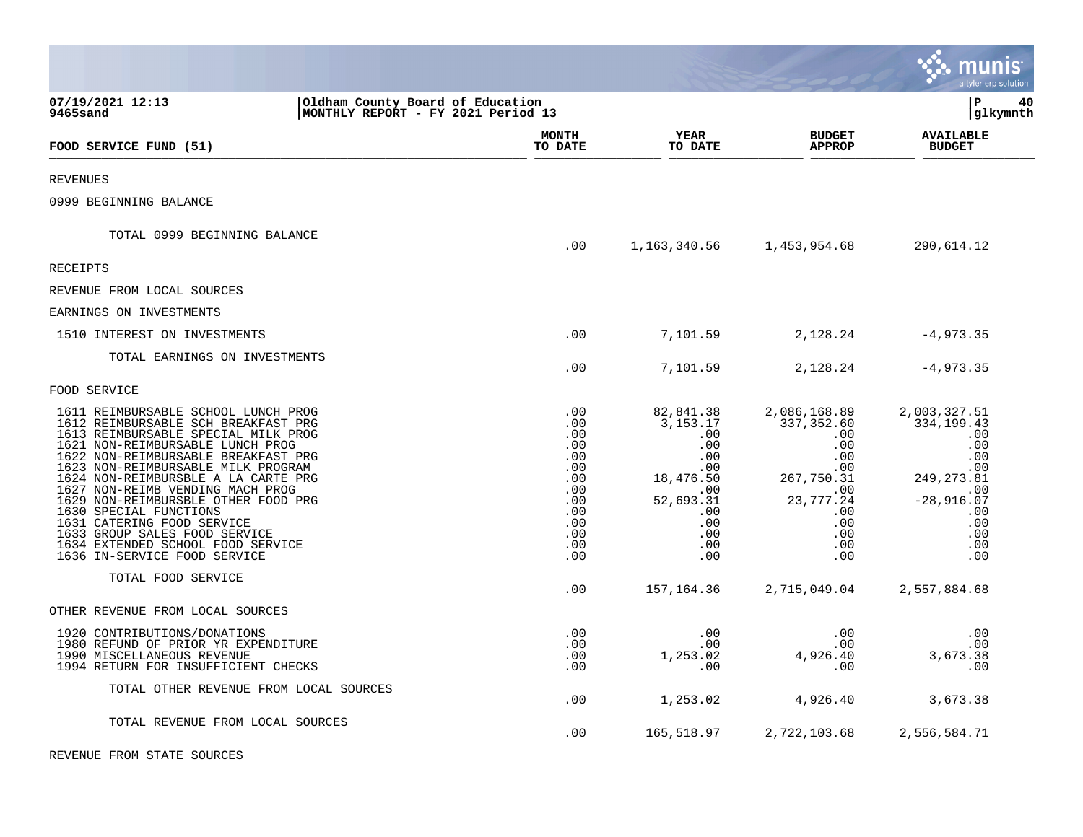|                                                                                                                                                                                                                                                                                                                                                                                                                                                                                                                    |                                                                                                |                                                                                                                              |                                                                                                                                       | munis<br>a tyler erp solution                                                                                                    |
|--------------------------------------------------------------------------------------------------------------------------------------------------------------------------------------------------------------------------------------------------------------------------------------------------------------------------------------------------------------------------------------------------------------------------------------------------------------------------------------------------------------------|------------------------------------------------------------------------------------------------|------------------------------------------------------------------------------------------------------------------------------|---------------------------------------------------------------------------------------------------------------------------------------|----------------------------------------------------------------------------------------------------------------------------------|
| 07/19/2021 12:13<br>Oldham County Board of Education<br>MONTHLY REPORT - FY 2021 Period 13<br>9465sand                                                                                                                                                                                                                                                                                                                                                                                                             |                                                                                                |                                                                                                                              |                                                                                                                                       | l P<br>40<br> glkymnth                                                                                                           |
| FOOD SERVICE FUND (51)                                                                                                                                                                                                                                                                                                                                                                                                                                                                                             | <b>MONTH</b><br>TO DATE                                                                        | <b>YEAR</b><br>TO DATE                                                                                                       | <b>BUDGET</b><br><b>APPROP</b>                                                                                                        | <b>AVAILABLE</b><br><b>BUDGET</b>                                                                                                |
| <b>REVENUES</b>                                                                                                                                                                                                                                                                                                                                                                                                                                                                                                    |                                                                                                |                                                                                                                              |                                                                                                                                       |                                                                                                                                  |
| 0999 BEGINNING BALANCE                                                                                                                                                                                                                                                                                                                                                                                                                                                                                             |                                                                                                |                                                                                                                              |                                                                                                                                       |                                                                                                                                  |
| TOTAL 0999 BEGINNING BALANCE                                                                                                                                                                                                                                                                                                                                                                                                                                                                                       | .00                                                                                            | 1,163,340.56                                                                                                                 | 1,453,954.68                                                                                                                          | 290,614.12                                                                                                                       |
| <b>RECEIPTS</b>                                                                                                                                                                                                                                                                                                                                                                                                                                                                                                    |                                                                                                |                                                                                                                              |                                                                                                                                       |                                                                                                                                  |
| REVENUE FROM LOCAL SOURCES                                                                                                                                                                                                                                                                                                                                                                                                                                                                                         |                                                                                                |                                                                                                                              |                                                                                                                                       |                                                                                                                                  |
| EARNINGS ON INVESTMENTS                                                                                                                                                                                                                                                                                                                                                                                                                                                                                            |                                                                                                |                                                                                                                              |                                                                                                                                       |                                                                                                                                  |
| 1510 INTEREST ON INVESTMENTS                                                                                                                                                                                                                                                                                                                                                                                                                                                                                       | .00                                                                                            | 7,101.59                                                                                                                     | 2,128.24                                                                                                                              | $-4,973.35$                                                                                                                      |
| TOTAL EARNINGS ON INVESTMENTS                                                                                                                                                                                                                                                                                                                                                                                                                                                                                      | .00                                                                                            | 7,101.59                                                                                                                     | 2,128.24                                                                                                                              | $-4,973.35$                                                                                                                      |
| FOOD SERVICE                                                                                                                                                                                                                                                                                                                                                                                                                                                                                                       |                                                                                                |                                                                                                                              |                                                                                                                                       |                                                                                                                                  |
| 1611 REIMBURSABLE SCHOOL LUNCH PROG<br>1612 REIMBURSABLE SCH BREAKFAST PRG<br>1613 REIMBURSABLE SPECIAL MILK PROG<br>1621 NON-REIMBURSABLE LUNCH PROG<br>1622 NON-REIMBURSABLE BREAKFAST PRG<br>1623 NON-REIMBURSABLE MILK PROGRAM<br>1624 NON-REIMBURSBLE A LA CARTE PRG<br>1627 NON-REIMB VENDING MACH PROG<br>1629 NON-REIMBURSBLE OTHER FOOD PRG<br>1630 SPECIAL FUNCTIONS<br>1631 CATERING FOOD SERVICE<br>1633 GROUP SALES FOOD SERVICE<br>1634 EXTENDED SCHOOL FOOD SERVICE<br>1636 IN-SERVICE FOOD SERVICE | .00<br>.00<br>.00<br>.00<br>.00<br>.00<br>.00<br>.00<br>.00<br>.00<br>.00<br>.00<br>.00<br>.00 | 82,841.38<br>3, 153. 17<br>.00<br>.00<br>.00<br>$.00 \,$<br>18,476.50<br>.00<br>52,693.31<br>.00<br>.00<br>.00<br>.00<br>.00 | 2,086,168.89<br>337,352.60<br>$.00 \,$<br>.00<br>.00<br>$.00 \,$<br>267,750.31<br>.00<br>23,777.24<br>.00<br>.00<br>.00<br>.00<br>.00 | 2,003,327.51<br>334, 199.43<br>.00<br>.00<br>.00<br>.00<br>249, 273.81<br>.00<br>$-28,916.07$<br>.00<br>.00<br>.00<br>.00<br>.00 |
| TOTAL FOOD SERVICE                                                                                                                                                                                                                                                                                                                                                                                                                                                                                                 | .00                                                                                            | 157,164.36                                                                                                                   | 2,715,049.04                                                                                                                          | 2,557,884.68                                                                                                                     |
| OTHER REVENUE FROM LOCAL SOURCES                                                                                                                                                                                                                                                                                                                                                                                                                                                                                   |                                                                                                |                                                                                                                              |                                                                                                                                       |                                                                                                                                  |
| 1920 CONTRIBUTIONS/DONATIONS<br>1980 REFUND OF PRIOR YR EXPENDITURE<br>1990 MISCELLANEOUS REVENUE<br>1994 RETURN FOR INSUFFICIENT CHECKS                                                                                                                                                                                                                                                                                                                                                                           | .00<br>.00<br>.00<br>.00                                                                       | .00<br>.00<br>1,253.02<br>.00                                                                                                | .00<br>.00<br>4,926.40<br>.00                                                                                                         | .00<br>.00<br>3,673.38<br>.00                                                                                                    |
| TOTAL OTHER REVENUE FROM LOCAL SOURCES                                                                                                                                                                                                                                                                                                                                                                                                                                                                             | .00                                                                                            | 1,253.02                                                                                                                     | 4,926.40                                                                                                                              | 3,673.38                                                                                                                         |
| TOTAL REVENUE FROM LOCAL SOURCES                                                                                                                                                                                                                                                                                                                                                                                                                                                                                   | .00.                                                                                           | 165,518.97                                                                                                                   | 2,722,103.68                                                                                                                          | 2,556,584.71                                                                                                                     |
| REVENUE FROM STATE SOURCES                                                                                                                                                                                                                                                                                                                                                                                                                                                                                         |                                                                                                |                                                                                                                              |                                                                                                                                       |                                                                                                                                  |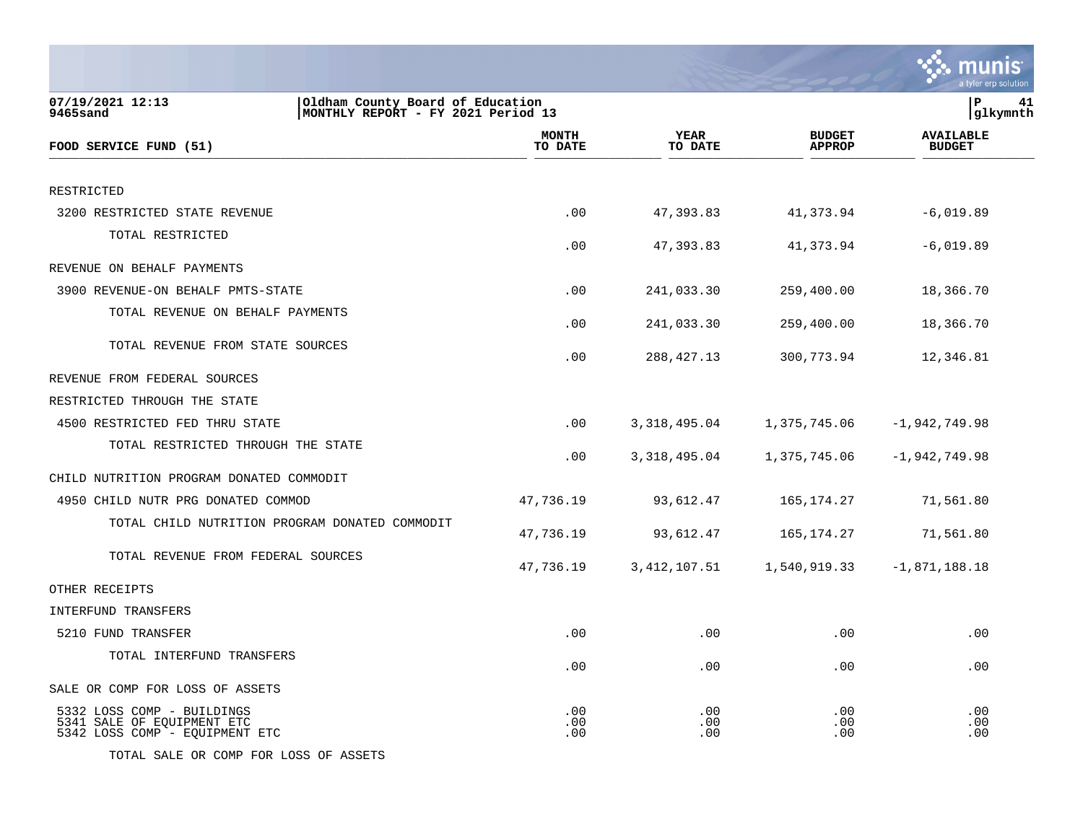|                                                                                                        |                         |                   |                                | a tyler erp solution              |
|--------------------------------------------------------------------------------------------------------|-------------------------|-------------------|--------------------------------|-----------------------------------|
| 07/19/2021 12:13<br>Oldham County Board of Education<br>9465sand<br>MONTHLY REPORT - FY 2021 Period 13 |                         |                   |                                | lР<br>41<br> glkymnth             |
| FOOD SERVICE FUND (51)                                                                                 | <b>MONTH</b><br>TO DATE | YEAR<br>TO DATE   | <b>BUDGET</b><br><b>APPROP</b> | <b>AVAILABLE</b><br><b>BUDGET</b> |
| RESTRICTED                                                                                             |                         |                   |                                |                                   |
| 3200 RESTRICTED STATE REVENUE                                                                          | .00                     | 47,393.83         | 41,373.94                      | $-6,019.89$                       |
| TOTAL RESTRICTED                                                                                       | .00                     | 47,393.83         | 41,373.94                      | $-6,019.89$                       |
| REVENUE ON BEHALF PAYMENTS                                                                             |                         |                   |                                |                                   |
| 3900 REVENUE-ON BEHALF PMTS-STATE                                                                      | .00                     | 241,033.30        | 259,400.00                     | 18,366.70                         |
| TOTAL REVENUE ON BEHALF PAYMENTS                                                                       | .00                     | 241,033.30        | 259,400.00                     | 18,366.70                         |
| TOTAL REVENUE FROM STATE SOURCES                                                                       | .00                     | 288, 427. 13      | 300,773.94                     | 12,346.81                         |
| REVENUE FROM FEDERAL SOURCES                                                                           |                         |                   |                                |                                   |
| RESTRICTED THROUGH THE STATE                                                                           |                         |                   |                                |                                   |
| 4500 RESTRICTED FED THRU STATE                                                                         | .00                     | 3,318,495.04      | 1,375,745.06                   | $-1,942,749.98$                   |
| TOTAL RESTRICTED THROUGH THE STATE                                                                     | .00                     | 3,318,495.04      | 1,375,745.06                   | $-1,942,749.98$                   |
| CHILD NUTRITION PROGRAM DONATED COMMODIT                                                               |                         |                   |                                |                                   |
| 4950 CHILD NUTR PRG DONATED COMMOD                                                                     | 47,736.19               | 93,612.47         | 165, 174. 27                   | 71,561.80                         |
| TOTAL CHILD NUTRITION PROGRAM DONATED COMMODIT                                                         | 47,736.19               | 93,612.47         | 165, 174. 27                   | 71,561.80                         |
| TOTAL REVENUE FROM FEDERAL SOURCES                                                                     | 47,736.19               | 3, 412, 107.51    | 1,540,919.33                   | $-1,871,188.18$                   |
| OTHER RECEIPTS                                                                                         |                         |                   |                                |                                   |
| INTERFUND TRANSFERS                                                                                    |                         |                   |                                |                                   |
| 5210 FUND TRANSFER                                                                                     | .00                     | .00               | .00                            | .00                               |
| TOTAL INTERFUND TRANSFERS                                                                              | .00                     | .00               | .00                            | .00                               |
| SALE OR COMP FOR LOSS OF ASSETS                                                                        |                         |                   |                                |                                   |
| 5332 LOSS COMP - BUILDINGS<br>5341 SALE OF EQUIPMENT ETC<br>5342 LOSS COMP - EQUIPMENT ETC             | .00<br>.00<br>.00       | .00<br>.00<br>.00 | .00<br>.00<br>.00              | .00<br>.00<br>.00                 |

TOTAL SALE OR COMP FOR LOSS OF ASSETS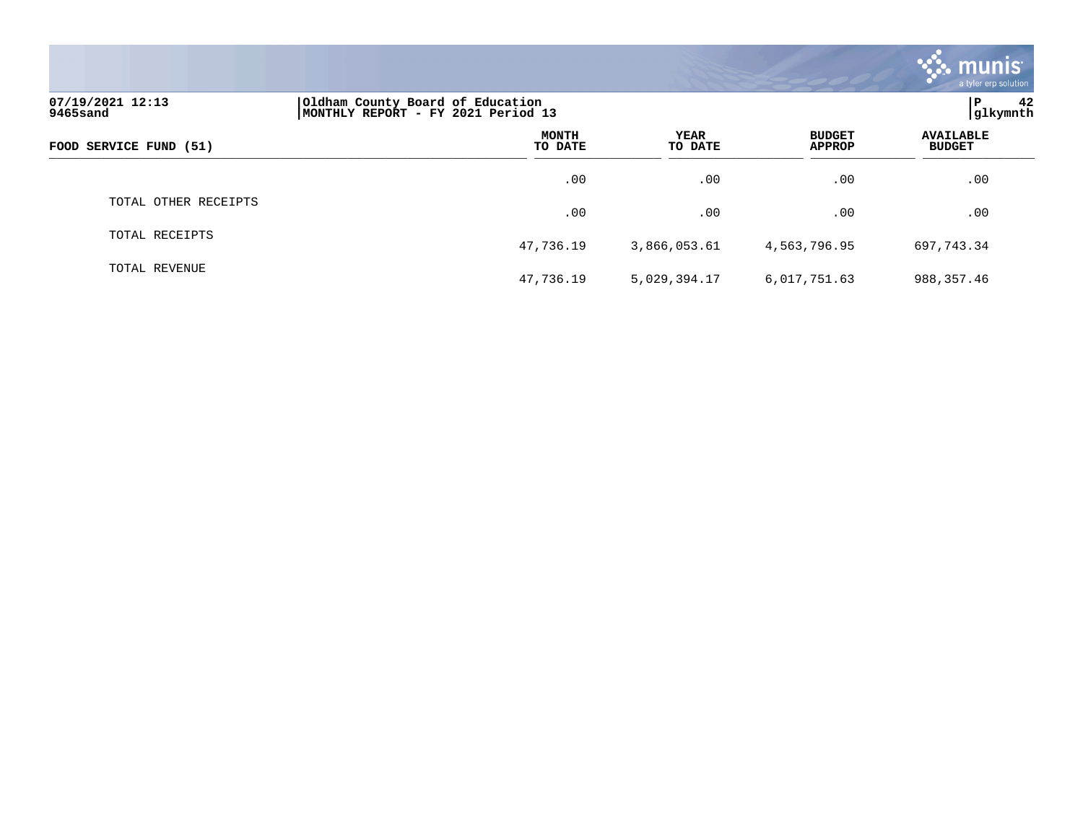|                              |                                                                        |                 |                                | <b>munis</b><br>a tyler erp solution |
|------------------------------|------------------------------------------------------------------------|-----------------|--------------------------------|--------------------------------------|
| 07/19/2021 12:13<br>9465sand | Oldham County Board of Education<br>MONTHLY REPORT - FY 2021 Period 13 |                 |                                | lР<br>42<br>glkymnth                 |
| FOOD SERVICE FUND (51)       | <b>MONTH</b><br>TO DATE                                                | YEAR<br>TO DATE | <b>BUDGET</b><br><b>APPROP</b> | <b>AVAILABLE</b><br><b>BUDGET</b>    |
|                              | .00                                                                    | .00             | .00                            | .00                                  |
| TOTAL OTHER RECEIPTS         | .00                                                                    | .00             | .00                            | .00                                  |
| TOTAL RECEIPTS               | 47,736.19                                                              | 3,866,053.61    | 4,563,796.95                   | 697,743.34                           |
| TOTAL REVENUE                | 47,736.19                                                              | 5,029,394.17    | 6,017,751.63                   | 988, 357.46                          |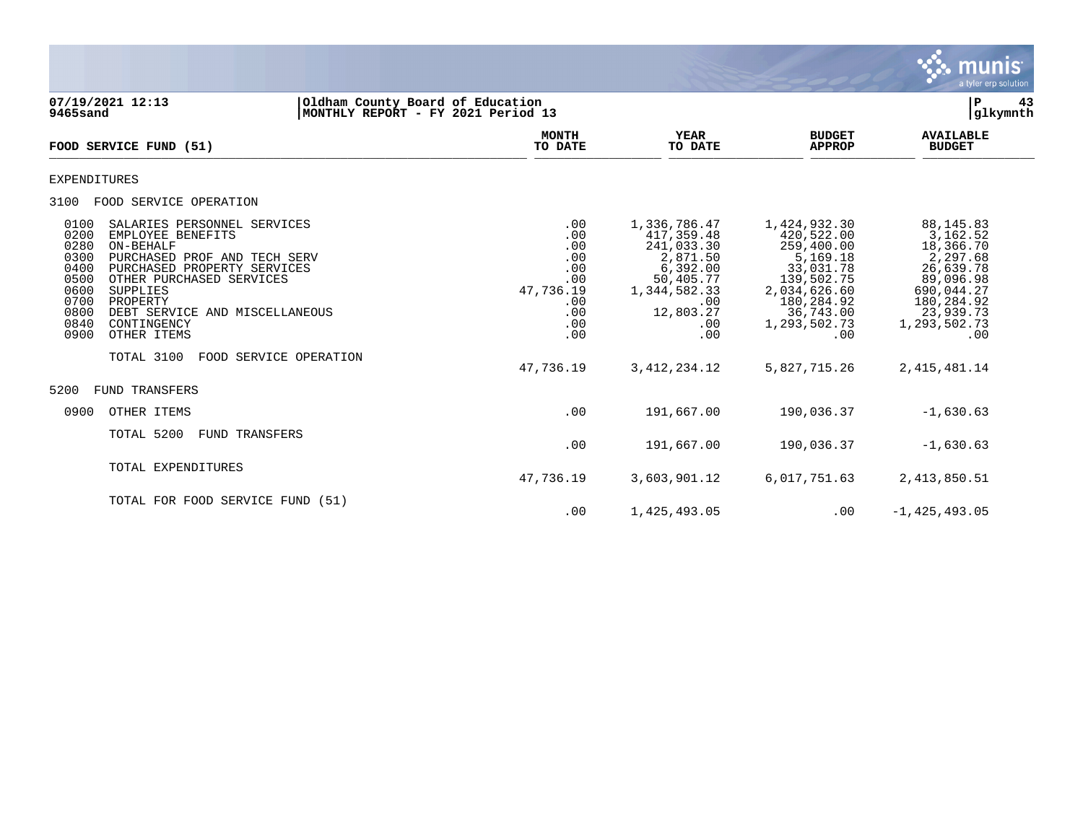

**07/19/2021 12:13 |Oldham County Board of Education |P 43 9465sand |MONTHLY REPORT - FY 2021 Period 13 |glkymnth MONTH AVAILABLE YEAR BUDGET** AVAILABLE **FOOD SERVICE FUND (51) TO DATE TO DATE APPROP BUDGET**   $\overline{10 \text{ MHz}}$  and  $\overline{10 \text{ MHz}}$  is the set of  $\overline{10 \text{ MHz}}$  and  $\overline{10 \text{ MHz}}$  and  $\overline{10 \text{ MHz}}$  and  $\overline{10 \text{ MHz}}$  and  $\overline{10 \text{ MHz}}$  and  $\overline{10 \text{ MHz}}$  and  $\overline{10 \text{ MHz}}$  and  $\overline{10 \text{ MHz}}$  and  $\overline{10 \text{ MHz}}$  and  $\overline{10 \text{ MHz}}$ EXPENDITURES 3100 FOOD SERVICE OPERATION 0100 SALARIES PERSONNEL SERVICES .00 1,336,786.47 1,424,932.30 88,145.83 0200 EMPLOYEE BENEFITS .00 417,359.48 420,522.00 3,162.52 0280 ON-BEHALF .00 241,033.30 259,400.00 18,366.70 0300 PURCHASED PROF AND TECH SERV .00 2,871.50 5,169.18 2,297.68 0400 PURCHASED PROPERTY SERVICES .00 6,392.00 33,031.78 26,639.78 0500 OTHER PURCHASED SERVICES .00 50,405.77 139,502.75 89,096.98<br>17,736.19 1,344,582.33 2,034,626.60 690,044.27 0600 SUPPLIES 47,736.19 1,344,582.33 2,034,626.60 690,044.27 0700 PROPERTY .00 .00 180,284.92 180,284.92 0800 DEBT SERVICE AND MISCELLANEOUS **.**00 12,803.27 36,743.00 23,939.73<br>1,293,502.73 1,293,502.73 1,293,502.73 0840 CONTINGENCY .00 .00 1,293,502.73 1,293,502.73 0900 OTHER ITEMS .00 .00 .00 .00 TOTAL 3100 FOOD SERVICE OPERATION 47,736.19 3,412,234.12 5,827,715.26 2,415,481.14 5200 FUND TRANSFERS 0900 OTHER ITEMS -1,630.63 TOTAL 5200 FUND TRANSFERS .00 191,667.00 190,036.37 -1,630.63 TOTAL EXPENDITURES 47,736.19 3,603,901.12 6,017,751.63 2,413,850.51 TOTAL FOR FOOD SERVICE FUND (51) .00 1,425,493.05 .00 -1,425,493.05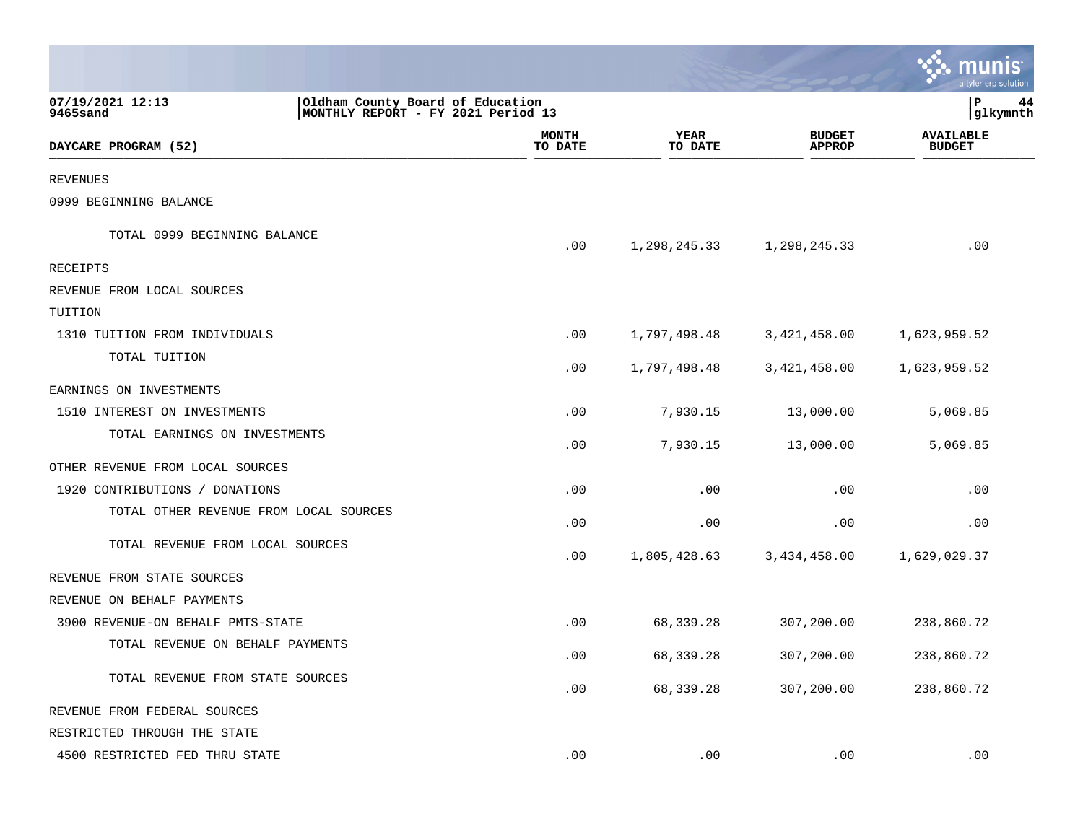|                                        |                                                                        |                         |                        |                                | a tyler erp solution              |    |
|----------------------------------------|------------------------------------------------------------------------|-------------------------|------------------------|--------------------------------|-----------------------------------|----|
| 07/19/2021 12:13<br>9465sand           | Oldham County Board of Education<br>MONTHLY REPORT - FY 2021 Period 13 |                         |                        |                                | P<br> glkymnth                    | 44 |
| DAYCARE PROGRAM (52)                   |                                                                        | <b>MONTH</b><br>TO DATE | <b>YEAR</b><br>TO DATE | <b>BUDGET</b><br><b>APPROP</b> | <b>AVAILABLE</b><br><b>BUDGET</b> |    |
| <b>REVENUES</b>                        |                                                                        |                         |                        |                                |                                   |    |
| 0999 BEGINNING BALANCE                 |                                                                        |                         |                        |                                |                                   |    |
| TOTAL 0999 BEGINNING BALANCE           |                                                                        | .00                     | 1,298,245.33           | 1,298,245.33                   | .00                               |    |
| RECEIPTS                               |                                                                        |                         |                        |                                |                                   |    |
| REVENUE FROM LOCAL SOURCES             |                                                                        |                         |                        |                                |                                   |    |
| TUITION                                |                                                                        |                         |                        |                                |                                   |    |
| 1310 TUITION FROM INDIVIDUALS          |                                                                        | .00                     | 1,797,498.48           | 3,421,458.00                   | 1,623,959.52                      |    |
| TOTAL TUITION                          |                                                                        | .00                     | 1,797,498.48           | 3,421,458.00                   | 1,623,959.52                      |    |
| EARNINGS ON INVESTMENTS                |                                                                        |                         |                        |                                |                                   |    |
| 1510 INTEREST ON INVESTMENTS           |                                                                        | .00                     | 7,930.15               | 13,000.00                      | 5,069.85                          |    |
| TOTAL EARNINGS ON INVESTMENTS          |                                                                        | .00                     | 7,930.15               | 13,000.00                      | 5,069.85                          |    |
| OTHER REVENUE FROM LOCAL SOURCES       |                                                                        |                         |                        |                                |                                   |    |
| 1920 CONTRIBUTIONS / DONATIONS         |                                                                        | .00                     | .00                    | .00                            | .00                               |    |
| TOTAL OTHER REVENUE FROM LOCAL SOURCES |                                                                        | .00                     | .00                    | .00                            | .00                               |    |
| TOTAL REVENUE FROM LOCAL SOURCES       |                                                                        | .00                     | 1,805,428.63           | 3,434,458.00                   | 1,629,029.37                      |    |
| REVENUE FROM STATE SOURCES             |                                                                        |                         |                        |                                |                                   |    |
| REVENUE ON BEHALF PAYMENTS             |                                                                        |                         |                        |                                |                                   |    |
| 3900 REVENUE-ON BEHALF PMTS-STATE      |                                                                        | .00                     | 68,339.28              | 307,200.00                     | 238,860.72                        |    |
| TOTAL REVENUE ON BEHALF PAYMENTS       |                                                                        | .00                     | 68,339.28              | 307,200.00                     | 238,860.72                        |    |
| TOTAL REVENUE FROM STATE SOURCES       |                                                                        | .00                     | 68,339.28              | 307,200.00                     | 238,860.72                        |    |
| REVENUE FROM FEDERAL SOURCES           |                                                                        |                         |                        |                                |                                   |    |
| RESTRICTED THROUGH THE STATE           |                                                                        |                         |                        |                                |                                   |    |
| 4500 RESTRICTED FED THRU STATE         |                                                                        | .00                     | .00                    | .00                            | .00                               |    |

**College**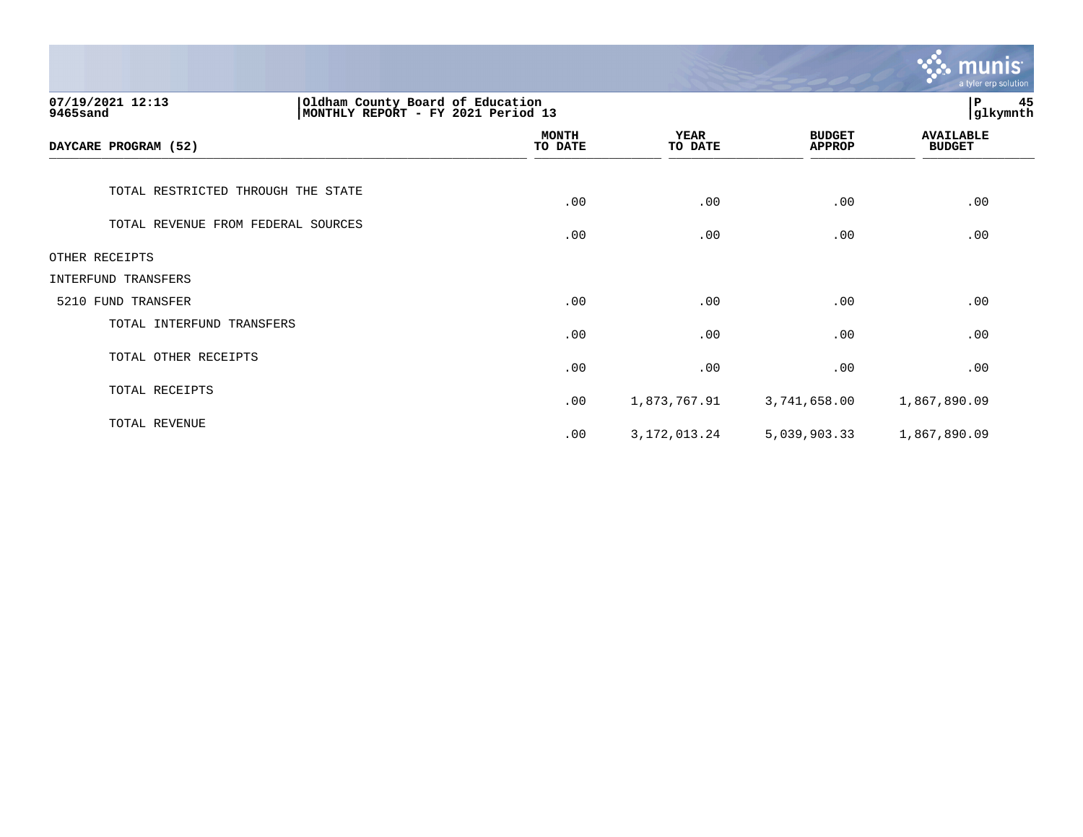|                                                                                                         |                         |                        |                                | munis<br>a tyler erp solution     |
|---------------------------------------------------------------------------------------------------------|-------------------------|------------------------|--------------------------------|-----------------------------------|
| 07/19/2021 12:13<br>Oldham County Board of Education<br> MONTHLY REPORT - FY 2021 Period 13<br>9465sand |                         |                        |                                | 45<br>ΙP<br>glkymnth              |
| DAYCARE PROGRAM (52)                                                                                    | <b>MONTH</b><br>TO DATE | <b>YEAR</b><br>TO DATE | <b>BUDGET</b><br><b>APPROP</b> | <b>AVAILABLE</b><br><b>BUDGET</b> |
| TOTAL RESTRICTED THROUGH THE STATE                                                                      | .00                     | .00                    | .00                            | .00                               |
| TOTAL REVENUE FROM FEDERAL SOURCES                                                                      | .00                     | .00                    | .00                            | .00                               |
| OTHER RECEIPTS                                                                                          |                         |                        |                                |                                   |
| <b>INTERFUND TRANSFERS</b>                                                                              |                         |                        |                                |                                   |
| 5210 FUND TRANSFER                                                                                      | .00                     | .00                    | .00                            | .00                               |
| TOTAL INTERFUND TRANSFERS                                                                               | .00                     | .00                    | .00                            | .00                               |
| TOTAL OTHER RECEIPTS                                                                                    | .00                     | .00                    | .00                            | .00                               |
| TOTAL RECEIPTS                                                                                          | .00                     | 1,873,767.91           | 3,741,658.00                   | 1,867,890.09                      |
| TOTAL REVENUE                                                                                           | .00                     | 3, 172, 013. 24        | 5,039,903.33                   | 1,867,890.09                      |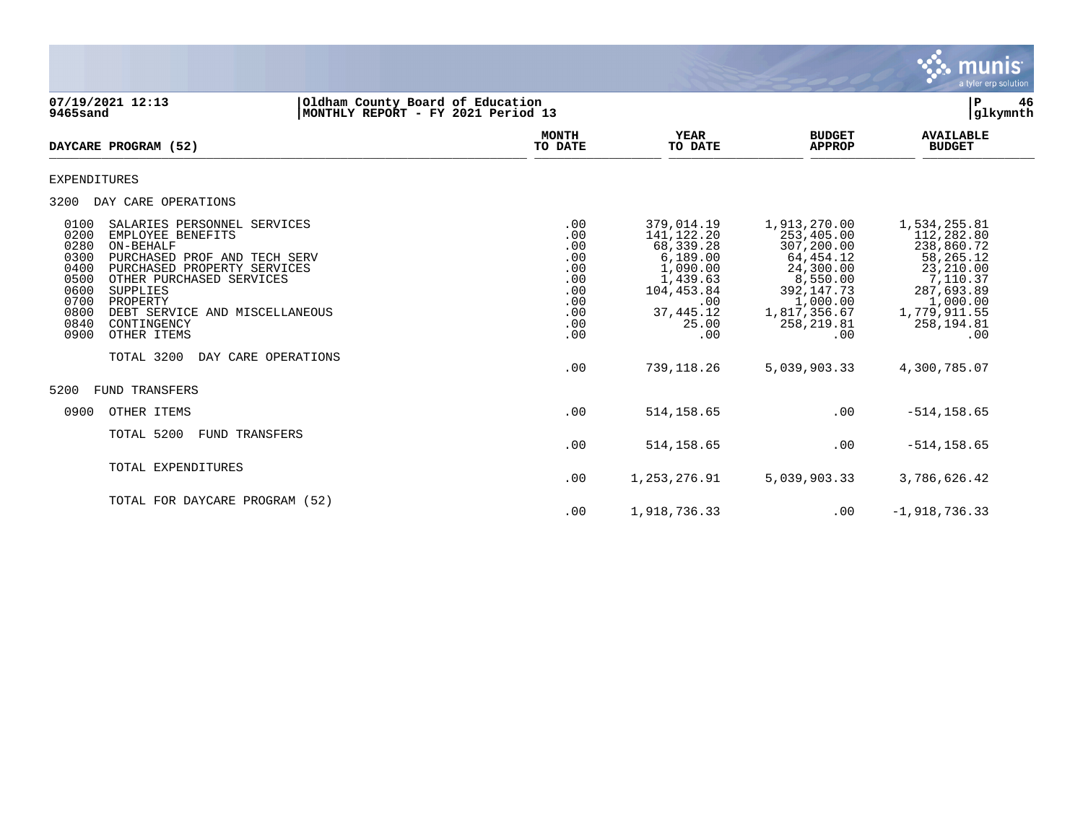

**07/19/2021 12:13 |Oldham County Board of Education |P 46**  $MONTHLY$  **REPORT** - FY 2021 Period 13  **MONTH AVAILABLE YEAR BUDGET** AVAILABLE **DAYCARE PROGRAM (52) TO DATE TO DATE APPROP BUDGET**  $\frac{10 \text{ Bile}}{10 \text{ Bile}}$ EXPENDITURES 3200 DAY CARE OPERATIONS 0100 SALARIES PERSONNEL SERVICES .00 379,014.19 1,913,270.00 1,534,255.81 0200 EMPLOYEE BENEFITS .00 141,122.20 253,405.00 112,282.80 0280 ON-BEHALF .00 68,339.28 307,200.00 238,860.72 0300 PURCHASED PROF AND TECH SERV .00 6,189.00 64,454.12 58,265.12 0400 PURCHASED PROPERTY SERVICES .00 1,090.00 24,300.00 23,210.00 0500 OTHER PURCHASED SERVICES ... (00 1,439.63 8,550.00 7,110.37<br>105.05 .00 104,453.84 392,147.73 287,693.89 .00 104,453.84 0600 SUPPLIES .00 104,453.84 392,147.73 287,693.89 0700 PROPERTY .00 PROPERTY .000.00 1,000.00 1,000.00 1,000.00 1,000.00 1,000.00 1,000.00 1,000.00<br>0800 DEBT SERVICE AND MISCELLANEOUS .00 37,445.12 1,817,356.67 1,779,911.55 0800 DEBT SERVICE AND MISCELLANEOUS .00 37,445.12 1,817,356.67 1,779,911.55 0840 CONTINGENCY .00 25.00 258,219.81 258,194.81 0900 OTHER ITEMS TOTAL 3200 DAY CARE OPERATIONS .00 739,118.26 5,039,903.33 4,300,785.07 5200 FUND TRANSFERS 0900 OTHER ITEMS .00 514,158.65 .00 -514,158.65 TOTAL 5200 FUND TRANSFERS .00 514,158.65 .00 -514,158.65 TOTAL EXPENDITURES .00 1,253,276.91 5,039,903.33 3,786,626.42 TOTAL FOR DAYCARE PROGRAM (52) .00 1,918,736.33 .00 -1,918,736.33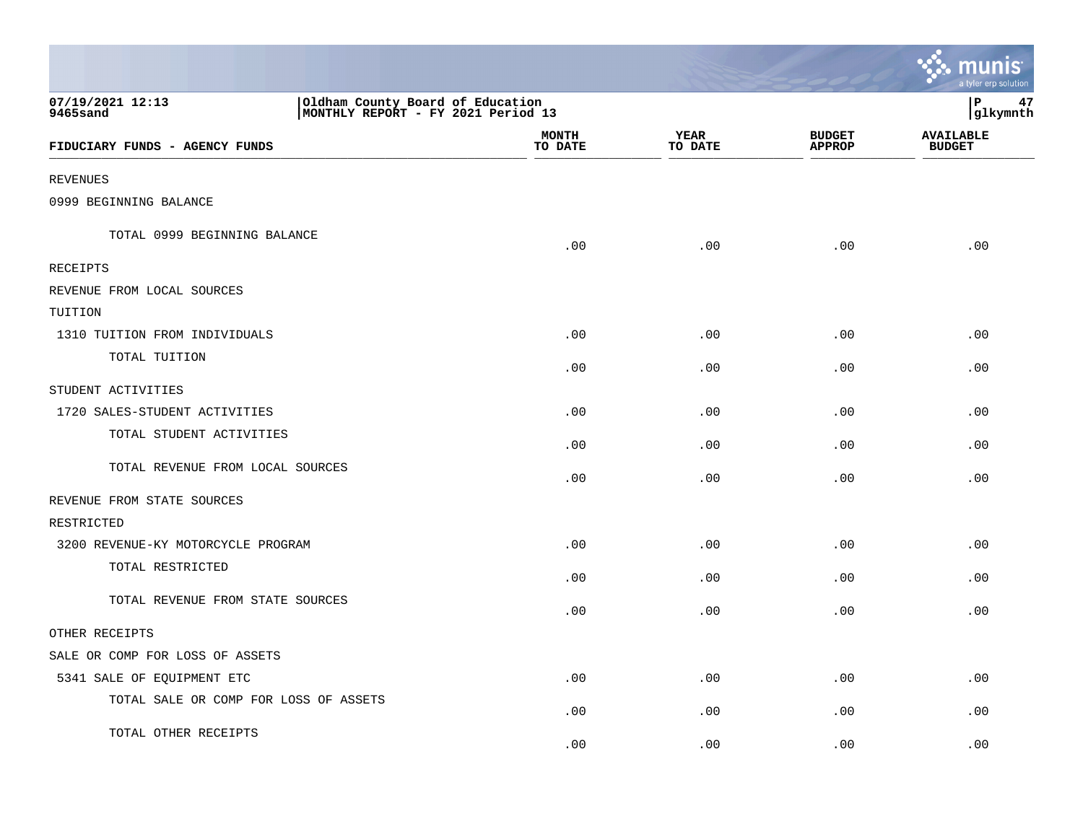|                                                                                                        |                         |                        |                                | a tyler erp solution              |
|--------------------------------------------------------------------------------------------------------|-------------------------|------------------------|--------------------------------|-----------------------------------|
| 07/19/2021 12:13<br>Oldham County Board of Education<br>MONTHLY REPORT - FY 2021 Period 13<br>9465sand |                         |                        |                                | P<br>47<br>glkymnth               |
| FIDUCIARY FUNDS - AGENCY FUNDS                                                                         | <b>MONTH</b><br>TO DATE | <b>YEAR</b><br>TO DATE | <b>BUDGET</b><br><b>APPROP</b> | <b>AVAILABLE</b><br><b>BUDGET</b> |
| <b>REVENUES</b>                                                                                        |                         |                        |                                |                                   |
| 0999 BEGINNING BALANCE                                                                                 |                         |                        |                                |                                   |
| TOTAL 0999 BEGINNING BALANCE                                                                           | .00                     | .00                    | .00                            | .00                               |
| RECEIPTS                                                                                               |                         |                        |                                |                                   |
| REVENUE FROM LOCAL SOURCES                                                                             |                         |                        |                                |                                   |
| TUITION                                                                                                |                         |                        |                                |                                   |
| 1310 TUITION FROM INDIVIDUALS                                                                          | .00                     | .00                    | .00                            | .00                               |
| TOTAL TUITION                                                                                          | .00                     | .00                    | .00                            | .00                               |
| STUDENT ACTIVITIES                                                                                     |                         |                        |                                |                                   |
| 1720 SALES-STUDENT ACTIVITIES                                                                          | .00                     | .00                    | .00                            | .00                               |
| TOTAL STUDENT ACTIVITIES                                                                               | .00                     | .00                    | .00                            | .00                               |
| TOTAL REVENUE FROM LOCAL SOURCES                                                                       | .00                     | .00                    | .00                            | .00                               |
| REVENUE FROM STATE SOURCES                                                                             |                         |                        |                                |                                   |
| RESTRICTED                                                                                             |                         |                        |                                |                                   |
| 3200 REVENUE-KY MOTORCYCLE PROGRAM                                                                     | .00                     | .00                    | .00                            | .00                               |
| TOTAL RESTRICTED                                                                                       | .00                     | .00                    | .00                            | .00                               |
| TOTAL REVENUE FROM STATE SOURCES                                                                       | .00                     | .00                    | .00                            | .00                               |
| OTHER RECEIPTS                                                                                         |                         |                        |                                |                                   |
| SALE OR COMP FOR LOSS OF ASSETS                                                                        |                         |                        |                                |                                   |
| 5341 SALE OF EQUIPMENT ETC                                                                             | .00                     | .00                    | .00                            | .00                               |
| TOTAL SALE OR COMP FOR LOSS OF ASSETS                                                                  | .00                     | .00                    | .00                            | .00                               |
| TOTAL OTHER RECEIPTS                                                                                   | .00                     | .00                    | .00                            | .00                               |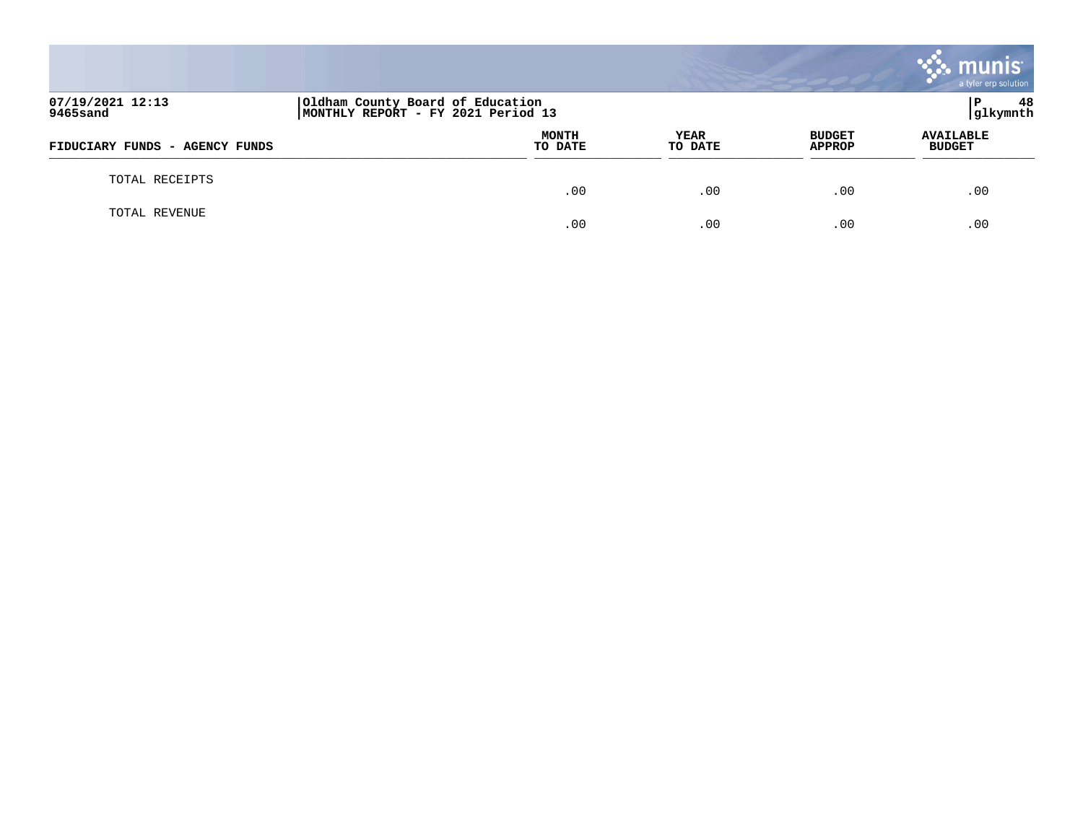|                                |                                                                        |                 |                                | mu<br>a tyler erp solution        |
|--------------------------------|------------------------------------------------------------------------|-----------------|--------------------------------|-----------------------------------|
| 07/19/2021 12:13<br>9465sand   | Oldham County Board of Education<br>MONTHLY REPORT - FY 2021 Period 13 |                 |                                | 48<br>P<br>glkymnth               |
| FIDUCIARY FUNDS - AGENCY FUNDS | <b>MONTH</b><br>TO DATE                                                | YEAR<br>TO DATE | <b>BUDGET</b><br><b>APPROP</b> | <b>AVAILABLE</b><br><b>BUDGET</b> |
| TOTAL RECEIPTS                 | .00                                                                    | .00             | .00                            | .00                               |
| TOTAL REVENUE                  | .00                                                                    | .00             | .00                            | .00                               |

and the contract of the contract of the contract of the contract of the contract of the contract of the contract of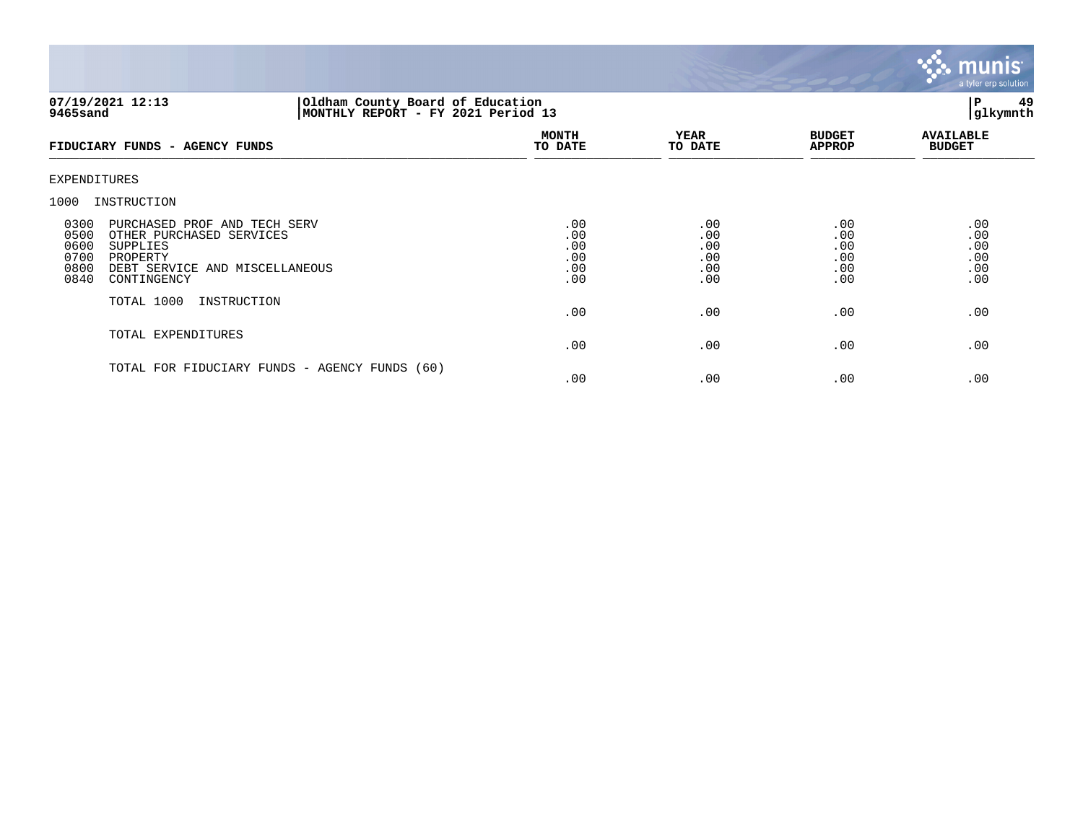

## **07/19/2021 12:13 |Oldham County Board of Education |P 49 9465sand |MONTHLY REPORT - FY 2021 Period 13 |glkymnth**

| FIDUCIARY FUNDS - AGENCY FUNDS                                                                                                                                                    | <b>MONTH</b><br>TO DATE                | <b>YEAR</b><br>TO DATE                 | <b>BUDGET</b><br><b>APPROP</b>         | <b>AVAILABLE</b><br><b>BUDGET</b>      |
|-----------------------------------------------------------------------------------------------------------------------------------------------------------------------------------|----------------------------------------|----------------------------------------|----------------------------------------|----------------------------------------|
| EXPENDITURES                                                                                                                                                                      |                                        |                                        |                                        |                                        |
| INSTRUCTION<br>1000                                                                                                                                                               |                                        |                                        |                                        |                                        |
| 0300<br>PURCHASED PROF AND TECH SERV<br>0500<br>OTHER PURCHASED SERVICES<br>0600<br>SUPPLIES<br>0700<br>PROPERTY<br>0800<br>DEBT SERVICE AND MISCELLANEOUS<br>0840<br>CONTINGENCY | .00<br>.00<br>.00<br>.00<br>.00<br>.00 | .00<br>.00<br>.00<br>.00<br>.00<br>.00 | .00<br>.00<br>.00<br>.00<br>.00<br>.00 | .00<br>.00<br>.00<br>.00<br>.00<br>.00 |
| TOTAL 1000<br>INSTRUCTION                                                                                                                                                         | .00                                    | .00                                    | .00                                    | .00                                    |
| TOTAL EXPENDITURES                                                                                                                                                                | .00                                    | .00                                    | .00                                    | .00                                    |
| TOTAL FOR FIDUCIARY FUNDS - AGENCY FUNDS (60)                                                                                                                                     | .00                                    | .00                                    | .00                                    | .00                                    |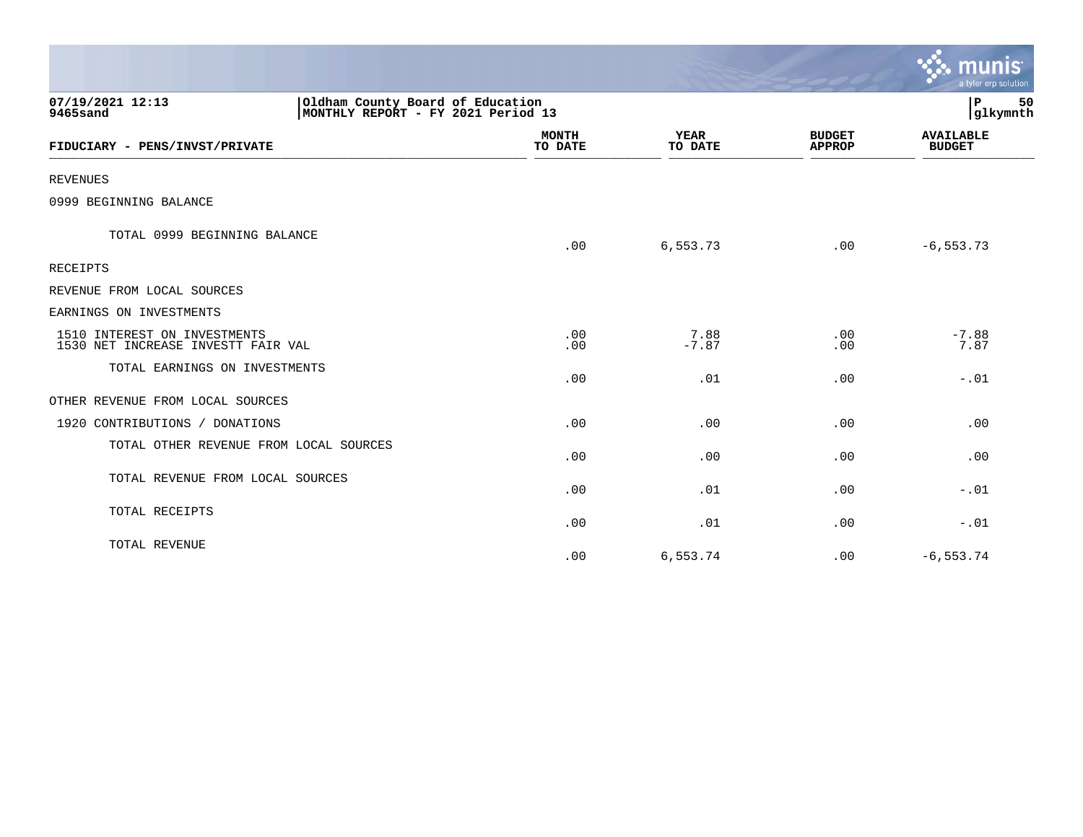|                                                                    |                                                                        |                         |                        |                                | $\mathcal{L}$ munis<br>a tyler erp solution |
|--------------------------------------------------------------------|------------------------------------------------------------------------|-------------------------|------------------------|--------------------------------|---------------------------------------------|
| 07/19/2021 12:13<br>9465sand                                       | Oldham County Board of Education<br>MONTHLY REPORT - FY 2021 Period 13 |                         |                        |                                | P.<br>50<br> glkymnth                       |
| FIDUCIARY - PENS/INVST/PRIVATE                                     |                                                                        | <b>MONTH</b><br>TO DATE | <b>YEAR</b><br>TO DATE | <b>BUDGET</b><br><b>APPROP</b> | <b>AVAILABLE</b><br><b>BUDGET</b>           |
| <b>REVENUES</b>                                                    |                                                                        |                         |                        |                                |                                             |
| 0999 BEGINNING BALANCE                                             |                                                                        |                         |                        |                                |                                             |
| TOTAL 0999 BEGINNING BALANCE                                       |                                                                        | .00                     | 6,553.73               | .00                            | $-6, 553.73$                                |
| <b>RECEIPTS</b>                                                    |                                                                        |                         |                        |                                |                                             |
| REVENUE FROM LOCAL SOURCES                                         |                                                                        |                         |                        |                                |                                             |
| EARNINGS ON INVESTMENTS                                            |                                                                        |                         |                        |                                |                                             |
| 1510 INTEREST ON INVESTMENTS<br>1530 NET INCREASE INVESTT FAIR VAL |                                                                        | .00<br>.00              | 7.88<br>$-7.87$        | .00<br>.00                     | $-7.88$<br>7.87                             |
| TOTAL EARNINGS ON INVESTMENTS                                      |                                                                        | .00                     | .01                    | .00                            | $-0.01$                                     |
| OTHER REVENUE FROM LOCAL SOURCES                                   |                                                                        |                         |                        |                                |                                             |
| 1920 CONTRIBUTIONS / DONATIONS                                     |                                                                        | .00                     | .00                    | .00                            | .00                                         |
| TOTAL OTHER REVENUE FROM LOCAL SOURCES                             |                                                                        | .00                     | .00                    | .00                            | .00                                         |
| TOTAL REVENUE FROM LOCAL SOURCES                                   |                                                                        | .00                     | .01                    | .00                            | $-0.01$                                     |
| TOTAL RECEIPTS                                                     |                                                                        | .00                     | .01                    | .00                            | $-0.01$                                     |
| TOTAL REVENUE                                                      |                                                                        | .00                     | 6,553.74               | .00                            | $-6, 553.74$                                |

 $\sim$   $\sim$   $\sim$   $\sim$   $\sim$   $\sim$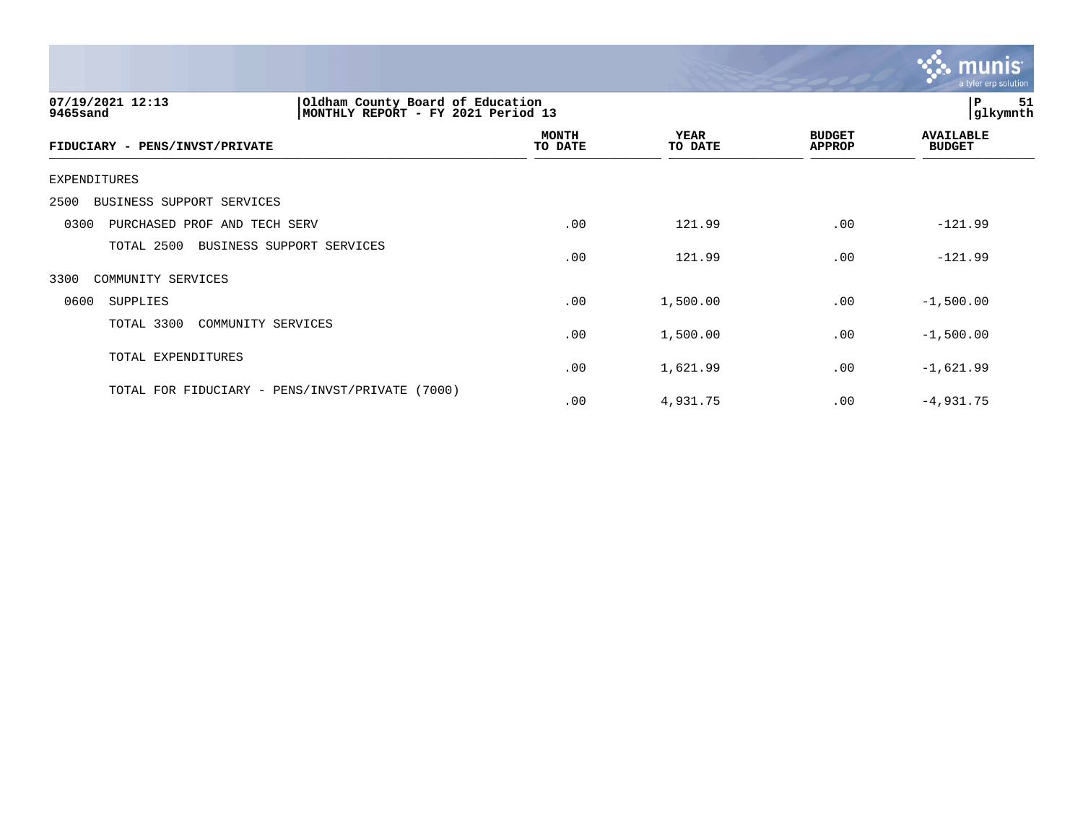

| 07/19/2021 12:13<br>9465sand                       | Oldham County Board of Education<br>MONTHLY REPORT - FY 2021 Period 13 |                        |                                |                                   |
|----------------------------------------------------|------------------------------------------------------------------------|------------------------|--------------------------------|-----------------------------------|
| FIDUCIARY - PENS/INVST/PRIVATE                     | <b>MONTH</b><br>TO DATE                                                | <b>YEAR</b><br>TO DATE | <b>BUDGET</b><br><b>APPROP</b> | <b>AVAILABLE</b><br><b>BUDGET</b> |
| EXPENDITURES                                       |                                                                        |                        |                                |                                   |
| BUSINESS SUPPORT SERVICES<br>2500                  |                                                                        |                        |                                |                                   |
| 0300<br>PURCHASED PROF AND TECH SERV               | .00                                                                    | 121.99                 | .00                            | $-121.99$                         |
| TOTAL 2500<br>BUSINESS SUPPORT SERVICES            | .00                                                                    | 121.99                 | .00                            | $-121.99$                         |
| 3300<br>COMMUNITY SERVICES                         |                                                                        |                        |                                |                                   |
| 0600<br><b>SUPPLIES</b>                            | .00                                                                    | 1,500.00               | .00                            | $-1,500.00$                       |
| TOTAL 3300<br>COMMUNITY SERVICES                   | .00                                                                    | 1,500.00               | .00                            | $-1,500.00$                       |
| TOTAL EXPENDITURES                                 | .00                                                                    | 1,621.99               | .00                            | $-1,621.99$                       |
| TOTAL FOR FIDUCIARY - PENS/INVST/PRIVATE<br>(7000) | .00                                                                    | 4,931.75               | .00                            | $-4,931.75$                       |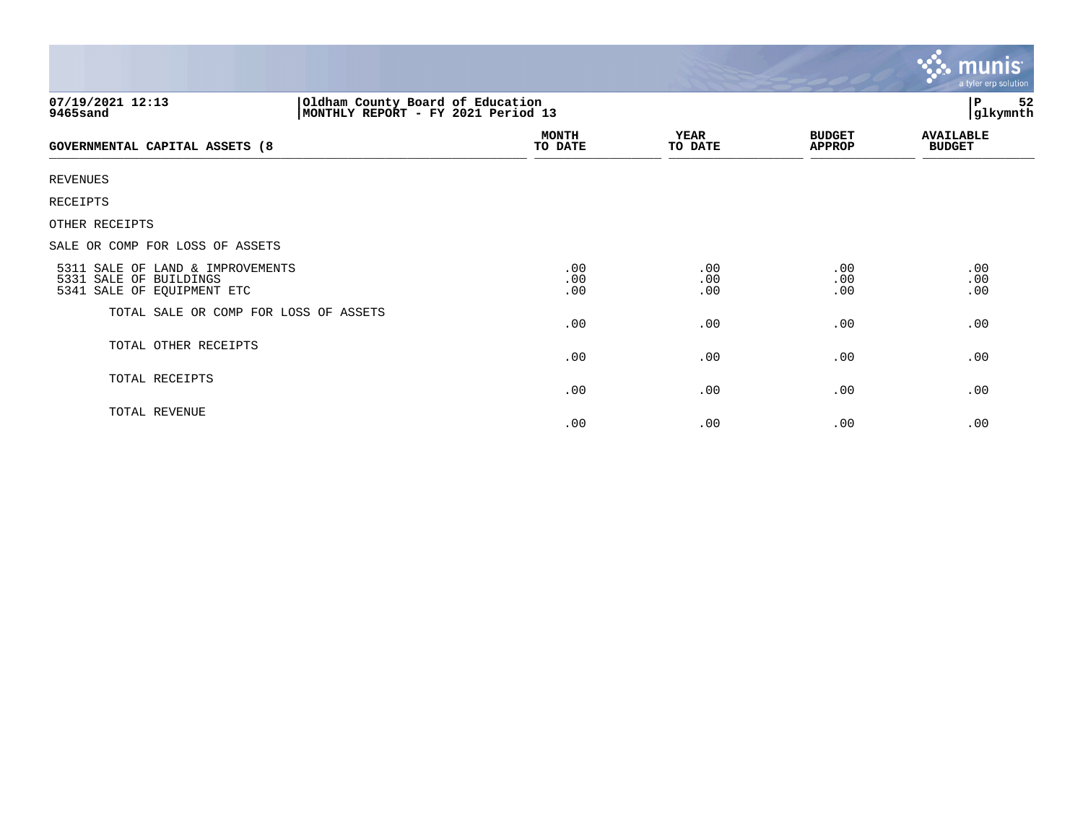|                                                                                          |                                                                         |                        |                                | <u>ኛሉ munis</u><br>a tyler erp solution |
|------------------------------------------------------------------------------------------|-------------------------------------------------------------------------|------------------------|--------------------------------|-----------------------------------------|
| 07/19/2021 12:13<br>9465sand                                                             | Oldham County Board of Education<br> MONTHLY REPORT - FY 2021 Period 13 |                        |                                | P<br>52<br>glkymnth                     |
| GOVERNMENTAL CAPITAL ASSETS (8                                                           | <b>MONTH</b><br>TO DATE                                                 | <b>YEAR</b><br>TO DATE | <b>BUDGET</b><br><b>APPROP</b> | <b>AVAILABLE</b><br><b>BUDGET</b>       |
| <b>REVENUES</b>                                                                          |                                                                         |                        |                                |                                         |
| RECEIPTS                                                                                 |                                                                         |                        |                                |                                         |
| OTHER RECEIPTS                                                                           |                                                                         |                        |                                |                                         |
| SALE OR COMP FOR LOSS OF ASSETS                                                          |                                                                         |                        |                                |                                         |
| 5311 SALE OF LAND & IMPROVEMENTS<br>5331 SALE OF BUILDINGS<br>5341 SALE OF EQUIPMENT ETC | .00<br>.00<br>.00                                                       | .00<br>.00<br>.00      | .00<br>.00<br>.00              | .00<br>.00<br>.00                       |
| TOTAL SALE OR COMP FOR LOSS OF ASSETS                                                    | .00                                                                     | .00                    | .00                            | .00                                     |
| TOTAL OTHER RECEIPTS                                                                     | .00                                                                     | .00                    | .00                            | .00                                     |
| TOTAL RECEIPTS                                                                           | .00                                                                     | .00                    | .00                            | .00                                     |
| TOTAL REVENUE                                                                            | .00                                                                     | .00                    | .00                            | .00                                     |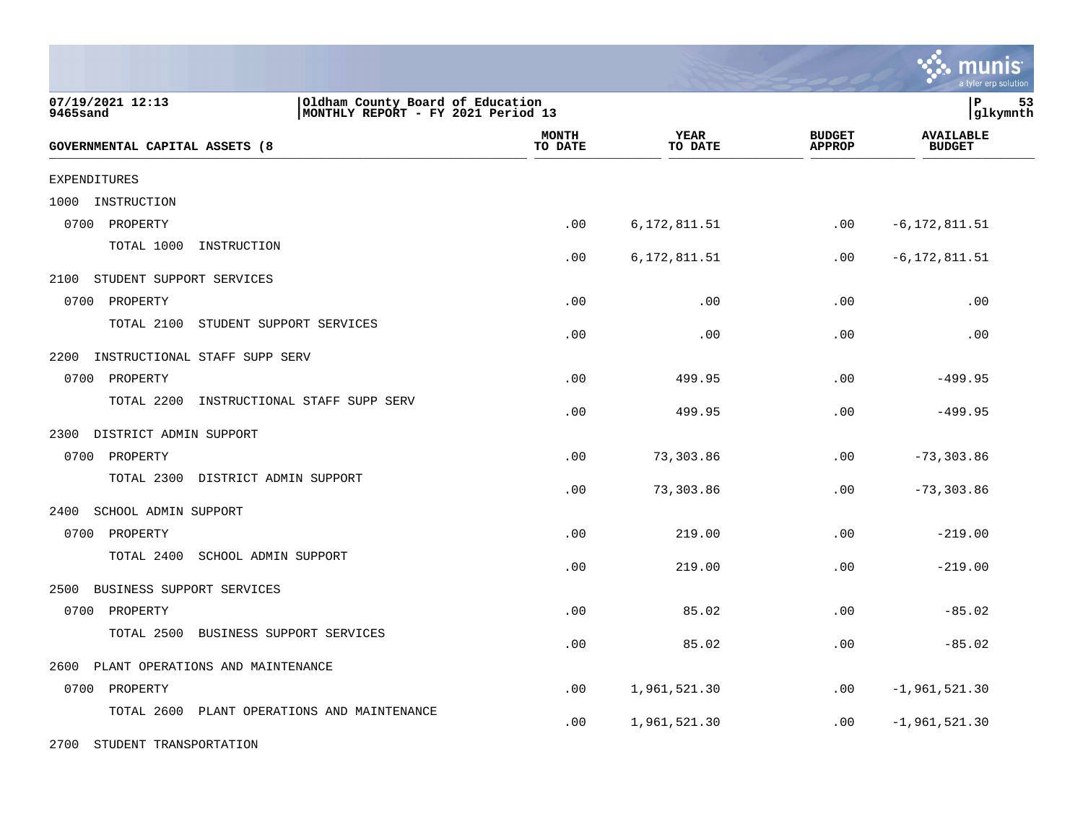|                                                |                                                                        |                        |                                | munis<br>a tyler erp solution     |
|------------------------------------------------|------------------------------------------------------------------------|------------------------|--------------------------------|-----------------------------------|
| 07/19/2021 12:13<br>9465sand                   | Oldham County Board of Education<br>MONTHLY REPORT - FY 2021 Period 13 |                        |                                | lР<br>53<br> glkymnth             |
| GOVERNMENTAL CAPITAL ASSETS (8                 | <b>MONTH</b><br>TO DATE                                                | <b>YEAR</b><br>TO DATE | <b>BUDGET</b><br><b>APPROP</b> | <b>AVAILABLE</b><br><b>BUDGET</b> |
| <b>EXPENDITURES</b>                            |                                                                        |                        |                                |                                   |
| 1000<br>INSTRUCTION                            |                                                                        |                        |                                |                                   |
| 0700<br>PROPERTY                               | .00                                                                    | 6,172,811.51           | .00                            | $-6, 172, 811.51$                 |
| TOTAL 1000<br>INSTRUCTION                      | .00                                                                    | 6,172,811.51           | $.00 \,$                       | $-6, 172, 811.51$                 |
| 2100<br>STUDENT SUPPORT SERVICES               |                                                                        |                        |                                |                                   |
| 0700<br>PROPERTY                               | .00                                                                    | .00                    | .00                            | .00                               |
| TOTAL 2100<br>STUDENT SUPPORT SERVICES         | .00                                                                    | .00                    | .00                            | .00                               |
| 2200<br>INSTRUCTIONAL STAFF SUPP SERV          |                                                                        |                        |                                |                                   |
| 0700<br>PROPERTY                               | .00                                                                    | 499.95                 | .00                            | $-499.95$                         |
| TOTAL 2200<br>INSTRUCTIONAL STAFF SUPP SERV    | .00                                                                    | 499.95                 | .00                            | $-499.95$                         |
| 2300<br>DISTRICT ADMIN SUPPORT                 |                                                                        |                        |                                |                                   |
| 0700<br>PROPERTY                               | .00                                                                    | 73,303.86              | .00                            | $-73, 303.86$                     |
| TOTAL 2300<br>DISTRICT ADMIN SUPPORT           | .00                                                                    | 73,303.86              | .00                            | $-73, 303.86$                     |
| 2400<br>SCHOOL ADMIN SUPPORT                   |                                                                        |                        |                                |                                   |
| 0700<br>PROPERTY                               | .00                                                                    | 219.00                 | .00                            | $-219.00$                         |
| TOTAL 2400<br>SCHOOL ADMIN SUPPORT             | .00                                                                    | 219.00                 | .00                            | $-219.00$                         |
| 2500<br>BUSINESS SUPPORT SERVICES              |                                                                        |                        |                                |                                   |
| 0700<br>PROPERTY                               | .00                                                                    | 85.02                  | .00                            | $-85.02$                          |
| TOTAL 2500<br>BUSINESS SUPPORT SERVICES        | .00                                                                    | 85.02                  | .00                            | $-85.02$                          |
| PLANT OPERATIONS AND MAINTENANCE<br>2600       |                                                                        |                        |                                |                                   |
| 0700<br>PROPERTY                               | .00                                                                    | 1,961,521.30           | .00                            | $-1,961,521.30$                   |
| PLANT OPERATIONS AND MAINTENANCE<br>TOTAL 2600 | .00                                                                    | 1,961,521.30           | .00                            | $-1,961,521.30$                   |

2700 STUDENT TRANSPORTATION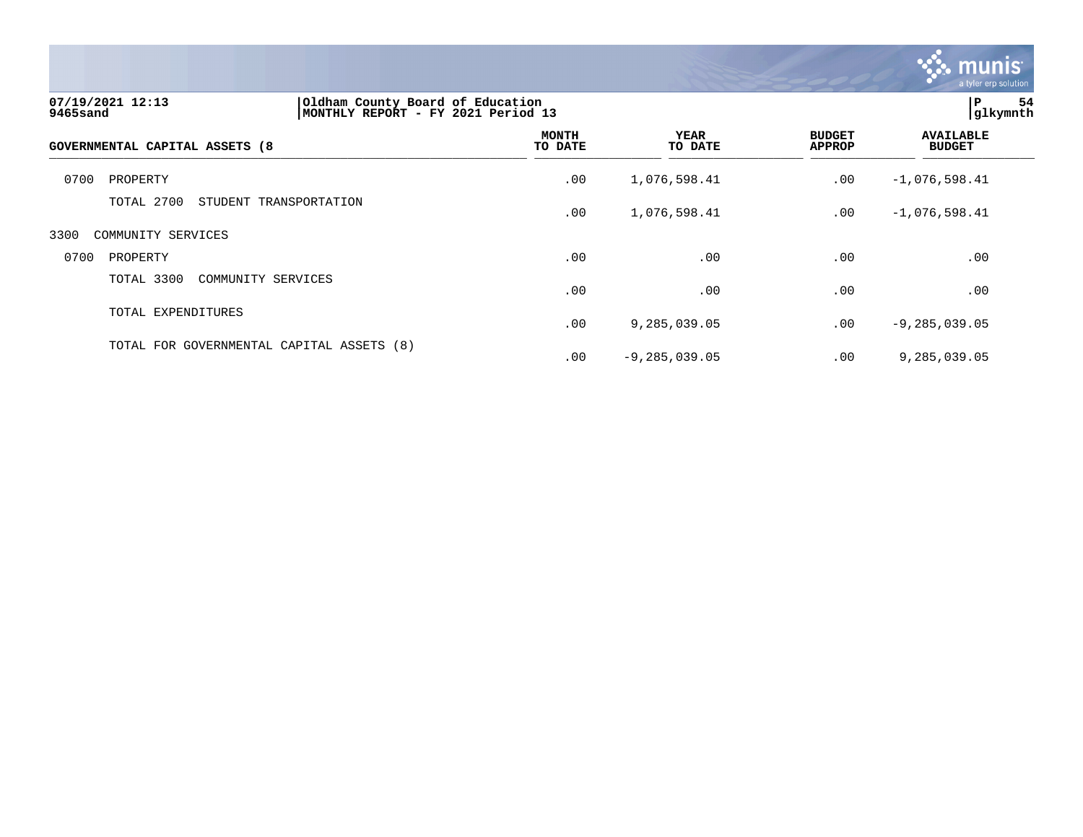

| 07/19/2021 12:13<br>9465sand   | Oldham County Board of Education<br>MONTHLY REPORT - FY 2021 Period 13 |                         |                        |                                | ΙP.<br>54<br>glkymnth             |  |
|--------------------------------|------------------------------------------------------------------------|-------------------------|------------------------|--------------------------------|-----------------------------------|--|
| GOVERNMENTAL CAPITAL ASSETS (8 |                                                                        | <b>MONTH</b><br>TO DATE | <b>YEAR</b><br>TO DATE | <b>BUDGET</b><br><b>APPROP</b> | <b>AVAILABLE</b><br><b>BUDGET</b> |  |
| 0700<br>PROPERTY               |                                                                        | .00                     | 1,076,598.41           | .00                            | $-1,076,598.41$                   |  |
| TOTAL 2700                     | STUDENT TRANSPORTATION                                                 | .00                     | 1,076,598.41           | .00                            | $-1,076,598.41$                   |  |
| 3300<br>COMMUNITY SERVICES     |                                                                        |                         |                        |                                |                                   |  |
| 0700<br>PROPERTY               |                                                                        | .00                     | .00                    | .00                            | .00                               |  |
| TOTAL 3300                     | COMMUNITY SERVICES                                                     | .00                     | .00                    | .00                            | .00                               |  |
| TOTAL EXPENDITURES             |                                                                        | .00                     | 9,285,039.05           | .00                            | $-9, 285, 039.05$                 |  |
|                                | TOTAL FOR GOVERNMENTAL CAPITAL ASSETS (8)                              | .00                     | $-9, 285, 039.05$      | .00                            | 9,285,039.05                      |  |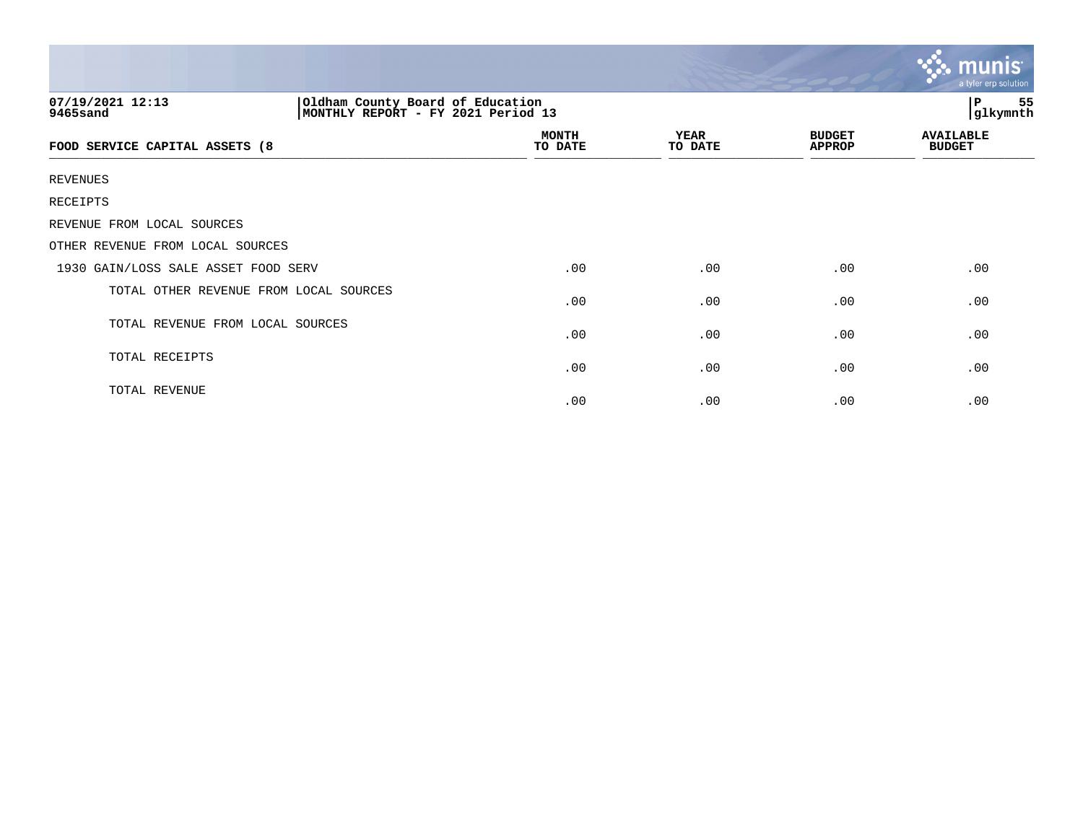|                                        |                                                                        |                         |                        |                                | $\mathbf{\ddot{3}}$ munis<br>a tyler erp solution |
|----------------------------------------|------------------------------------------------------------------------|-------------------------|------------------------|--------------------------------|---------------------------------------------------|
| 07/19/2021 12:13<br>9465sand           | Oldham County Board of Education<br>MONTHLY REPORT - FY 2021 Period 13 |                         |                        |                                |                                                   |
| FOOD SERVICE CAPITAL ASSETS (8         |                                                                        | <b>MONTH</b><br>TO DATE | <b>YEAR</b><br>TO DATE | <b>BUDGET</b><br><b>APPROP</b> | <b>AVAILABLE</b><br><b>BUDGET</b>                 |
| REVENUES                               |                                                                        |                         |                        |                                |                                                   |
| RECEIPTS                               |                                                                        |                         |                        |                                |                                                   |
| REVENUE FROM LOCAL SOURCES             |                                                                        |                         |                        |                                |                                                   |
| OTHER REVENUE FROM LOCAL SOURCES       |                                                                        |                         |                        |                                |                                                   |
| 1930 GAIN/LOSS SALE ASSET FOOD SERV    |                                                                        | .00                     | .00                    | .00                            | .00                                               |
| TOTAL OTHER REVENUE FROM LOCAL SOURCES |                                                                        | .00                     | .00                    | .00                            | .00                                               |
| TOTAL REVENUE FROM LOCAL SOURCES       |                                                                        | .00                     | .00                    | .00                            | .00                                               |
| TOTAL RECEIPTS                         |                                                                        | .00                     | .00                    | .00                            | .00                                               |
| TOTAL REVENUE                          |                                                                        | .00                     | .00                    | .00                            | .00                                               |

the contract of the contract of the contract of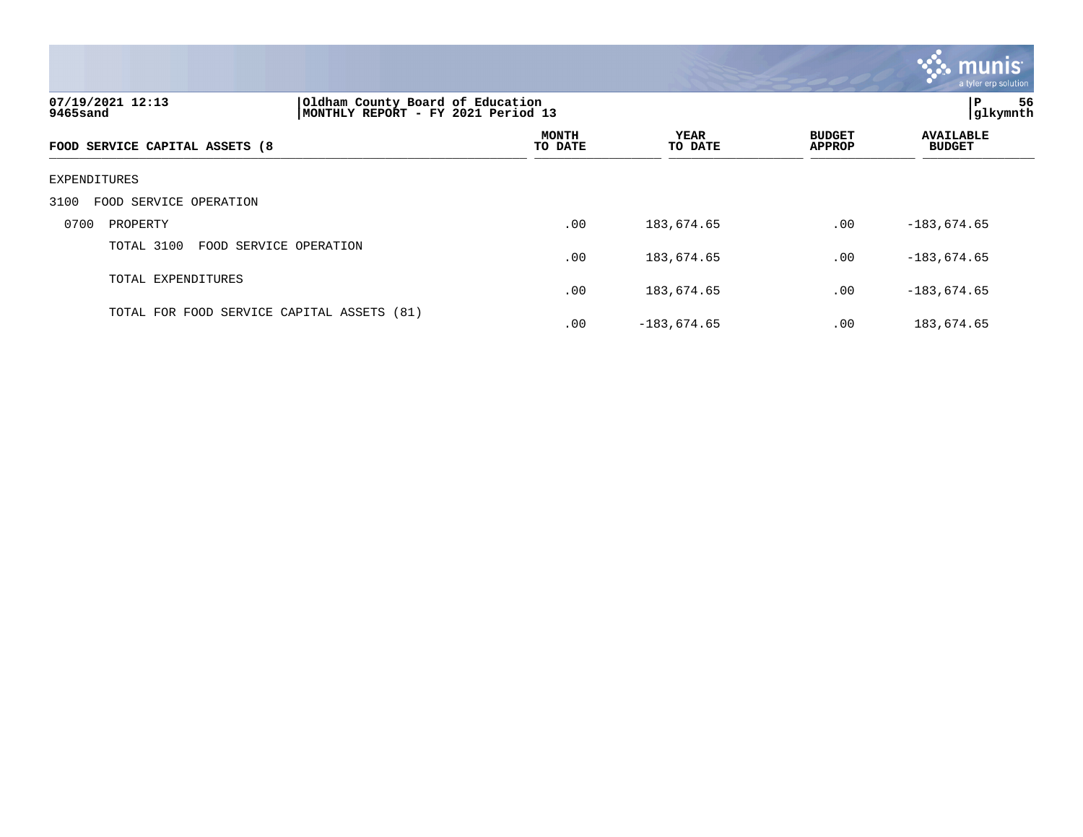|                                                                                                        |                                            |               |                                | munis<br>a tyler erp solution     |  |
|--------------------------------------------------------------------------------------------------------|--------------------------------------------|---------------|--------------------------------|-----------------------------------|--|
| 07/19/2021 12:13<br>Oldham County Board of Education<br>MONTHLY REPORT - FY 2021 Period 13<br>9465sand |                                            |               |                                |                                   |  |
| FOOD SERVICE CAPITAL ASSETS (8                                                                         | <b>MONTH</b><br>YEAR<br>TO DATE<br>TO DATE |               | <b>BUDGET</b><br><b>APPROP</b> | <b>AVAILABLE</b><br><b>BUDGET</b> |  |
| EXPENDITURES                                                                                           |                                            |               |                                |                                   |  |
| 3100<br>FOOD SERVICE OPERATION                                                                         |                                            |               |                                |                                   |  |
| 0700<br>PROPERTY                                                                                       | .00                                        | 183,674.65    | .00                            | $-183,674.65$                     |  |
| TOTAL 3100<br>FOOD SERVICE OPERATION                                                                   | .00                                        | 183,674.65    | .00                            | $-183,674.65$                     |  |
| TOTAL EXPENDITURES                                                                                     | .00                                        | 183,674.65    | .00                            | $-183,674.65$                     |  |
| TOTAL FOR FOOD SERVICE CAPITAL ASSETS (81)                                                             | .00                                        | $-183,674.65$ | .00                            | 183,674.65                        |  |